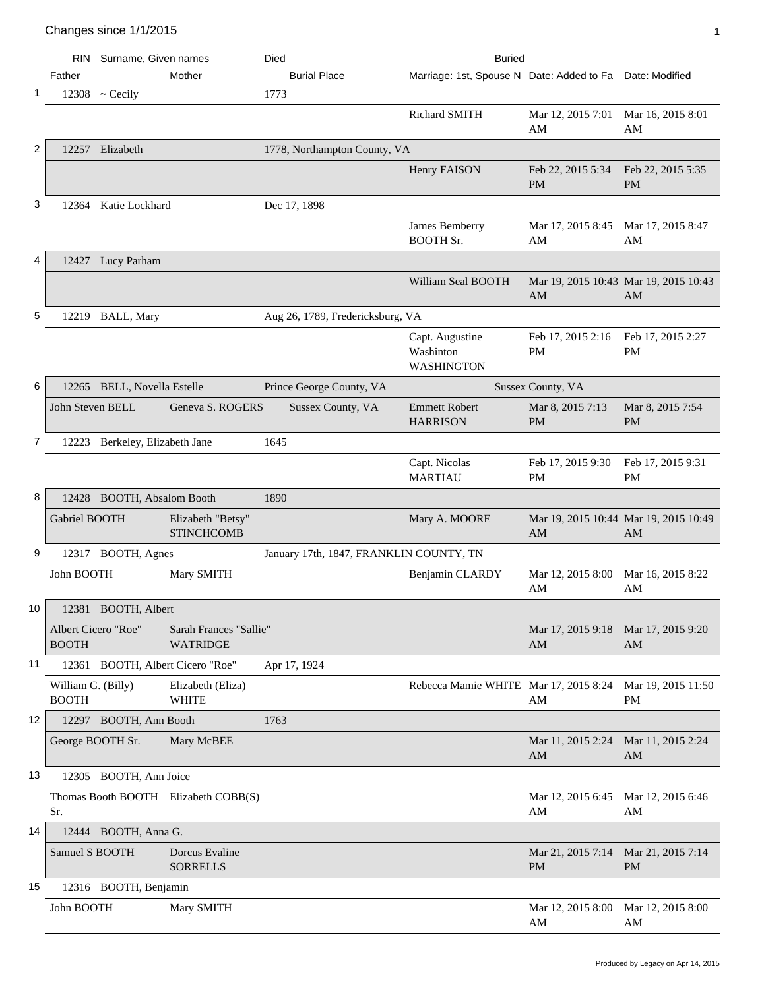|    |                                     | RIN Surname, Given names       |                                           | Died                                    | <b>Buried</b>                                            |                                                  |                                             |
|----|-------------------------------------|--------------------------------|-------------------------------------------|-----------------------------------------|----------------------------------------------------------|--------------------------------------------------|---------------------------------------------|
|    | Father                              |                                | Mother                                    | <b>Burial Place</b>                     | Marriage: 1st, Spouse N Date: Added to Fa Date: Modified |                                                  |                                             |
| -1 |                                     | $12308$ ~ Cecily               |                                           | 1773                                    |                                                          |                                                  |                                             |
|    |                                     |                                |                                           |                                         | Richard SMITH                                            | Mar 12, 2015 7:01<br>AM                          | Mar 16, 2015 8:01<br>AM                     |
| 2  |                                     | 12257 Elizabeth                |                                           | 1778, Northampton County, VA            |                                                          |                                                  |                                             |
|    |                                     |                                |                                           |                                         | Henry FAISON                                             | Feb 22, 2015 5:34<br><b>PM</b>                   | Feb 22, 2015 5:35<br><b>PM</b>              |
| 3  | 12364                               | Katie Lockhard                 |                                           | Dec 17, 1898                            |                                                          |                                                  |                                             |
|    |                                     |                                |                                           |                                         | James Bemberry<br><b>BOOTH Sr.</b>                       | Mar 17, 2015 8:45<br>AM                          | Mar 17, 2015 8:47<br>AM                     |
| 4  |                                     | 12427 Lucy Parham              |                                           |                                         |                                                          |                                                  |                                             |
|    |                                     |                                |                                           |                                         | William Seal BOOTH                                       | AM                                               | Mar 19, 2015 10:43 Mar 19, 2015 10:43<br>AM |
| 5  |                                     | 12219 BALL, Mary               |                                           | Aug 26, 1789, Fredericksburg, VA        |                                                          |                                                  |                                             |
|    |                                     |                                |                                           |                                         | Capt. Augustine<br>Washinton<br><b>WASHINGTON</b>        | Feb 17, 2015 2:16<br>PM                          | Feb 17, 2015 2:27<br>PM                     |
| 6  |                                     | 12265 BELL, Novella Estelle    |                                           | Prince George County, VA                |                                                          | Sussex County, VA                                |                                             |
|    | John Steven BELL                    |                                | Geneva S. ROGERS                          | Sussex County, VA                       | <b>Emmett Robert</b><br><b>HARRISON</b>                  | Mar 8, 2015 7:13<br><b>PM</b>                    | Mar 8, 2015 7:54<br><b>PM</b>               |
| 7  |                                     | 12223 Berkeley, Elizabeth Jane |                                           | 1645                                    |                                                          |                                                  |                                             |
|    |                                     |                                |                                           |                                         | Capt. Nicolas<br><b>MARTIAU</b>                          | Feb 17, 2015 9:30<br>PM                          | Feb 17, 2015 9:31<br>PM                     |
| 8  |                                     | 12428 BOOTH, Absalom Booth     |                                           | 1890                                    |                                                          |                                                  |                                             |
|    | Gabriel BOOTH                       |                                | Elizabeth "Betsy"<br><b>STINCHCOMB</b>    |                                         | Mary A. MOORE                                            | AM                                               | Mar 19, 2015 10:44 Mar 19, 2015 10:49<br>AM |
| 9  |                                     | 12317 BOOTH, Agnes             |                                           | January 17th, 1847, FRANKLIN COUNTY, TN |                                                          |                                                  |                                             |
|    | John BOOTH                          |                                | Mary SMITH                                |                                         | Benjamin CLARDY                                          | Mar 12, 2015 8:00<br>AM                          | Mar 16, 2015 8:22<br>AM                     |
| 10 |                                     | 12381 BOOTH, Albert            |                                           |                                         |                                                          |                                                  |                                             |
|    | Albert Cicero "Roe"<br><b>BOOTH</b> |                                | Sarah Frances "Sallie"<br><b>WATRIDGE</b> |                                         |                                                          | Mar 17, 2015 9:18 Mar 17, 2015 9:20<br>AM        | AM                                          |
| 11 |                                     |                                | 12361 BOOTH, Albert Cicero "Roe"          | Apr 17, 1924                            |                                                          |                                                  |                                             |
|    | William G. (Billy)<br><b>BOOTH</b>  |                                | Elizabeth (Eliza)<br><b>WHITE</b>         |                                         | Rebecca Mamie WHITE Mar 17, 2015 8:24 Mar 19, 2015 11:50 | AM                                               | PM                                          |
| 12 |                                     | 12297 BOOTH, Ann Booth         |                                           | 1763                                    |                                                          |                                                  |                                             |
|    | George BOOTH Sr.                    |                                | Mary McBEE                                |                                         |                                                          | Mar 11, 2015 2:24 Mar 11, 2015 2:24<br>AM        | AM                                          |
| 13 |                                     | 12305 BOOTH, Ann Joice         |                                           |                                         |                                                          |                                                  |                                             |
|    | Sr.                                 |                                | Thomas Booth BOOTH Elizabeth COBB(S)      |                                         |                                                          | Mar 12, 2015 6:45 Mar 12, 2015 6:46<br>AM        | AM                                          |
| 14 |                                     | 12444 BOOTH, Anna G.           |                                           |                                         |                                                          |                                                  |                                             |
|    | Samuel S BOOTH                      |                                | Dorcus Evaline<br><b>SORRELLS</b>         |                                         |                                                          | Mar 21, 2015 7:14 Mar 21, 2015 7:14<br><b>PM</b> | <b>PM</b>                                   |
| 15 |                                     | 12316 BOOTH, Benjamin          |                                           |                                         |                                                          |                                                  |                                             |
|    | John BOOTH                          |                                | Mary SMITH                                |                                         |                                                          | Mar 12, 2015 8:00<br>AM                          | Mar 12, 2015 8:00<br>AM                     |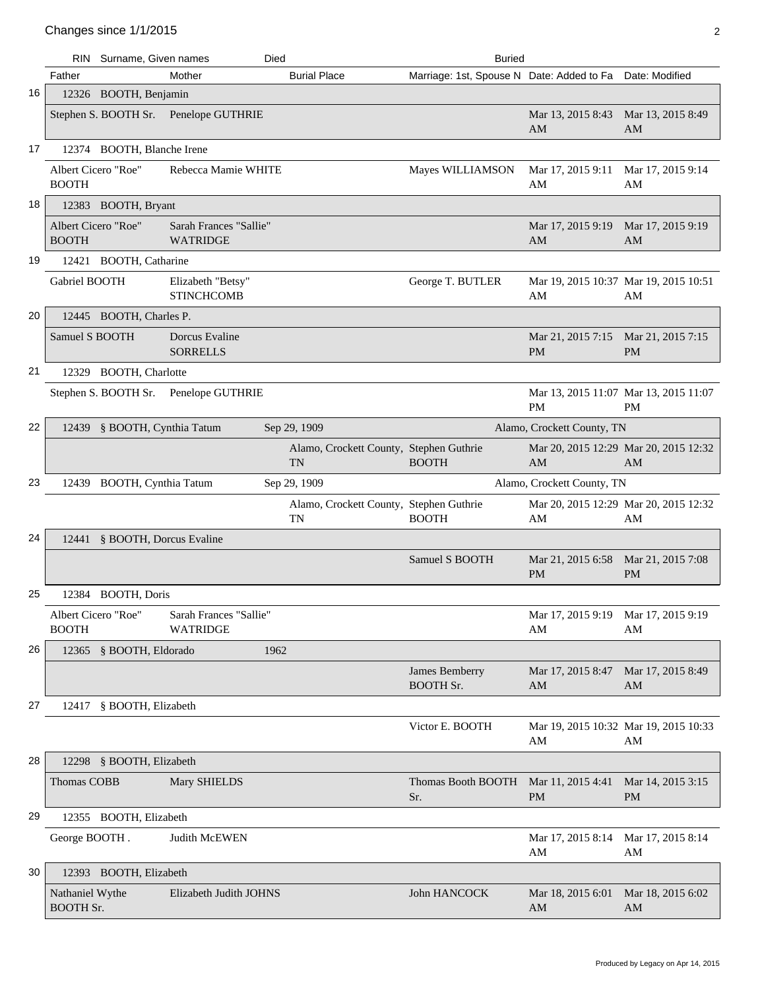|    | RIN.                                | Surname, Given names          |                                           | Died |                                                      | <b>Buried</b>                                            |                                             |                                |
|----|-------------------------------------|-------------------------------|-------------------------------------------|------|------------------------------------------------------|----------------------------------------------------------|---------------------------------------------|--------------------------------|
|    | Father                              |                               | Mother                                    |      | <b>Burial Place</b>                                  | Marriage: 1st, Spouse N Date: Added to Fa Date: Modified |                                             |                                |
| 16 |                                     | 12326 BOOTH, Benjamin         |                                           |      |                                                      |                                                          |                                             |                                |
|    |                                     |                               | Stephen S. BOOTH Sr. Penelope GUTHRIE     |      |                                                      |                                                          | Mar 13, 2015 8:43<br>AM                     | Mar 13, 2015 8:49<br>AM        |
| 17 |                                     | 12374 BOOTH, Blanche Irene    |                                           |      |                                                      |                                                          |                                             |                                |
|    | Albert Cicero "Roe"<br><b>BOOTH</b> |                               | Rebecca Mamie WHITE                       |      |                                                      | Mayes WILLIAMSON                                         | Mar 17, 2015 9:11<br>AM                     | Mar 17, 2015 9:14<br>AM        |
| 18 |                                     | 12383 BOOTH, Bryant           |                                           |      |                                                      |                                                          |                                             |                                |
|    | Albert Cicero "Roe"<br><b>BOOTH</b> |                               | Sarah Frances "Sallie"<br><b>WATRIDGE</b> |      |                                                      |                                                          | Mar 17, 2015 9:19<br>AM                     | Mar 17, 2015 9:19<br>AM        |
| 19 |                                     | 12421 BOOTH, Catharine        |                                           |      |                                                      |                                                          |                                             |                                |
|    | Gabriel BOOTH                       |                               | Elizabeth "Betsy"<br><b>STINCHCOMB</b>    |      |                                                      | George T. BUTLER                                         | Mar 19, 2015 10:37 Mar 19, 2015 10:51<br>AM | AM                             |
| 20 |                                     | 12445 BOOTH, Charles P.       |                                           |      |                                                      |                                                          |                                             |                                |
|    | Samuel S BOOTH                      |                               | Dorcus Evaline<br><b>SORRELLS</b>         |      |                                                      |                                                          | Mar 21, 2015 7:15 Mar 21, 2015 7:15<br>PM   | <b>PM</b>                      |
| 21 |                                     | 12329 BOOTH, Charlotte        |                                           |      |                                                      |                                                          |                                             |                                |
|    |                                     |                               | Stephen S. BOOTH Sr. Penelope GUTHRIE     |      |                                                      |                                                          | Mar 13, 2015 11:07 Mar 13, 2015 11:07<br>PM | <b>PM</b>                      |
| 22 |                                     | 12439 § BOOTH, Cynthia Tatum  |                                           |      | Sep 29, 1909                                         |                                                          | Alamo, Crockett County, TN                  |                                |
|    |                                     |                               |                                           |      | Alamo, Crockett County, Stephen Guthrie<br><b>TN</b> | <b>BOOTH</b>                                             | Mar 20, 2015 12:29 Mar 20, 2015 12:32<br>AM | AM                             |
| 23 |                                     | 12439 BOOTH, Cynthia Tatum    |                                           |      | Sep 29, 1909                                         |                                                          | Alamo, Crockett County, TN                  |                                |
|    |                                     |                               |                                           |      | Alamo, Crockett County, Stephen Guthrie<br>TN        | <b>BOOTH</b>                                             | Mar 20, 2015 12:29 Mar 20, 2015 12:32<br>AM | AM                             |
| 24 |                                     | 12441 § BOOTH, Dorcus Evaline |                                           |      |                                                      |                                                          |                                             |                                |
|    |                                     |                               |                                           |      |                                                      | Samuel S BOOTH                                           | Mar 21, 2015 6:58<br><b>PM</b>              | Mar 21, 2015 7:08<br><b>PM</b> |
| 25 |                                     | 12384 BOOTH, Doris            |                                           |      |                                                      |                                                          |                                             |                                |
|    | Albert Cicero "Roe"<br><b>BOOTH</b> |                               | Sarah Frances "Sallie"<br><b>WATRIDGE</b> |      |                                                      |                                                          | Mar 17, 2015 9:19 Mar 17, 2015 9:19<br>AM   | AM                             |
| 26 |                                     | 12365 § BOOTH, Eldorado       |                                           | 1962 |                                                      |                                                          |                                             |                                |
|    |                                     |                               |                                           |      |                                                      | James Bemberry<br><b>BOOTH Sr.</b>                       | Mar 17, 2015 8:47<br>AM                     | Mar 17, 2015 8:49<br>AM        |
| 27 |                                     | 12417 § BOOTH, Elizabeth      |                                           |      |                                                      |                                                          |                                             |                                |
|    |                                     |                               |                                           |      |                                                      | Victor E. BOOTH                                          | Mar 19, 2015 10:32 Mar 19, 2015 10:33<br>AM | AM                             |
| 28 |                                     | 12298 § BOOTH, Elizabeth      |                                           |      |                                                      |                                                          |                                             |                                |
|    | Thomas COBB                         |                               | Mary SHIELDS                              |      |                                                      | Thomas Booth BOOTH Mar 11, 2015 4:41<br>Sr.              | <b>PM</b>                                   | Mar 14, 2015 3:15<br><b>PM</b> |
| 29 |                                     | 12355 BOOTH, Elizabeth        |                                           |      |                                                      |                                                          |                                             |                                |
|    | George BOOTH.                       |                               | Judith McEWEN                             |      |                                                      |                                                          | Mar 17, 2015 8:14<br>AM                     | Mar 17, 2015 8:14<br>AM        |
| 30 |                                     | 12393 BOOTH, Elizabeth        |                                           |      |                                                      |                                                          |                                             |                                |
|    | Nathaniel Wythe<br><b>BOOTH Sr.</b> |                               | Elizabeth Judith JOHNS                    |      |                                                      | John HANCOCK                                             | Mar 18, 2015 6:01<br>AM                     | Mar 18, 2015 6:02<br>AM        |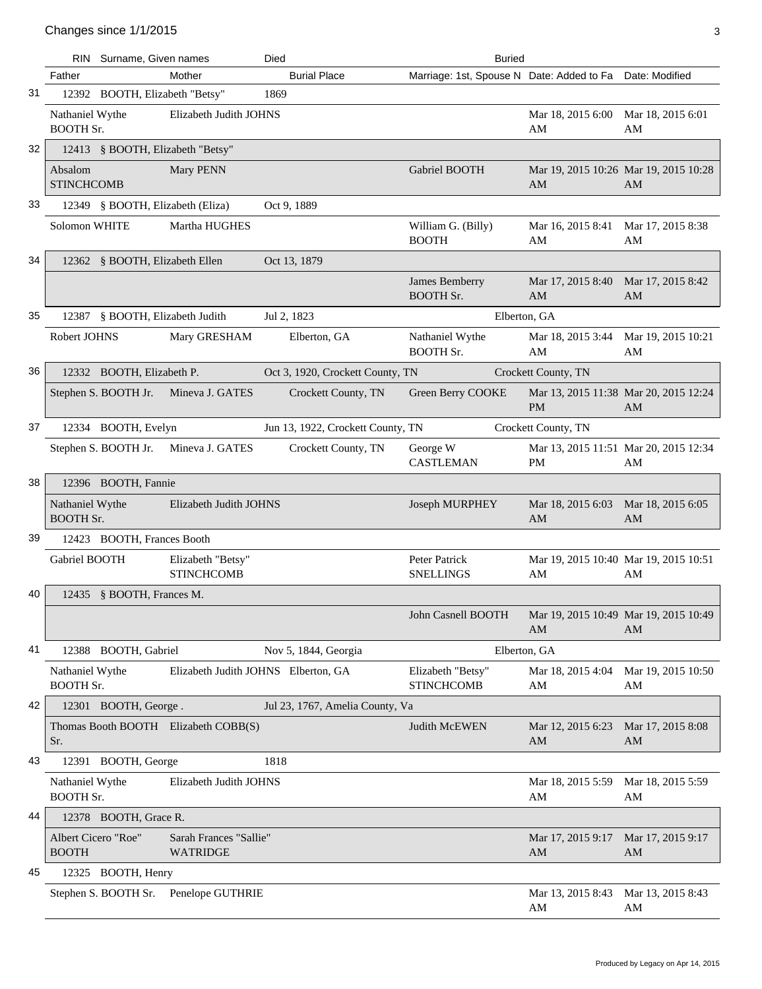|    |                                     | RIN Surname, Given names         |                                           | Died        |                                   | <b>Buried</b>                                            |                                                    |                          |
|----|-------------------------------------|----------------------------------|-------------------------------------------|-------------|-----------------------------------|----------------------------------------------------------|----------------------------------------------------|--------------------------|
|    | Father                              |                                  | Mother                                    |             | <b>Burial Place</b>               | Marriage: 1st, Spouse N Date: Added to Fa Date: Modified |                                                    |                          |
| 31 |                                     | 12392 BOOTH, Elizabeth "Betsy"   |                                           | 1869        |                                   |                                                          |                                                    |                          |
|    | Nathaniel Wythe<br><b>BOOTH Sr.</b> |                                  | Elizabeth Judith JOHNS                    |             |                                   |                                                          | Mar 18, 2015 6:00<br>AM                            | Mar 18, 2015 6:01<br>AM  |
| 32 |                                     | 12413 § BOOTH, Elizabeth "Betsy" |                                           |             |                                   |                                                          |                                                    |                          |
|    | Absalom<br><b>STINCHCOMB</b>        |                                  | Mary PENN                                 |             |                                   | Gabriel BOOTH                                            | Mar 19, 2015 10:26 Mar 19, 2015 10:28<br>AM        | AM                       |
| 33 |                                     | 12349 § BOOTH, Elizabeth (Eliza) |                                           |             | Oct 9, 1889                       |                                                          |                                                    |                          |
|    | <b>Solomon WHITE</b>                |                                  | Martha HUGHES                             |             |                                   | William G. (Billy)<br><b>BOOTH</b>                       | Mar 16, 2015 8:41<br>AM                            | Mar 17, 2015 8:38<br>AM  |
| 34 |                                     | 12362 § BOOTH, Elizabeth Ellen   |                                           |             | Oct 13, 1879                      |                                                          |                                                    |                          |
|    |                                     |                                  |                                           |             |                                   | James Bemberry<br><b>BOOTH Sr.</b>                       | Mar 17, 2015 8:40<br>AM                            | Mar 17, 2015 8:42<br>AM  |
| 35 |                                     | 12387 § BOOTH, Elizabeth Judith  |                                           | Jul 2, 1823 |                                   | Elberton, GA                                             |                                                    |                          |
|    | Robert JOHNS                        |                                  | Mary GRESHAM                              |             | Elberton, GA                      | Nathaniel Wythe<br><b>BOOTH Sr.</b>                      | Mar 18, 2015 3:44<br>AM                            | Mar 19, 2015 10:21<br>AM |
| 36 |                                     | 12332 BOOTH, Elizabeth P.        |                                           |             | Oct 3, 1920, Crockett County, TN  |                                                          | Crockett County, TN                                |                          |
|    |                                     | Stephen S. BOOTH Jr.             | Mineva J. GATES                           |             | Crockett County, TN               | Green Berry COOKE                                        | Mar 13, 2015 11:38 Mar 20, 2015 12:24<br><b>PM</b> | AM                       |
| 37 |                                     | 12334 BOOTH, Evelyn              |                                           |             | Jun 13, 1922, Crockett County, TN |                                                          | Crockett County, TN                                |                          |
|    |                                     | Stephen S. BOOTH Jr.             | Mineva J. GATES                           |             | Crockett County, TN               | George W<br><b>CASTLEMAN</b>                             | Mar 13, 2015 11:51 Mar 20, 2015 12:34<br><b>PM</b> | AM                       |
| 38 |                                     | 12396 BOOTH, Fannie              |                                           |             |                                   |                                                          |                                                    |                          |
|    | Nathaniel Wythe<br><b>BOOTH Sr.</b> |                                  | Elizabeth Judith JOHNS                    |             |                                   | Joseph MURPHEY                                           | Mar 18, 2015 6:03<br>AM                            | Mar 18, 2015 6:05<br>AM  |
| 39 |                                     | 12423 BOOTH, Frances Booth       |                                           |             |                                   |                                                          |                                                    |                          |
|    | Gabriel BOOTH                       |                                  | Elizabeth "Betsy"<br><b>STINCHCOMB</b>    |             |                                   | Peter Patrick<br><b>SNELLINGS</b>                        | Mar 19, 2015 10:40 Mar 19, 2015 10:51<br>AM        | AM                       |
| 40 |                                     | 12435 § BOOTH, Frances M.        |                                           |             |                                   |                                                          |                                                    |                          |
|    |                                     |                                  |                                           |             |                                   | John Casnell BOOTH                                       | Mar 19, 2015 10:49 Mar 19, 2015 10:49<br>AM        | AM                       |
| 41 |                                     | 12388 BOOTH, Gabriel             |                                           |             | Nov 5, 1844, Georgia              | Elberton, GA                                             |                                                    |                          |
|    | Nathaniel Wythe<br><b>BOOTH Sr.</b> |                                  | Elizabeth Judith JOHNS Elberton, GA       |             |                                   | Elizabeth "Betsy"<br><b>STINCHCOMB</b>                   | Mar 18, 2015 4:04<br>AM                            | Mar 19, 2015 10:50<br>AM |
| 42 |                                     | 12301 BOOTH, George.             |                                           |             | Jul 23, 1767, Amelia County, Va   |                                                          |                                                    |                          |
|    | Sr.                                 |                                  | Thomas Booth BOOTH Elizabeth COBB(S)      |             |                                   | Judith McEWEN                                            | Mar 12, 2015 6:23<br>AM                            | Mar 17, 2015 8:08<br>AM  |
| 43 |                                     | 12391 BOOTH, George              |                                           | 1818        |                                   |                                                          |                                                    |                          |
|    | Nathaniel Wythe<br><b>BOOTH Sr.</b> |                                  | Elizabeth Judith JOHNS                    |             |                                   |                                                          | Mar 18, 2015 5:59<br>AM                            | Mar 18, 2015 5:59<br>AM  |
| 44 |                                     | 12378 BOOTH, Grace R.            |                                           |             |                                   |                                                          |                                                    |                          |
|    | Albert Cicero "Roe"<br><b>BOOTH</b> |                                  | Sarah Frances "Sallie"<br><b>WATRIDGE</b> |             |                                   |                                                          | Mar 17, 2015 9:17<br>AM                            | Mar 17, 2015 9:17<br>AM  |
| 45 |                                     | 12325 BOOTH, Henry               |                                           |             |                                   |                                                          |                                                    |                          |
|    |                                     | Stephen S. BOOTH Sr.             | Penelope GUTHRIE                          |             |                                   |                                                          | Mar 13, 2015 8:43<br>AM                            | Mar 13, 2015 8:43<br>AM  |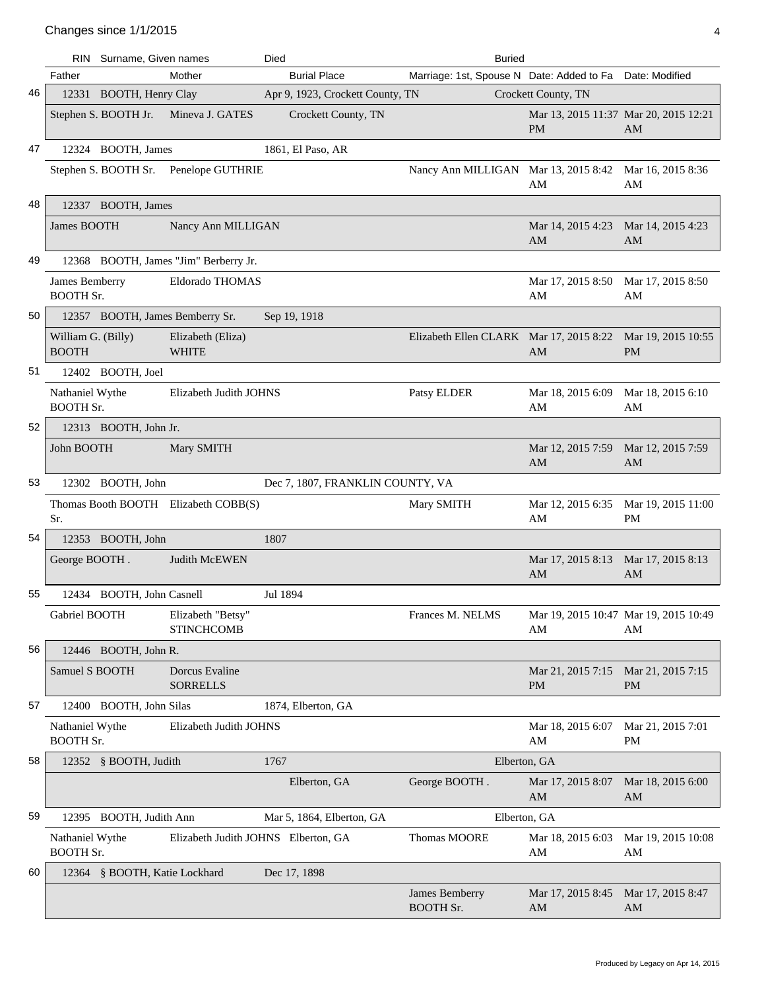|    |                                     | RIN Surname, Given names        |                                        | <b>Buried</b><br>Died            |                                           |                                |                                             |
|----|-------------------------------------|---------------------------------|----------------------------------------|----------------------------------|-------------------------------------------|--------------------------------|---------------------------------------------|
|    | Father                              |                                 | Mother                                 | <b>Burial Place</b>              | Marriage: 1st, Spouse N Date: Added to Fa |                                | Date: Modified                              |
| 46 |                                     | 12331 BOOTH, Henry Clay         |                                        | Apr 9, 1923, Crockett County, TN |                                           | Crockett County, TN            |                                             |
|    |                                     | Stephen S. BOOTH Jr.            | Mineva J. GATES                        | Crockett County, TN              |                                           | <b>PM</b>                      | Mar 13, 2015 11:37 Mar 20, 2015 12:21<br>AM |
| 47 |                                     | 12324 BOOTH, James              |                                        | 1861, El Paso, AR                |                                           |                                |                                             |
|    |                                     |                                 | Stephen S. BOOTH Sr. Penelope GUTHRIE  |                                  | Nancy Ann MILLIGAN Mar 13, 2015 8:42      | AM                             | Mar 16, 2015 8:36<br>AM                     |
| 48 |                                     | 12337 BOOTH, James              |                                        |                                  |                                           |                                |                                             |
|    | James BOOTH                         |                                 | Nancy Ann MILLIGAN                     |                                  |                                           | Mar 14, 2015 4:23<br>AM        | Mar 14, 2015 4:23<br>AM                     |
| 49 |                                     |                                 | 12368 BOOTH, James "Jim" Berberry Jr.  |                                  |                                           |                                |                                             |
|    | James Bemberry<br><b>BOOTH Sr.</b>  |                                 | Eldorado THOMAS                        |                                  |                                           | Mar 17, 2015 8:50<br>AM        | Mar 17, 2015 8:50<br>AM                     |
| 50 |                                     | 12357 BOOTH, James Bemberry Sr. |                                        | Sep 19, 1918                     |                                           |                                |                                             |
|    | William G. (Billy)<br><b>BOOTH</b>  |                                 | Elizabeth (Eliza)<br><b>WHITE</b>      |                                  | Elizabeth Ellen CLARK Mar 17, 2015 8:22   | AM                             | Mar 19, 2015 10:55<br><b>PM</b>             |
| 51 |                                     | 12402 BOOTH, Joel               |                                        |                                  |                                           |                                |                                             |
|    | Nathaniel Wythe<br><b>BOOTH Sr.</b> |                                 | Elizabeth Judith JOHNS                 |                                  | Patsy ELDER                               | Mar 18, 2015 6:09<br>AM        | Mar 18, 2015 6:10<br>AM                     |
| 52 |                                     | 12313 BOOTH, John Jr.           |                                        |                                  |                                           |                                |                                             |
|    | John BOOTH                          |                                 | Mary SMITH                             |                                  |                                           | Mar 12, 2015 7:59<br>AM        | Mar 12, 2015 7:59<br>AM                     |
| 53 |                                     | 12302 BOOTH, John               |                                        | Dec 7, 1807, FRANKLIN COUNTY, VA |                                           |                                |                                             |
|    | Sr.                                 |                                 | Thomas Booth BOOTH Elizabeth COBB(S)   |                                  | Mary SMITH                                | Mar 12, 2015 6:35<br>AM        | Mar 19, 2015 11:00<br>PM                    |
| 54 |                                     | 12353 BOOTH, John               |                                        | 1807                             |                                           |                                |                                             |
|    | George BOOTH.                       |                                 | <b>Judith McEWEN</b>                   |                                  |                                           | Mar 17, 2015 8:13<br>AM        | Mar 17, 2015 8:13<br>AM                     |
| 55 |                                     | 12434 BOOTH, John Casnell       |                                        | Jul 1894                         |                                           |                                |                                             |
|    | Gabriel BOOTH                       |                                 | Elizabeth "Betsy"<br><b>STINCHCOMB</b> |                                  | Frances M. NELMS                          | AM                             | Mar 19, 2015 10:47 Mar 19, 2015 10:49<br>AM |
| 56 |                                     | 12446 BOOTH, John R.            |                                        |                                  |                                           |                                |                                             |
|    | Samuel S BOOTH                      |                                 | Dorcus Evaline<br><b>SORRELLS</b>      |                                  |                                           | Mar 21, 2015 7:15<br><b>PM</b> | Mar 21, 2015 7:15<br><b>PM</b>              |
| 57 |                                     | 12400 BOOTH, John Silas         |                                        | 1874, Elberton, GA               |                                           |                                |                                             |
|    | Nathaniel Wythe<br><b>BOOTH</b> Sr. |                                 | Elizabeth Judith JOHNS                 |                                  |                                           | Mar 18, 2015 6:07<br>AM        | Mar 21, 2015 7:01<br>PM                     |
| 58 |                                     | 12352 § BOOTH, Judith           |                                        | 1767                             |                                           | Elberton, GA                   |                                             |
|    |                                     |                                 |                                        | Elberton, GA                     | George BOOTH.                             | Mar 17, 2015 8:07<br>AM        | Mar 18, 2015 6:00<br>AM                     |
| 59 |                                     | 12395 BOOTH, Judith Ann         |                                        | Mar 5, 1864, Elberton, GA        |                                           | Elberton, GA                   |                                             |
|    | Nathaniel Wythe<br><b>BOOTH Sr.</b> |                                 | Elizabeth Judith JOHNS Elberton, GA    |                                  | Thomas MOORE                              | Mar 18, 2015 6:03<br>AM        | Mar 19, 2015 10:08<br>AM                    |
| 60 |                                     | 12364 § BOOTH, Katie Lockhard   |                                        | Dec 17, 1898                     |                                           |                                |                                             |
|    |                                     |                                 |                                        |                                  | James Bemberry<br><b>BOOTH Sr.</b>        | Mar 17, 2015 8:45<br>AM        | Mar 17, 2015 8:47<br>AM                     |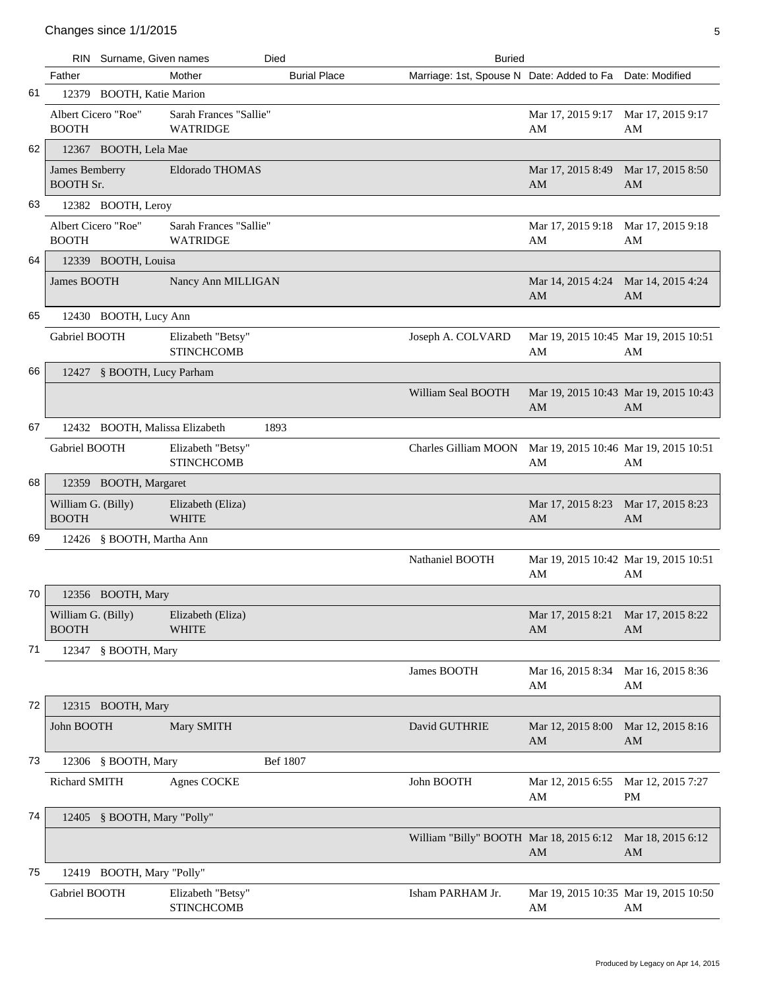|    | <b>RIN</b>                          | Surname, Given names           |                                           | Died                | <b>Buried</b>                                            |                                             |                         |
|----|-------------------------------------|--------------------------------|-------------------------------------------|---------------------|----------------------------------------------------------|---------------------------------------------|-------------------------|
|    | Father                              |                                | Mother                                    | <b>Burial Place</b> | Marriage: 1st, Spouse N Date: Added to Fa Date: Modified |                                             |                         |
| 61 |                                     | 12379 BOOTH, Katie Marion      |                                           |                     |                                                          |                                             |                         |
|    | Albert Cicero "Roe"<br><b>BOOTH</b> |                                | Sarah Frances "Sallie"<br><b>WATRIDGE</b> |                     |                                                          | Mar 17, 2015 9:17<br>AM                     | Mar 17, 2015 9:17<br>AM |
| 62 |                                     | 12367 BOOTH, Lela Mae          |                                           |                     |                                                          |                                             |                         |
|    | James Bemberry<br><b>BOOTH Sr.</b>  |                                | Eldorado THOMAS                           |                     |                                                          | Mar 17, 2015 8:49<br>AM                     | Mar 17, 2015 8:50<br>AM |
| 63 |                                     | 12382 BOOTH, Leroy             |                                           |                     |                                                          |                                             |                         |
|    | Albert Cicero "Roe"<br><b>BOOTH</b> |                                | Sarah Frances "Sallie"<br><b>WATRIDGE</b> |                     |                                                          | Mar 17, 2015 9:18 Mar 17, 2015 9:18<br>AM   | AM                      |
| 64 |                                     | 12339 BOOTH, Louisa            |                                           |                     |                                                          |                                             |                         |
|    | James BOOTH                         |                                | Nancy Ann MILLIGAN                        |                     |                                                          | Mar 14, 2015 4:24<br>AM                     | Mar 14, 2015 4:24<br>AM |
| 65 |                                     | 12430 BOOTH, Lucy Ann          |                                           |                     |                                                          |                                             |                         |
|    | Gabriel BOOTH                       |                                | Elizabeth "Betsy"<br><b>STINCHCOMB</b>    |                     | Joseph A. COLVARD                                        | Mar 19, 2015 10:45 Mar 19, 2015 10:51<br>AM | AM                      |
| 66 |                                     | 12427 § BOOTH, Lucy Parham     |                                           |                     |                                                          |                                             |                         |
|    |                                     |                                |                                           |                     | William Seal BOOTH                                       | Mar 19, 2015 10:43 Mar 19, 2015 10:43<br>AM | AM                      |
| 67 |                                     | 12432 BOOTH, Malissa Elizabeth |                                           | 1893                |                                                          |                                             |                         |
|    | Gabriel BOOTH                       |                                | Elizabeth "Betsy"<br><b>STINCHCOMB</b>    |                     | Charles Gilliam MOON                                     | Mar 19, 2015 10:46 Mar 19, 2015 10:51<br>AM | AM                      |
| 68 |                                     | 12359 BOOTH, Margaret          |                                           |                     |                                                          |                                             |                         |
|    | William G. (Billy)<br><b>BOOTH</b>  |                                | Elizabeth (Eliza)<br><b>WHITE</b>         |                     |                                                          | Mar 17, 2015 8:23<br>AM                     | Mar 17, 2015 8:23<br>AM |
| 69 |                                     | 12426 § BOOTH, Martha Ann      |                                           |                     |                                                          |                                             |                         |
|    |                                     |                                |                                           |                     | Nathaniel BOOTH                                          | Mar 19, 2015 10:42 Mar 19, 2015 10:51<br>AM | AM                      |
| 70 |                                     | 12356 BOOTH, Mary              |                                           |                     |                                                          |                                             |                         |
|    | William G. (Billy)<br><b>BOOTH</b>  |                                | Elizabeth (Eliza)<br><b>WHITE</b>         |                     |                                                          | Mar 17, 2015 8:21<br>AM                     | Mar 17, 2015 8:22<br>AM |
| 71 |                                     | 12347 § BOOTH, Mary            |                                           |                     |                                                          |                                             |                         |
|    |                                     |                                |                                           |                     | James BOOTH                                              | Mar 16, 2015 8:34<br>AM                     | Mar 16, 2015 8:36<br>AM |
| 72 |                                     | 12315 BOOTH, Mary              |                                           |                     |                                                          |                                             |                         |
|    | John BOOTH                          |                                | Mary SMITH                                |                     | David GUTHRIE                                            | Mar 12, 2015 8:00<br>AM                     | Mar 12, 2015 8:16<br>AM |
| 73 |                                     | 12306 § BOOTH, Mary            |                                           | Bef 1807            |                                                          |                                             |                         |
|    | Richard SMITH                       |                                | <b>Agnes COCKE</b>                        |                     | John BOOTH                                               | Mar 12, 2015 6:55<br>AM                     | Mar 12, 2015 7:27<br>PM |
| 74 |                                     | 12405 § BOOTH, Mary "Polly"    |                                           |                     |                                                          |                                             |                         |
|    |                                     |                                |                                           |                     | William "Billy" BOOTH Mar 18, 2015 6:12                  | AM                                          | Mar 18, 2015 6:12<br>AM |
| 75 |                                     | 12419 BOOTH, Mary "Polly"      |                                           |                     |                                                          |                                             |                         |
|    | Gabriel BOOTH                       |                                | Elizabeth "Betsy"<br><b>STINCHCOMB</b>    |                     | Isham PARHAM Jr.                                         | Mar 19, 2015 10:35 Mar 19, 2015 10:50<br>AM | AM                      |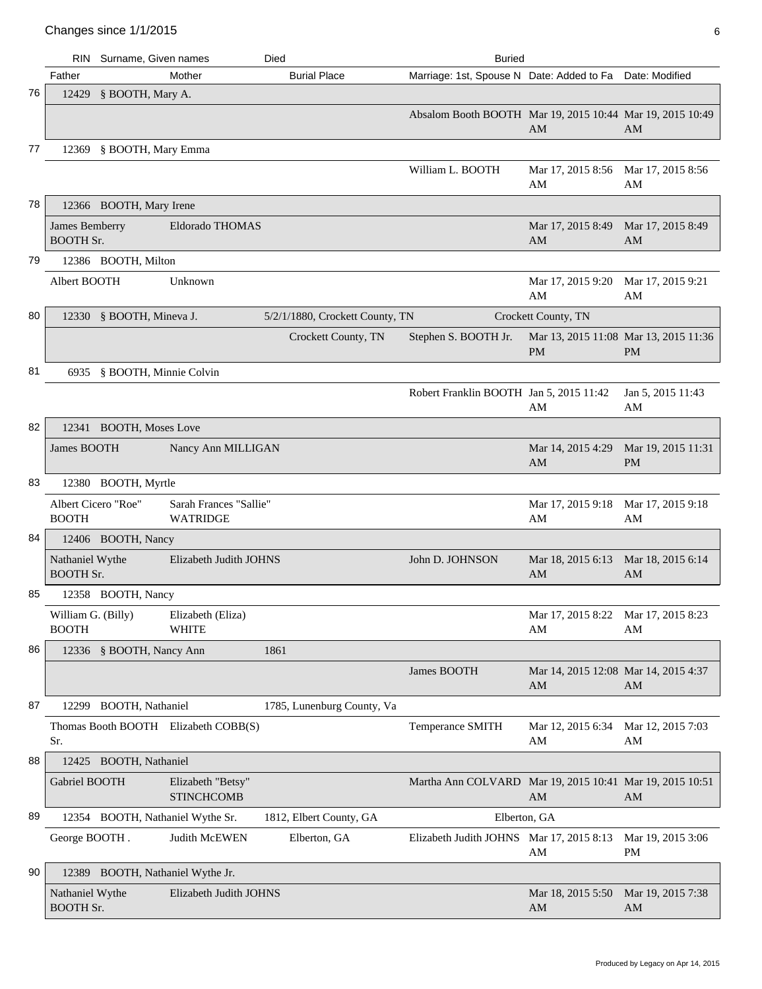|    | RIN.                                | Surname, Given names             |                                           | Died                            | <b>Buried</b>                                             |                                                    |                                 |
|----|-------------------------------------|----------------------------------|-------------------------------------------|---------------------------------|-----------------------------------------------------------|----------------------------------------------------|---------------------------------|
|    | Father                              |                                  | Mother                                    | <b>Burial Place</b>             | Marriage: 1st, Spouse N Date: Added to Fa Date: Modified  |                                                    |                                 |
| 76 | 12429                               | § BOOTH, Mary A.                 |                                           |                                 |                                                           |                                                    |                                 |
|    |                                     |                                  |                                           |                                 | Absalom Booth BOOTH Mar 19, 2015 10:44 Mar 19, 2015 10:49 | AM                                                 | AM                              |
| 77 |                                     | 12369 § BOOTH, Mary Emma         |                                           |                                 |                                                           |                                                    |                                 |
|    |                                     |                                  |                                           |                                 | William L. BOOTH                                          | Mar 17, 2015 8:56<br>AM                            | Mar 17, 2015 8:56<br>AM         |
| 78 |                                     | 12366 BOOTH, Mary Irene          |                                           |                                 |                                                           |                                                    |                                 |
|    | James Bemberry<br><b>BOOTH Sr.</b>  |                                  | Eldorado THOMAS                           |                                 |                                                           | Mar 17, 2015 8:49<br>AM                            | Mar 17, 2015 8:49<br>AM         |
| 79 |                                     | 12386 BOOTH, Milton              |                                           |                                 |                                                           |                                                    |                                 |
|    | Albert BOOTH                        |                                  | Unknown                                   |                                 |                                                           | Mar 17, 2015 9:20<br>AM                            | Mar 17, 2015 9:21<br>AM         |
| 80 |                                     | 12330 § BOOTH, Mineva J.         |                                           | 5/2/1/1880, Crockett County, TN |                                                           | Crockett County, TN                                |                                 |
|    |                                     |                                  |                                           | Crockett County, TN             | Stephen S. BOOTH Jr.                                      | Mar 13, 2015 11:08 Mar 13, 2015 11:36<br><b>PM</b> | <b>PM</b>                       |
| 81 |                                     | 6935 § BOOTH, Minnie Colvin      |                                           |                                 |                                                           |                                                    |                                 |
|    |                                     |                                  |                                           |                                 | Robert Franklin BOOTH Jan 5, 2015 11:42                   | AM                                                 | Jan 5, 2015 11:43<br>AM         |
| 82 |                                     | 12341 BOOTH, Moses Love          |                                           |                                 |                                                           |                                                    |                                 |
|    | James BOOTH                         |                                  | Nancy Ann MILLIGAN                        |                                 |                                                           | Mar 14, 2015 4:29<br>AM                            | Mar 19, 2015 11:31<br><b>PM</b> |
| 83 |                                     | 12380 BOOTH, Myrtle              |                                           |                                 |                                                           |                                                    |                                 |
|    | Albert Cicero "Roe"<br><b>BOOTH</b> |                                  | Sarah Frances "Sallie"<br><b>WATRIDGE</b> |                                 |                                                           | Mar 17, 2015 9:18<br>AM                            | Mar 17, 2015 9:18<br>AM         |
| 84 |                                     | 12406 BOOTH, Nancy               |                                           |                                 |                                                           |                                                    |                                 |
|    | Nathaniel Wythe<br><b>BOOTH Sr.</b> |                                  | Elizabeth Judith JOHNS                    |                                 | John D. JOHNSON                                           | Mar 18, 2015 6:13<br>AM                            | Mar 18, 2015 6:14<br>AM         |
| 85 |                                     | 12358 BOOTH, Nancy               |                                           |                                 |                                                           |                                                    |                                 |
|    | William G. (Billy)<br><b>BOOTH</b>  |                                  | Elizabeth (Eliza)<br><b>WHITE</b>         |                                 |                                                           | Mar 17, 2015 8:22 Mar 17, 2015 8:23<br>AM          | AM                              |
| 86 |                                     | 12336 § BOOTH, Nancy Ann         |                                           | 1861                            |                                                           |                                                    |                                 |
|    |                                     |                                  |                                           |                                 | James BOOTH                                               | Mar 14, 2015 12:08 Mar 14, 2015 4:37<br>AM         | AM                              |
| 87 | 12299                               | <b>BOOTH, Nathaniel</b>          |                                           | 1785, Lunenburg County, Va      |                                                           |                                                    |                                 |
|    | Sr.                                 |                                  | Thomas Booth BOOTH Elizabeth COBB(S)      |                                 | Temperance SMITH                                          | Mar 12, 2015 6:34<br>AM                            | Mar 12, 2015 7:03<br>AM         |
| 88 |                                     | 12425 BOOTH, Nathaniel           |                                           |                                 |                                                           |                                                    |                                 |
|    | Gabriel BOOTH                       |                                  | Elizabeth "Betsy"<br><b>STINCHCOMB</b>    |                                 | Martha Ann COLVARD Mar 19, 2015 10:41 Mar 19, 2015 10:51  | AM                                                 | AM                              |
| 89 |                                     |                                  | 12354 BOOTH, Nathaniel Wythe Sr.          | 1812, Elbert County, GA         | Elberton, GA                                              |                                                    |                                 |
|    | George BOOTH.                       |                                  | Judith McEWEN                             | Elberton, GA                    | Elizabeth Judith JOHNS Mar 17, 2015 8:13                  | AM                                                 | Mar 19, 2015 3:06<br>PM         |
| 90 |                                     | 12389 BOOTH, Nathaniel Wythe Jr. |                                           |                                 |                                                           |                                                    |                                 |
|    | Nathaniel Wythe<br><b>BOOTH Sr.</b> |                                  | Elizabeth Judith JOHNS                    |                                 |                                                           | Mar 18, 2015 5:50<br>AM                            | Mar 19, 2015 7:38<br>AM         |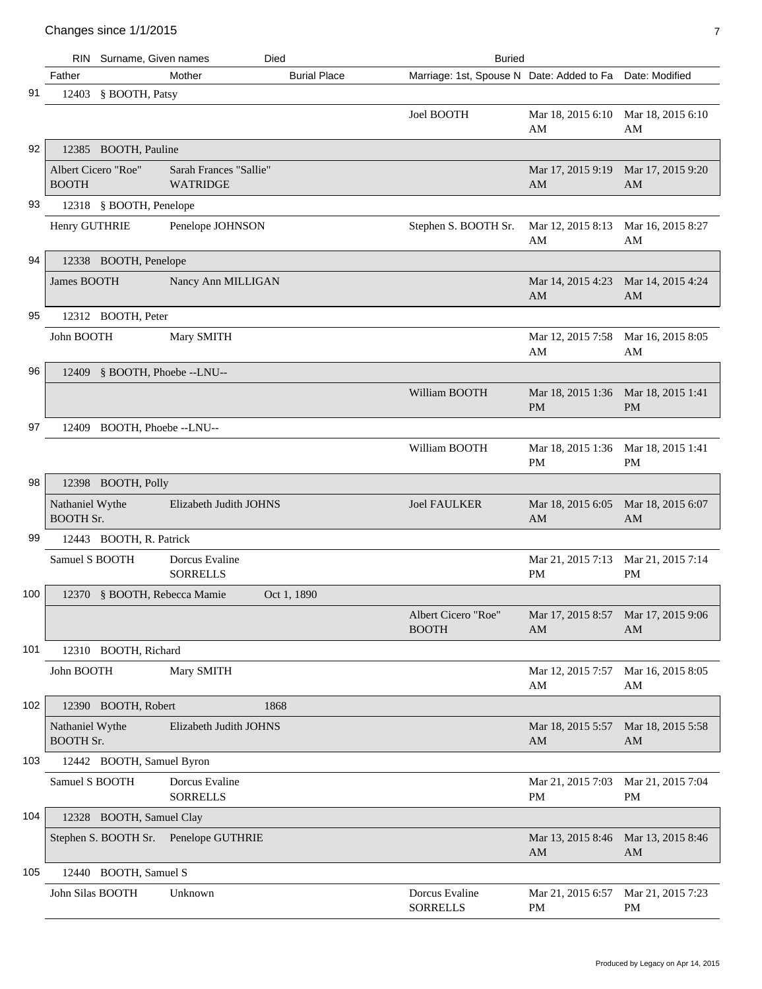## Changes since  $1/1/2015$

|     | <b>RIN</b>                          | Surname, Given names<br><b>Buried</b><br>Died |                                           |                     |                                                          |                                           |                                |
|-----|-------------------------------------|-----------------------------------------------|-------------------------------------------|---------------------|----------------------------------------------------------|-------------------------------------------|--------------------------------|
|     | Father                              |                                               | Mother                                    | <b>Burial Place</b> | Marriage: 1st, Spouse N Date: Added to Fa Date: Modified |                                           |                                |
| 91  |                                     | 12403 § BOOTH, Patsy                          |                                           |                     |                                                          |                                           |                                |
|     |                                     |                                               |                                           |                     | Joel BOOTH                                               | Mar 18, 2015 6:10<br>AM                   | Mar 18, 2015 6:10<br>AM        |
| 92  |                                     | 12385 BOOTH, Pauline                          |                                           |                     |                                                          |                                           |                                |
|     | Albert Cicero "Roe"<br><b>BOOTH</b> |                                               | Sarah Frances "Sallie"<br><b>WATRIDGE</b> |                     |                                                          | Mar 17, 2015 9:19<br>AM                   | Mar 17, 2015 9:20<br>AM        |
| 93  |                                     | 12318 § BOOTH, Penelope                       |                                           |                     |                                                          |                                           |                                |
|     | Henry GUTHRIE                       |                                               | Penelope JOHNSON                          |                     | Stephen S. BOOTH Sr.                                     | Mar 12, 2015 8:13<br>AM                   | Mar 16, 2015 8:27<br>AM        |
| 94  |                                     | 12338 BOOTH, Penelope                         |                                           |                     |                                                          |                                           |                                |
|     | <b>James BOOTH</b>                  |                                               | Nancy Ann MILLIGAN                        |                     |                                                          | Mar 14, 2015 4:23 Mar 14, 2015 4:24<br>AM | AM                             |
| 95  |                                     | 12312 BOOTH, Peter                            |                                           |                     |                                                          |                                           |                                |
|     | John BOOTH                          |                                               | Mary SMITH                                |                     |                                                          | Mar 12, 2015 7:58<br>AM                   | Mar 16, 2015 8:05<br>AM        |
| 96  |                                     | 12409 § BOOTH, Phoebe --LNU--                 |                                           |                     |                                                          |                                           |                                |
|     |                                     |                                               |                                           |                     | William BOOTH                                            | Mar 18, 2015 1:36<br><b>PM</b>            | Mar 18, 2015 1:41<br><b>PM</b> |
| 97  |                                     | 12409 BOOTH, Phoebe --LNU--                   |                                           |                     |                                                          |                                           |                                |
|     |                                     |                                               |                                           |                     | William BOOTH                                            | Mar 18, 2015 1:36<br>PM                   | Mar 18, 2015 1:41<br>PM        |
| 98  |                                     | 12398 BOOTH, Polly                            |                                           |                     |                                                          |                                           |                                |
|     | Nathaniel Wythe<br><b>BOOTH Sr.</b> |                                               | Elizabeth Judith JOHNS                    |                     | <b>Joel FAULKER</b>                                      | Mar 18, 2015 6:05<br>AM                   | Mar 18, 2015 6:07<br>AM        |
| 99  |                                     | 12443 BOOTH, R. Patrick                       |                                           |                     |                                                          |                                           |                                |
|     | Samuel S BOOTH                      |                                               | Dorcus Evaline<br><b>SORRELLS</b>         |                     |                                                          | Mar 21, 2015 7:13<br>PM                   | Mar 21, 2015 7:14<br><b>PM</b> |
| 100 |                                     | 12370 § BOOTH, Rebecca Mamie                  |                                           | Oct 1, 1890         |                                                          |                                           |                                |
|     |                                     |                                               |                                           |                     | Albert Cicero "Roe"<br><b>BOOTH</b>                      | Mar 17, 2015 8:57 Mar 17, 2015 9:06<br>AM | AM                             |
| 101 |                                     | 12310 BOOTH, Richard                          |                                           |                     |                                                          |                                           |                                |
|     | John BOOTH                          |                                               | Mary SMITH                                |                     |                                                          | Mar 12, 2015 7:57<br>AM                   | Mar 16, 2015 8:05<br>AM        |
| 102 |                                     | 12390 BOOTH, Robert                           | 1868                                      |                     |                                                          |                                           |                                |
|     | Nathaniel Wythe<br><b>BOOTH Sr.</b> |                                               | Elizabeth Judith JOHNS                    |                     |                                                          | Mar 18, 2015 5:57<br>AM                   | Mar 18, 2015 5:58<br>AM        |
| 103 |                                     | 12442 BOOTH, Samuel Byron                     |                                           |                     |                                                          |                                           |                                |
|     | Samuel S BOOTH                      |                                               | Dorcus Evaline<br><b>SORRELLS</b>         |                     |                                                          | Mar 21, 2015 7:03<br>PM                   | Mar 21, 2015 7:04<br>PM        |
| 104 |                                     | 12328 BOOTH, Samuel Clay                      |                                           |                     |                                                          |                                           |                                |
|     |                                     | Stephen S. BOOTH Sr.                          | Penelope GUTHRIE                          |                     |                                                          | Mar 13, 2015 8:46<br>AM                   | Mar 13, 2015 8:46<br>AM        |
| 105 |                                     | 12440 BOOTH, Samuel S                         |                                           |                     |                                                          |                                           |                                |
|     | John Silas BOOTH                    |                                               | Unknown                                   |                     | Dorcus Evaline<br><b>SORRELLS</b>                        | Mar 21, 2015 6:57<br>PM                   | Mar 21, 2015 7:23<br>PM        |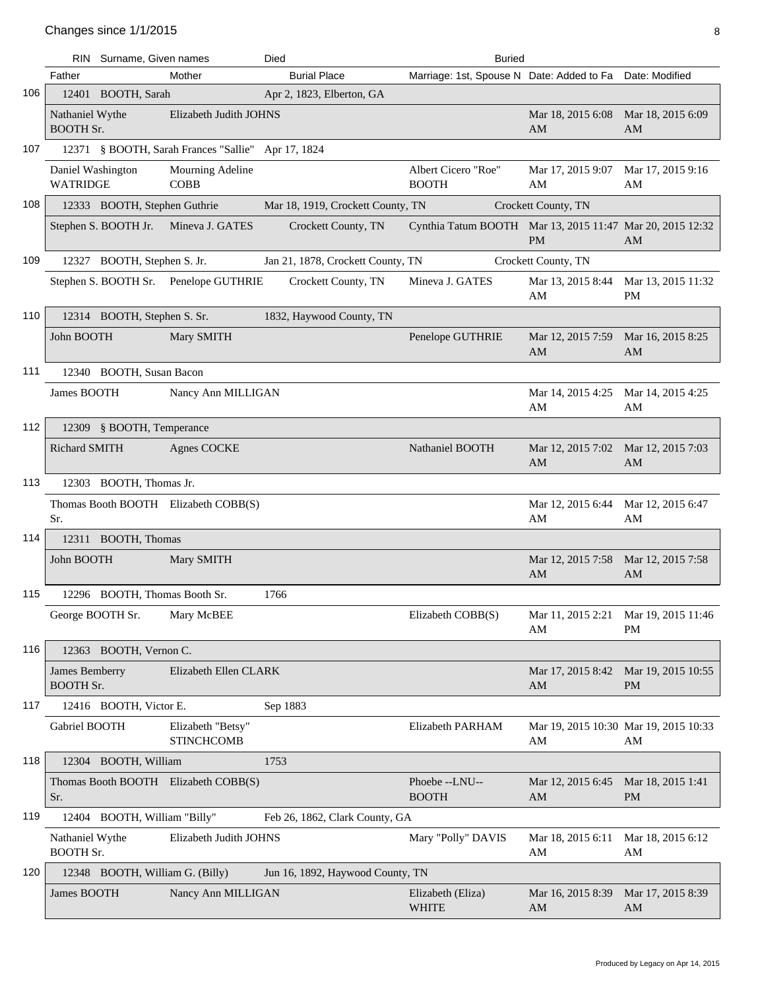|     |                                           | RIN Surname, Given names        |                                                    | Died                              | <b>Buried</b>                                             |                                             |                                 |
|-----|-------------------------------------------|---------------------------------|----------------------------------------------------|-----------------------------------|-----------------------------------------------------------|---------------------------------------------|---------------------------------|
|     | Father                                    |                                 | Mother                                             | <b>Burial Place</b>               | Marriage: 1st, Spouse N Date: Added to Fa Date: Modified  |                                             |                                 |
| 106 |                                           | 12401 BOOTH, Sarah              |                                                    | Apr 2, 1823, Elberton, GA         |                                                           |                                             |                                 |
|     | Nathaniel Wythe<br><b>BOOTH Sr.</b>       |                                 | Elizabeth Judith JOHNS                             |                                   |                                                           | Mar 18, 2015 6:08<br>AM                     | Mar 18, 2015 6:09<br>AM         |
| 107 |                                           |                                 | 12371 § BOOTH, Sarah Frances "Sallie" Apr 17, 1824 |                                   |                                                           |                                             |                                 |
|     | Daniel Washington<br><b>WATRIDGE</b>      |                                 | Mourning Adeline<br><b>COBB</b>                    |                                   | Albert Cicero "Roe"<br><b>BOOTH</b>                       | Mar 17, 2015 9:07<br>AM                     | Mar 17, 2015 9:16<br>AM         |
| 108 |                                           | 12333 BOOTH, Stephen Guthrie    |                                                    | Mar 18, 1919, Crockett County, TN |                                                           | Crockett County, TN                         |                                 |
|     |                                           | Stephen S. BOOTH Jr.            | Mineva J. GATES                                    | Crockett County, TN               | Cynthia Tatum BOOTH Mar 13, 2015 11:47 Mar 20, 2015 12:32 | <b>PM</b>                                   | AM                              |
| 109 |                                           | 12327 BOOTH, Stephen S. Jr.     |                                                    | Jan 21, 1878, Crockett County, TN |                                                           | Crockett County, TN                         |                                 |
|     |                                           |                                 | Stephen S. BOOTH Sr. Penelope GUTHRIE              | Crockett County, TN               | Mineva J. GATES                                           | Mar 13, 2015 8:44<br>AM                     | Mar 13, 2015 11:32<br><b>PM</b> |
| 110 |                                           | 12314 BOOTH, Stephen S. Sr.     |                                                    | 1832, Haywood County, TN          |                                                           |                                             |                                 |
|     | John BOOTH                                |                                 | Mary SMITH                                         |                                   | Penelope GUTHRIE                                          | Mar 12, 2015 7:59<br>AM                     | Mar 16, 2015 8:25<br>AM         |
| 111 |                                           | 12340 BOOTH, Susan Bacon        |                                                    |                                   |                                                           |                                             |                                 |
|     | James BOOTH                               |                                 | Nancy Ann MILLIGAN                                 |                                   |                                                           | Mar 14, 2015 4:25 Mar 14, 2015 4:25<br>AM   | AM                              |
| 112 |                                           | 12309 § BOOTH, Temperance       |                                                    |                                   |                                                           |                                             |                                 |
|     | <b>Richard SMITH</b>                      |                                 | <b>Agnes COCKE</b>                                 |                                   | Nathaniel BOOTH                                           | Mar 12, 2015 7:02<br>AM                     | Mar 12, 2015 7:03<br>AM         |
| 113 |                                           | 12303 BOOTH, Thomas Jr.         |                                                    |                                   |                                                           |                                             |                                 |
|     | Sr.                                       |                                 | Thomas Booth BOOTH Elizabeth COBB(S)               |                                   |                                                           | Mar 12, 2015 6:44<br>AM                     | Mar 12, 2015 6:47<br>AM         |
| 114 |                                           | 12311 BOOTH, Thomas             |                                                    |                                   |                                                           |                                             |                                 |
|     | John BOOTH                                |                                 | Mary SMITH                                         |                                   |                                                           | Mar 12, 2015 7:58<br>AM                     | Mar 12, 2015 7:58<br>AM         |
| 115 |                                           | 12296 BOOTH, Thomas Booth Sr.   |                                                    | 1766                              |                                                           |                                             |                                 |
|     | George BOOTH Sr.                          |                                 | Mary McBEE                                         |                                   | Elizabeth COBB(S)                                         | Mar 11, 2015 2:21 Mar 19, 2015 11:46<br>AM  | <b>PM</b>                       |
| 116 |                                           | 12363 BOOTH, Vernon C.          |                                                    |                                   |                                                           |                                             |                                 |
|     | <b>James Bemberry</b><br><b>BOOTH Sr.</b> |                                 | Elizabeth Ellen CLARK                              |                                   |                                                           | Mar 17, 2015 8:42 Mar 19, 2015 10:55<br>AM  | <b>PM</b>                       |
| 117 |                                           | 12416 BOOTH, Victor E.          |                                                    | Sep 1883                          |                                                           |                                             |                                 |
|     | Gabriel BOOTH                             |                                 | Elizabeth "Betsy"<br><b>STINCHCOMB</b>             |                                   | Elizabeth PARHAM                                          | Mar 19, 2015 10:30 Mar 19, 2015 10:33<br>AM | AM                              |
| 118 |                                           | 12304 BOOTH, William            |                                                    | 1753                              |                                                           |                                             |                                 |
|     | Sr.                                       |                                 | Thomas Booth BOOTH Elizabeth COBB(S)               |                                   | Phoebe--LNU--<br><b>BOOTH</b>                             | Mar 12, 2015 6:45 Mar 18, 2015 1:41<br>AM   | PM                              |
| 119 |                                           | 12404 BOOTH, William "Billy"    |                                                    | Feb 26, 1862, Clark County, GA    |                                                           |                                             |                                 |
|     | Nathaniel Wythe<br><b>BOOTH Sr.</b>       |                                 | Elizabeth Judith JOHNS                             |                                   | Mary "Polly" DAVIS                                        | Mar 18, 2015 6:11<br>AM                     | Mar 18, 2015 6:12<br>AM         |
| 120 |                                           | 12348 BOOTH, William G. (Billy) |                                                    | Jun 16, 1892, Haywood County, TN  |                                                           |                                             |                                 |
|     | James BOOTH                               |                                 | Nancy Ann MILLIGAN                                 |                                   | Elizabeth (Eliza)<br><b>WHITE</b>                         | Mar 16, 2015 8:39<br>AM                     | Mar 17, 2015 8:39<br>AM         |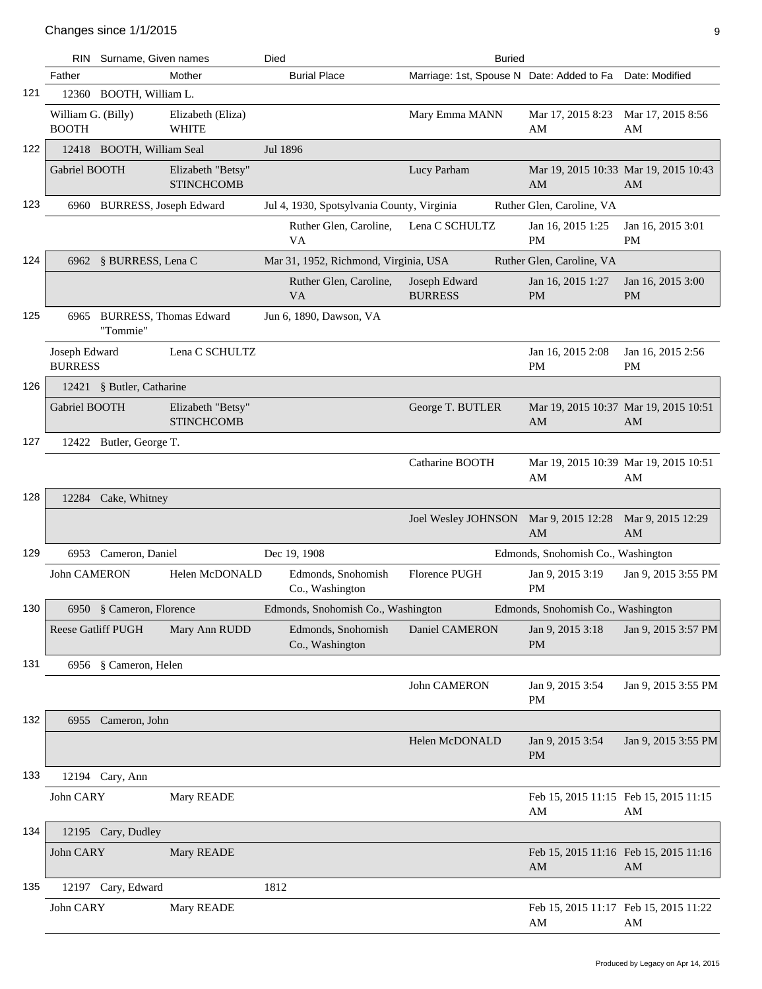|     |                                    | RIN Surname, Given names                |                                        | Died                                       | <b>Buried</b>                                            |                                             |                                |
|-----|------------------------------------|-----------------------------------------|----------------------------------------|--------------------------------------------|----------------------------------------------------------|---------------------------------------------|--------------------------------|
|     | Father                             |                                         | Mother                                 | <b>Burial Place</b>                        | Marriage: 1st, Spouse N Date: Added to Fa Date: Modified |                                             |                                |
| 121 |                                    | 12360 BOOTH, William L.                 |                                        |                                            |                                                          |                                             |                                |
|     | William G. (Billy)<br><b>BOOTH</b> |                                         | Elizabeth (Eliza)<br><b>WHITE</b>      |                                            | Mary Emma MANN                                           | Mar 17, 2015 8:23<br>AM                     | Mar 17, 2015 8:56<br>AM        |
| 122 |                                    | 12418 BOOTH, William Seal               |                                        | Jul 1896                                   |                                                          |                                             |                                |
|     | Gabriel BOOTH                      |                                         | Elizabeth "Betsy"<br><b>STINCHCOMB</b> |                                            | Lucy Parham                                              | Mar 19, 2015 10:33 Mar 19, 2015 10:43<br>AM | AM                             |
| 123 |                                    | 6960 BURRESS, Joseph Edward             |                                        | Jul 4, 1930, Spotsylvania County, Virginia |                                                          | Ruther Glen, Caroline, VA                   |                                |
|     |                                    |                                         |                                        | Ruther Glen, Caroline,<br>VA               | Lena C SCHULTZ                                           | Jan 16, 2015 1:25<br><b>PM</b>              | Jan 16, 2015 3:01<br><b>PM</b> |
| 124 |                                    | 6962 § BURRESS, Lena C                  |                                        | Mar 31, 1952, Richmond, Virginia, USA      |                                                          | Ruther Glen, Caroline, VA                   |                                |
|     |                                    |                                         |                                        | Ruther Glen, Caroline,<br><b>VA</b>        | Joseph Edward<br><b>BURRESS</b>                          | Jan 16, 2015 1:27<br><b>PM</b>              | Jan 16, 2015 3:00<br><b>PM</b> |
| 125 |                                    | 6965 BURRESS, Thomas Edward<br>"Tommie" |                                        | Jun 6, 1890, Dawson, VA                    |                                                          |                                             |                                |
|     | Joseph Edward<br><b>BURRESS</b>    |                                         | Lena C SCHULTZ                         |                                            |                                                          | Jan 16, 2015 2:08<br>PM                     | Jan 16, 2015 2:56<br>PM        |
| 126 |                                    | 12421 § Butler, Catharine               |                                        |                                            |                                                          |                                             |                                |
|     | Gabriel BOOTH                      |                                         | Elizabeth "Betsy"<br><b>STINCHCOMB</b> |                                            | George T. BUTLER                                         | Mar 19, 2015 10:37 Mar 19, 2015 10:51<br>AM | AM                             |
| 127 |                                    | 12422 Butler, George T.                 |                                        |                                            |                                                          |                                             |                                |
|     |                                    |                                         |                                        |                                            | Catharine BOOTH                                          | Mar 19, 2015 10:39 Mar 19, 2015 10:51<br>AM | AΜ                             |
| 128 |                                    | 12284 Cake, Whitney                     |                                        |                                            |                                                          |                                             |                                |
|     |                                    |                                         |                                        |                                            | Joel Wesley JOHNSON Mar 9, 2015 12:28                    | AM                                          | Mar 9, 2015 12:29<br>AM        |
| 129 |                                    | 6953 Cameron, Daniel                    |                                        | Dec 19, 1908                               |                                                          | Edmonds, Snohomish Co., Washington          |                                |
|     | John CAMERON                       |                                         | Helen McDONALD                         | Edmonds, Snohomish<br>Co., Washington      | Florence PUGH                                            | Jan 9, 2015 3:19<br>PM                      | Jan 9, 2015 3:55 PM            |
| 130 |                                    | 6950 § Cameron, Florence                |                                        | Edmonds, Snohomish Co., Washington         |                                                          | Edmonds, Snohomish Co., Washington          |                                |
|     | Reese Gatliff PUGH                 |                                         | Mary Ann RUDD                          | Edmonds, Snohomish<br>Co., Washington      | Daniel CAMERON                                           | Jan 9, 2015 3:18<br><b>PM</b>               | Jan 9, 2015 3:57 PM            |
| 131 |                                    | 6956 § Cameron, Helen                   |                                        |                                            |                                                          |                                             |                                |
|     |                                    |                                         |                                        |                                            | John CAMERON                                             | Jan 9, 2015 3:54<br>PM                      | Jan 9, 2015 3:55 PM            |
| 132 |                                    | 6955 Cameron, John                      |                                        |                                            |                                                          |                                             |                                |
|     |                                    |                                         |                                        |                                            | Helen McDONALD                                           | Jan 9, 2015 3:54<br><b>PM</b>               | Jan 9, 2015 3:55 PM            |
| 133 |                                    | 12194 Cary, Ann                         |                                        |                                            |                                                          |                                             |                                |
|     | John CARY                          |                                         | Mary READE                             |                                            |                                                          | Feb 15, 2015 11:15 Feb 15, 2015 11:15<br>AM | AΜ                             |
| 134 |                                    | 12195 Cary, Dudley                      |                                        |                                            |                                                          |                                             |                                |
|     | John CARY                          |                                         | Mary READE                             |                                            |                                                          | Feb 15, 2015 11:16 Feb 15, 2015 11:16<br>AM | AM                             |
| 135 |                                    | 12197 Cary, Edward                      |                                        | 1812                                       |                                                          |                                             |                                |
|     | John CARY                          |                                         | Mary READE                             |                                            |                                                          | Feb 15, 2015 11:17 Feb 15, 2015 11:22<br>AM | AM                             |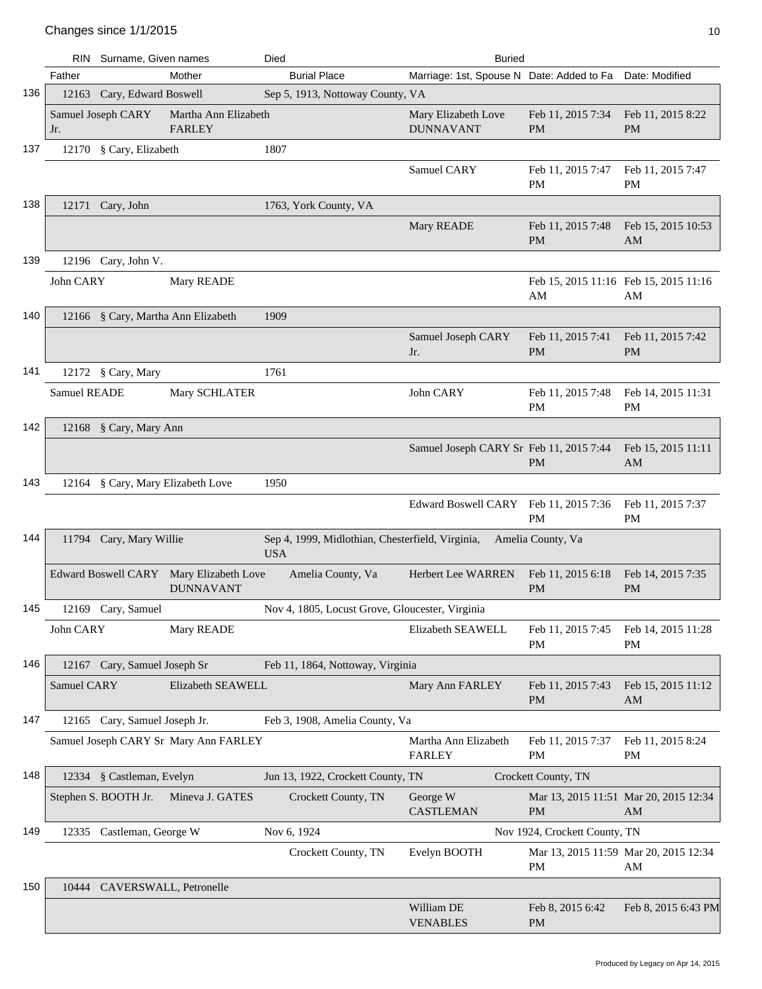|     | RIN          | Surname, Given names          |                                                             | Died                                                           | <b>Buried</b>                                            |                                             |                                             |
|-----|--------------|-------------------------------|-------------------------------------------------------------|----------------------------------------------------------------|----------------------------------------------------------|---------------------------------------------|---------------------------------------------|
|     | Father       |                               | Mother                                                      | <b>Burial Place</b>                                            | Marriage: 1st, Spouse N Date: Added to Fa Date: Modified |                                             |                                             |
| 136 |              | 12163 Cary, Edward Boswell    |                                                             | Sep 5, 1913, Nottoway County, VA                               |                                                          |                                             |                                             |
|     | Jr.          | Samuel Joseph CARY            | Martha Ann Elizabeth<br><b>FARLEY</b>                       |                                                                | Mary Elizabeth Love<br><b>DUNNAVANT</b>                  | Feb 11, 2015 7:34<br><b>PM</b>              | Feb 11, 2015 8:22<br><b>PM</b>              |
| 137 |              | 12170 § Cary, Elizabeth       |                                                             | 1807                                                           |                                                          |                                             |                                             |
|     |              |                               |                                                             |                                                                | Samuel CARY                                              | Feb 11, 2015 7:47<br>PM                     | Feb 11, 2015 7:47<br>PM                     |
| 138 |              | 12171 Cary, John              |                                                             | 1763, York County, VA                                          |                                                          |                                             |                                             |
|     |              |                               |                                                             |                                                                | Mary READE                                               | Feb 11, 2015 7:48<br>PM                     | Feb 15, 2015 10:53<br>AM                    |
| 139 |              | 12196 Cary, John V.           |                                                             |                                                                |                                                          |                                             |                                             |
|     | John CARY    |                               | Mary READE                                                  |                                                                |                                                          | Feb 15, 2015 11:16 Feb 15, 2015 11:16<br>AM | AM                                          |
| 140 |              |                               | 12166 § Cary, Martha Ann Elizabeth                          | 1909                                                           |                                                          |                                             |                                             |
|     |              |                               |                                                             |                                                                | Samuel Joseph CARY<br>Jr.                                | Feb 11, 2015 7:41<br><b>PM</b>              | Feb 11, 2015 7:42<br><b>PM</b>              |
| 141 |              | 12172 § Cary, Mary            |                                                             | 1761                                                           |                                                          |                                             |                                             |
|     | Samuel READE |                               | Mary SCHLATER                                               |                                                                | John CARY                                                | Feb 11, 2015 7:48<br><b>PM</b>              | Feb 14, 2015 11:31<br>PM                    |
| 142 |              | 12168 § Cary, Mary Ann        |                                                             |                                                                |                                                          |                                             |                                             |
|     |              |                               |                                                             |                                                                | Samuel Joseph CARY Sr Feb 11, 2015 7:44                  | <b>PM</b>                                   | Feb 15, 2015 11:11<br>AM                    |
| 143 |              |                               | 12164 § Cary, Mary Elizabeth Love                           | 1950                                                           |                                                          |                                             |                                             |
|     |              |                               |                                                             |                                                                | Edward Boswell CARY Feb 11, 2015 7:36                    | PM                                          | Feb 11, 2015 7:37<br><b>PM</b>              |
| 144 |              | 11794 Cary, Mary Willie       |                                                             | Sep 4, 1999, Midlothian, Chesterfield, Virginia,<br><b>USA</b> |                                                          | Amelia County, Va                           |                                             |
|     |              |                               | Edward Boswell CARY Mary Elizabeth Love<br><b>DUNNAVANT</b> | Amelia County, Va                                              | Herbert Lee WARREN                                       | Feb 11, 2015 6:18<br><b>PM</b>              | Feb 14, 2015 7:35<br>PM                     |
| 145 |              | 12169 Cary, Samuel            |                                                             | Nov 4, 1805, Locust Grove, Gloucester, Virginia                |                                                          |                                             |                                             |
|     | John CARY    |                               | Mary READE                                                  |                                                                | Elizabeth SEAWELL                                        | Feb 11, 2015 7:45<br>PM                     | Feb 14, 2015 11:28<br>PM                    |
| 146 |              | 12167 Cary, Samuel Joseph Sr  |                                                             | Feb 11, 1864, Nottoway, Virginia                               |                                                          |                                             |                                             |
|     | Samuel CARY  |                               | Elizabeth SEAWELL                                           |                                                                | Mary Ann FARLEY                                          | Feb 11, 2015 7:43<br>PM                     | Feb 15, 2015 11:12<br>AM                    |
| 147 |              | 12165 Cary, Samuel Joseph Jr. |                                                             | Feb 3, 1908, Amelia County, Va                                 |                                                          |                                             |                                             |
|     |              |                               | Samuel Joseph CARY Sr Mary Ann FARLEY                       |                                                                | Martha Ann Elizabeth<br><b>FARLEY</b>                    | Feb 11, 2015 7:37<br>PM                     | Feb 11, 2015 8:24<br>PM                     |
| 148 |              | 12334 § Castleman, Evelyn     |                                                             | Jun 13, 1922, Crockett County, TN                              |                                                          | Crockett County, TN                         |                                             |
|     |              | Stephen S. BOOTH Jr.          | Mineva J. GATES                                             | Crockett County, TN                                            | George W<br><b>CASTLEMAN</b>                             | <b>PM</b>                                   | Mar 13, 2015 11:51 Mar 20, 2015 12:34<br>AM |
| 149 |              | 12335 Castleman, George W     |                                                             | Nov 6, 1924                                                    |                                                          | Nov 1924, Crockett County, TN               |                                             |
|     |              |                               |                                                             | Crockett County, TN                                            | Evelyn BOOTH                                             | PM                                          | Mar 13, 2015 11:59 Mar 20, 2015 12:34<br>AM |
| 150 |              | 10444 CAVERSWALL, Petronelle  |                                                             |                                                                |                                                          |                                             |                                             |
|     |              |                               |                                                             |                                                                | William DE<br><b>VENABLES</b>                            | Feb 8, 2015 6:42<br><b>PM</b>               | Feb 8, 2015 6:43 PM                         |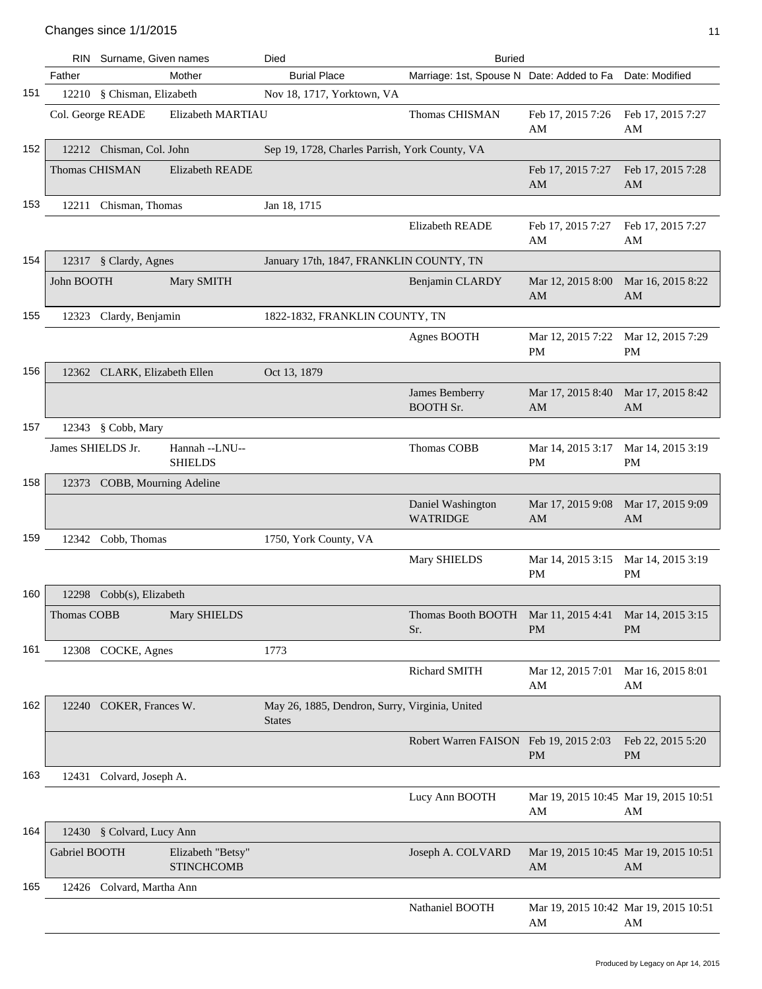|     |                       | RIN Surname, Given names     |                                        | Died                                                            | <b>Buried</b>                               |                                             |                                |
|-----|-----------------------|------------------------------|----------------------------------------|-----------------------------------------------------------------|---------------------------------------------|---------------------------------------------|--------------------------------|
|     | Father                |                              | Mother                                 | <b>Burial Place</b>                                             | Marriage: 1st, Spouse N Date: Added to Fa   |                                             | Date: Modified                 |
| 151 |                       | 12210 § Chisman, Elizabeth   |                                        | Nov 18, 1717, Yorktown, VA                                      |                                             |                                             |                                |
|     |                       | Col. George READE            | Elizabeth MARTIAU                      |                                                                 | Thomas CHISMAN                              | Feb 17, 2015 7:26                           | Feb 17, 2015 7:27              |
|     |                       |                              |                                        |                                                                 |                                             | AM                                          | AM                             |
| 152 |                       | 12212 Chisman, Col. John     |                                        | Sep 19, 1728, Charles Parrish, York County, VA                  |                                             |                                             |                                |
|     | <b>Thomas CHISMAN</b> |                              | <b>Elizabeth READE</b>                 |                                                                 |                                             | Feb 17, 2015 7:27<br>AM                     | Feb 17, 2015 7:28<br>AM        |
| 153 |                       | 12211 Chisman, Thomas        |                                        | Jan 18, 1715                                                    |                                             |                                             |                                |
|     |                       |                              |                                        |                                                                 | Elizabeth READE                             | Feb 17, 2015 7:27<br>AM                     | Feb 17, 2015 7:27<br>AM        |
| 154 |                       | 12317 § Clardy, Agnes        |                                        | January 17th, 1847, FRANKLIN COUNTY, TN                         |                                             |                                             |                                |
|     | John BOOTH            |                              | Mary SMITH                             |                                                                 | Benjamin CLARDY                             | Mar 12, 2015 8:00<br>AM                     | Mar 16, 2015 8:22<br>AM        |
| 155 | 12323                 | Clardy, Benjamin             |                                        | 1822-1832, FRANKLIN COUNTY, TN                                  |                                             |                                             |                                |
|     |                       |                              |                                        |                                                                 | Agnes BOOTH                                 | Mar 12, 2015 7:22<br>PM                     | Mar 12, 2015 7:29<br>PM        |
| 156 |                       | 12362 CLARK, Elizabeth Ellen |                                        | Oct 13, 1879                                                    |                                             |                                             |                                |
|     |                       |                              |                                        |                                                                 | James Bemberry<br><b>BOOTH Sr.</b>          | Mar 17, 2015 8:40<br>AM                     | Mar 17, 2015 8:42<br>AM        |
| 157 |                       | 12343 § Cobb, Mary           |                                        |                                                                 |                                             |                                             |                                |
|     | James SHIELDS Jr.     |                              | Hannah --LNU--<br><b>SHIELDS</b>       |                                                                 | Thomas COBB                                 | Mar 14, 2015 3:17<br><b>PM</b>              | Mar 14, 2015 3:19<br><b>PM</b> |
| 158 |                       | 12373 COBB, Mourning Adeline |                                        |                                                                 |                                             |                                             |                                |
|     |                       |                              |                                        |                                                                 | Daniel Washington<br><b>WATRIDGE</b>        | Mar 17, 2015 9:08<br>AM                     | Mar 17, 2015 9:09<br>AM        |
| 159 |                       | 12342 Cobb, Thomas           |                                        | 1750, York County, VA                                           |                                             |                                             |                                |
|     |                       |                              |                                        |                                                                 | Mary SHIELDS                                | Mar 14, 2015 3:15<br>PM                     | Mar 14, 2015 3:19<br><b>PM</b> |
| 160 |                       | 12298 Cobb(s), Elizabeth     |                                        |                                                                 |                                             |                                             |                                |
|     | Thomas COBB           |                              | Mary SHIELDS                           |                                                                 | Thomas Booth BOOTH Mar 11, 2015 4:41<br>Sr. | <b>PM</b>                                   | Mar 14, 2015 3:15<br><b>PM</b> |
| 161 |                       | 12308 COCKE, Agnes           |                                        | 1773                                                            |                                             |                                             |                                |
|     |                       |                              |                                        |                                                                 | Richard SMITH                               | Mar 12, 2015 7:01<br>AM                     | Mar 16, 2015 8:01<br>AM        |
| 162 |                       | 12240 COKER, Frances W.      |                                        | May 26, 1885, Dendron, Surry, Virginia, United<br><b>States</b> |                                             |                                             |                                |
|     |                       |                              |                                        |                                                                 | Robert Warren FAISON Feb 19, 2015 2:03      | <b>PM</b>                                   | Feb 22, 2015 5:20<br>PM        |
| 163 |                       | 12431 Colvard, Joseph A.     |                                        |                                                                 |                                             |                                             |                                |
|     |                       |                              |                                        |                                                                 | Lucy Ann BOOTH                              | Mar 19, 2015 10:45 Mar 19, 2015 10:51<br>AM | AM                             |
| 164 |                       | 12430 § Colvard, Lucy Ann    |                                        |                                                                 |                                             |                                             |                                |
|     | Gabriel BOOTH         |                              | Elizabeth "Betsy"<br><b>STINCHCOMB</b> |                                                                 | Joseph A. COLVARD                           | Mar 19, 2015 10:45 Mar 19, 2015 10:51<br>AM | AM                             |
| 165 |                       | 12426 Colvard, Martha Ann    |                                        |                                                                 |                                             |                                             |                                |
|     |                       |                              |                                        |                                                                 | Nathaniel BOOTH                             | Mar 19, 2015 10:42 Mar 19, 2015 10:51<br>AM | AM                             |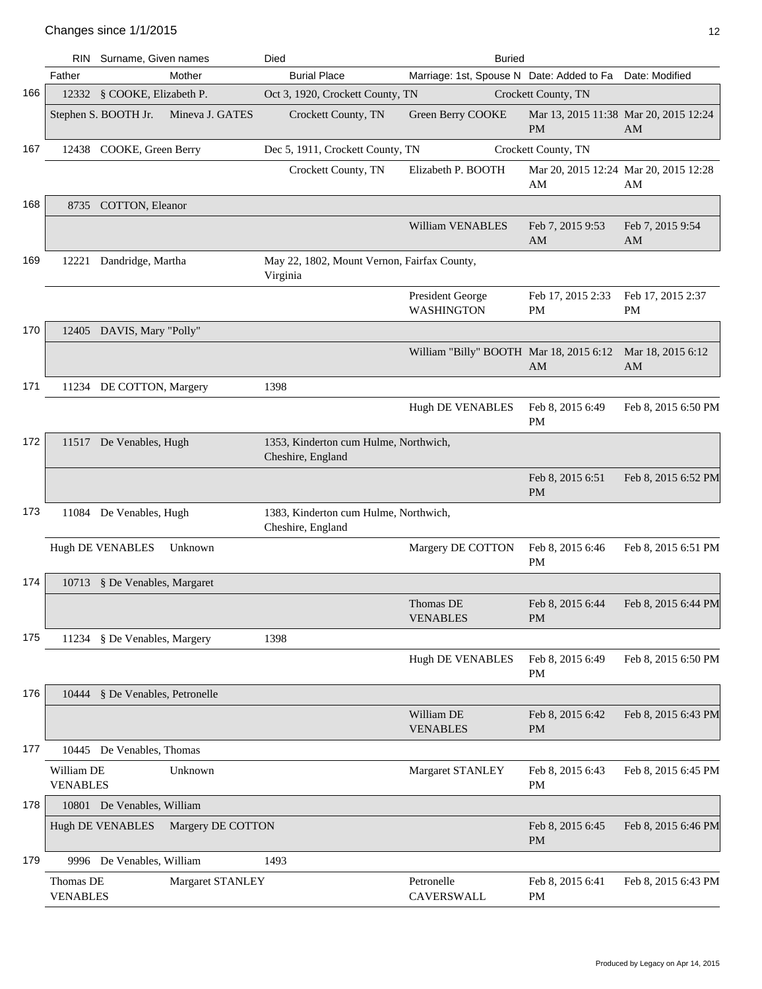|     | RIN                           | Surname, Given names                         | Died                                                       | <b>Buried</b>                                            |                                |                                             |
|-----|-------------------------------|----------------------------------------------|------------------------------------------------------------|----------------------------------------------------------|--------------------------------|---------------------------------------------|
|     | Father                        | Mother                                       | <b>Burial Place</b>                                        | Marriage: 1st, Spouse N Date: Added to Fa Date: Modified |                                |                                             |
| 166 |                               | 12332 § COOKE, Elizabeth P.                  | Oct 3, 1920, Crockett County, TN                           |                                                          | Crockett County, TN            |                                             |
|     |                               | Stephen S. BOOTH Jr.<br>Mineva J. GATES      | Crockett County, TN                                        | Green Berry COOKE                                        | <b>PM</b>                      | Mar 13, 2015 11:38 Mar 20, 2015 12:24<br>AM |
| 167 |                               | 12438 COOKE, Green Berry                     | Dec 5, 1911, Crockett County, TN                           |                                                          | Crockett County, TN            |                                             |
|     |                               |                                              | Crockett County, TN                                        | Elizabeth P. BOOTH                                       | AM                             | Mar 20, 2015 12:24 Mar 20, 2015 12:28<br>AM |
| 168 |                               | 8735 COTTON, Eleanor                         |                                                            |                                                          |                                |                                             |
|     |                               |                                              |                                                            | William VENABLES                                         | Feb 7, 2015 9:53<br>AM         | Feb 7, 2015 9:54<br>AM                      |
| 169 |                               | 12221 Dandridge, Martha                      | May 22, 1802, Mount Vernon, Fairfax County,<br>Virginia    |                                                          |                                |                                             |
|     |                               |                                              |                                                            | President George<br><b>WASHINGTON</b>                    | Feb 17, 2015 2:33<br><b>PM</b> | Feb 17, 2015 2:37<br>PM                     |
| 170 |                               | 12405 DAVIS, Mary "Polly"                    |                                                            |                                                          |                                |                                             |
|     |                               |                                              |                                                            | William "Billy" BOOTH Mar 18, 2015 6:12                  | AM                             | Mar 18, 2015 6:12<br>AM                     |
| 171 |                               | 11234 DE COTTON, Margery                     | 1398                                                       |                                                          |                                |                                             |
|     |                               |                                              |                                                            | Hugh DE VENABLES                                         | Feb 8, 2015 6:49<br>PM         | Feb 8, 2015 6:50 PM                         |
| 172 |                               | 11517 De Venables, Hugh                      | 1353, Kinderton cum Hulme, Northwich,<br>Cheshire, England |                                                          |                                |                                             |
|     |                               |                                              |                                                            |                                                          | Feb 8, 2015 6:51<br><b>PM</b>  | Feb 8, 2015 6:52 PM                         |
| 173 |                               | 11084 De Venables, Hugh                      | 1383, Kinderton cum Hulme, Northwich,<br>Cheshire, England |                                                          |                                |                                             |
|     |                               | Hugh DE VENABLES<br>Unknown                  |                                                            | Margery DE COTTON                                        | Feb 8, 2015 6:46<br>PM         | Feb 8, 2015 6:51 PM                         |
| 174 |                               | 10713 § De Venables, Margaret                |                                                            |                                                          |                                |                                             |
|     |                               |                                              |                                                            | Thomas DE<br><b>VENABLES</b>                             | Feb 8, 2015 6:44<br><b>PM</b>  | Feb 8, 2015 6:44 PM                         |
| 175 |                               | 11234 § De Venables, Margery                 | 1398                                                       |                                                          |                                |                                             |
|     |                               |                                              |                                                            | Hugh DE VENABLES                                         | Feb 8, 2015 6:49<br><b>PM</b>  | Feb 8, 2015 6:50 PM                         |
| 176 |                               | 10444 § De Venables, Petronelle              |                                                            |                                                          |                                |                                             |
|     |                               |                                              |                                                            | William DE<br><b>VENABLES</b>                            | Feb 8, 2015 6:42<br><b>PM</b>  | Feb 8, 2015 6:43 PM                         |
| 177 |                               | 10445 De Venables, Thomas                    |                                                            |                                                          |                                |                                             |
|     | William DE<br><b>VENABLES</b> | Unknown                                      |                                                            | Margaret STANLEY                                         | Feb 8, 2015 6:43<br>PМ         | Feb 8, 2015 6:45 PM                         |
| 178 |                               | 10801 De Venables, William                   |                                                            |                                                          |                                |                                             |
|     |                               | Margery DE COTTON<br><b>Hugh DE VENABLES</b> |                                                            |                                                          | Feb 8, 2015 6:45<br><b>PM</b>  | Feb 8, 2015 6:46 PM                         |
| 179 |                               | 9996 De Venables, William                    | 1493                                                       |                                                          |                                |                                             |
|     | Thomas DE<br><b>VENABLES</b>  | Margaret STANLEY                             |                                                            | Petronelle<br>CAVERSWALL                                 | Feb 8, 2015 6:41<br><b>PM</b>  | Feb 8, 2015 6:43 PM                         |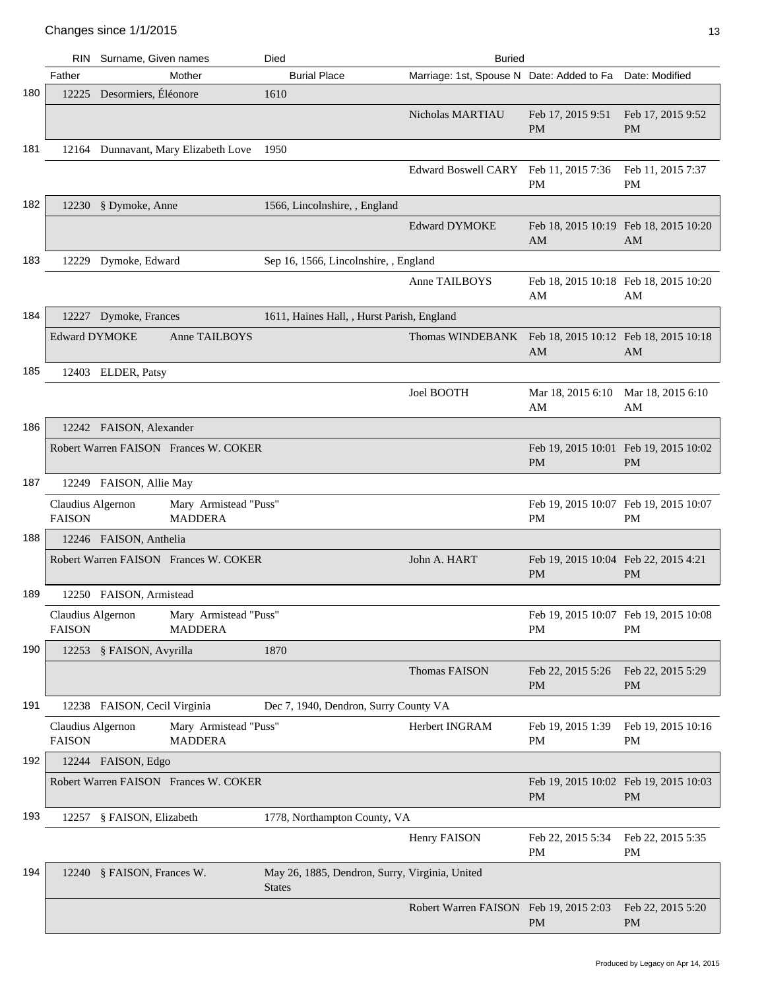|     |                                    | RIN Surname, Given names                | Died                                                            | <b>Buried</b>                                            |                                                    |                                |
|-----|------------------------------------|-----------------------------------------|-----------------------------------------------------------------|----------------------------------------------------------|----------------------------------------------------|--------------------------------|
|     | Father                             | Mother                                  | <b>Burial Place</b>                                             | Marriage: 1st, Spouse N Date: Added to Fa Date: Modified |                                                    |                                |
| 180 |                                    | 12225 Desormiers, Éléonore              | 1610                                                            |                                                          |                                                    |                                |
|     |                                    |                                         |                                                                 | Nicholas MARTIAU                                         | Feb 17, 2015 9:51<br><b>PM</b>                     | Feb 17, 2015 9:52<br><b>PM</b> |
| 181 |                                    | 12164 Dunnavant, Mary Elizabeth Love    | 1950                                                            |                                                          |                                                    |                                |
|     |                                    |                                         |                                                                 | Edward Boswell CARY Feb 11, 2015 7:36                    | PM                                                 | Feb 11, 2015 7:37<br><b>PM</b> |
| 182 |                                    | 12230 § Dymoke, Anne                    | 1566, Lincolnshire, , England                                   |                                                          |                                                    |                                |
|     |                                    |                                         |                                                                 | <b>Edward DYMOKE</b>                                     | Feb 18, 2015 10:19 Feb 18, 2015 10:20<br>AM        | AM                             |
| 183 | 12229                              | Dymoke, Edward                          | Sep 16, 1566, Lincolnshire, , England                           |                                                          |                                                    |                                |
|     |                                    |                                         |                                                                 | Anne TAILBOYS                                            | Feb 18, 2015 10:18 Feb 18, 2015 10:20<br>AM        | AM                             |
| 184 |                                    | 12227 Dymoke, Frances                   | 1611, Haines Hall, , Hurst Parish, England                      |                                                          |                                                    |                                |
|     | <b>Edward DYMOKE</b>               | Anne TAILBOYS                           |                                                                 | Thomas WINDEBANK Feb 18, 2015 10:12 Feb 18, 2015 10:18   | AM                                                 | AM                             |
| 185 |                                    | 12403 ELDER, Patsy                      |                                                                 |                                                          |                                                    |                                |
|     |                                    |                                         |                                                                 | Joel BOOTH                                               | Mar 18, 2015 6:10<br>AM                            | Mar 18, 2015 6:10<br>AM        |
| 186 |                                    | 12242 FAISON, Alexander                 |                                                                 |                                                          |                                                    |                                |
|     |                                    | Robert Warren FAISON Frances W. COKER   |                                                                 |                                                          | Feb 19, 2015 10:01 Feb 19, 2015 10:02<br><b>PM</b> | PM                             |
| 187 |                                    | 12249 FAISON, Allie May                 |                                                                 |                                                          |                                                    |                                |
|     | Claudius Algernon<br><b>FAISON</b> | Mary Armistead "Puss"<br><b>MADDERA</b> |                                                                 |                                                          | Feb 19, 2015 10:07 Feb 19, 2015 10:07<br>PM        | PM                             |
| 188 |                                    | 12246 FAISON, Anthelia                  |                                                                 |                                                          |                                                    |                                |
|     |                                    | Robert Warren FAISON Frances W. COKER   |                                                                 | John A. HART                                             | Feb 19, 2015 10:04 Feb 22, 2015 4:21<br><b>PM</b>  | PM                             |
| 189 |                                    | 12250 FAISON, Armistead                 |                                                                 |                                                          |                                                    |                                |
|     | Claudius Algernon<br><b>FAISON</b> | Mary Armistead "Puss"<br><b>MADDERA</b> |                                                                 |                                                          | Feb 19, 2015 10:07 Feb 19, 2015 10:08<br>PM        | <b>PM</b>                      |
| 190 |                                    | 12253 § FAISON, Avyrilla                | 1870                                                            |                                                          |                                                    |                                |
|     |                                    |                                         |                                                                 | <b>Thomas FAISON</b>                                     | Feb 22, 2015 5:26<br><b>PM</b>                     | Feb 22, 2015 5:29<br><b>PM</b> |
| 191 |                                    | 12238 FAISON, Cecil Virginia            | Dec 7, 1940, Dendron, Surry County VA                           |                                                          |                                                    |                                |
|     | Claudius Algernon<br><b>FAISON</b> | Mary Armistead "Puss"<br><b>MADDERA</b> |                                                                 | Herbert INGRAM                                           | Feb 19, 2015 1:39<br>PM                            | Feb 19, 2015 10:16<br>PM       |
| 192 |                                    | 12244 FAISON, Edgo                      |                                                                 |                                                          |                                                    |                                |
|     |                                    | Robert Warren FAISON Frances W. COKER   |                                                                 |                                                          | Feb 19, 2015 10:02 Feb 19, 2015 10:03<br><b>PM</b> | PM                             |
| 193 |                                    | 12257 § FAISON, Elizabeth               | 1778, Northampton County, VA                                    |                                                          |                                                    |                                |
|     |                                    |                                         |                                                                 | Henry FAISON                                             | Feb 22, 2015 5:34<br>PM                            | Feb 22, 2015 5:35<br>PM        |
| 194 |                                    | 12240 § FAISON, Frances W.              | May 26, 1885, Dendron, Surry, Virginia, United<br><b>States</b> |                                                          |                                                    |                                |
|     |                                    |                                         |                                                                 | Robert Warren FAISON Feb 19, 2015 2:03                   | <b>PM</b>                                          | Feb 22, 2015 5:20<br><b>PM</b> |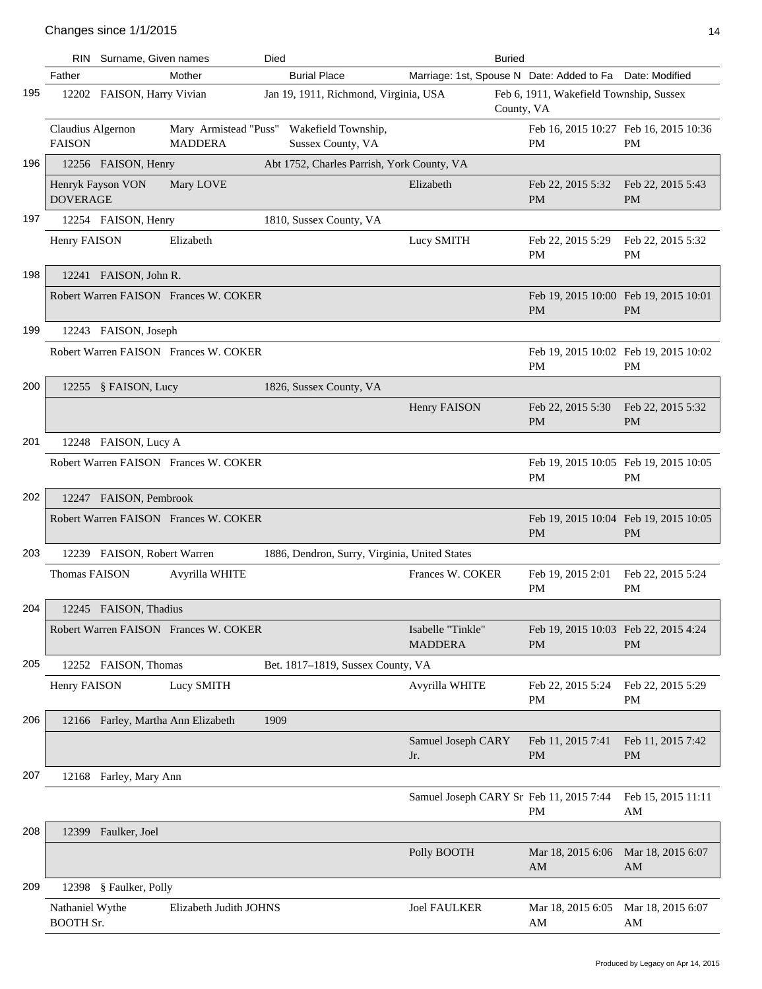|     | RIN                                 | Surname, Given names               |                                         | Died |                                               | <b>Buried</b>                                            |                                                    |                                |
|-----|-------------------------------------|------------------------------------|-----------------------------------------|------|-----------------------------------------------|----------------------------------------------------------|----------------------------------------------------|--------------------------------|
|     | Father                              |                                    | Mother                                  |      | <b>Burial Place</b>                           | Marriage: 1st, Spouse N Date: Added to Fa Date: Modified |                                                    |                                |
| 195 |                                     | 12202 FAISON, Harry Vivian         |                                         |      | Jan 19, 1911, Richmond, Virginia, USA         | County, VA                                               | Feb 6, 1911, Wakefield Township, Sussex            |                                |
|     | Claudius Algernon<br><b>FAISON</b>  |                                    | Mary Armistead "Puss"<br><b>MADDERA</b> |      | Wakefield Township,<br>Sussex County, VA      |                                                          | Feb 16, 2015 10:27 Feb 16, 2015 10:36<br><b>PM</b> | PM                             |
| 196 |                                     | 12256 FAISON, Henry                |                                         |      | Abt 1752, Charles Parrish, York County, VA    |                                                          |                                                    |                                |
|     | <b>DOVERAGE</b>                     | Henryk Fayson VON                  | Mary LOVE                               |      |                                               | Elizabeth                                                | Feb 22, 2015 5:32<br><b>PM</b>                     | Feb 22, 2015 5:43<br><b>PM</b> |
| 197 |                                     | 12254 FAISON, Henry                |                                         |      | 1810, Sussex County, VA                       |                                                          |                                                    |                                |
|     | Henry FAISON                        |                                    | Elizabeth                               |      |                                               | Lucy SMITH                                               | Feb 22, 2015 5:29<br>PM                            | Feb 22, 2015 5:32<br><b>PM</b> |
| 198 |                                     | 12241 FAISON, John R.              |                                         |      |                                               |                                                          |                                                    |                                |
|     |                                     |                                    | Robert Warren FAISON Frances W. COKER   |      |                                               |                                                          | Feb 19, 2015 10:00 Feb 19, 2015 10:01<br><b>PM</b> | <b>PM</b>                      |
| 199 |                                     | 12243 FAISON, Joseph               |                                         |      |                                               |                                                          |                                                    |                                |
|     |                                     |                                    | Robert Warren FAISON Frances W. COKER   |      |                                               |                                                          | Feb 19, 2015 10:02 Feb 19, 2015 10:02<br><b>PM</b> | <b>PM</b>                      |
| 200 |                                     | 12255 § FAISON, Lucy               |                                         |      | 1826, Sussex County, VA                       |                                                          |                                                    |                                |
|     |                                     |                                    |                                         |      |                                               | <b>Henry FAISON</b>                                      | Feb 22, 2015 5:30<br><b>PM</b>                     | Feb 22, 2015 5:32<br><b>PM</b> |
| 201 |                                     | 12248 FAISON, Lucy A               |                                         |      |                                               |                                                          |                                                    |                                |
|     |                                     |                                    | Robert Warren FAISON Frances W. COKER   |      |                                               |                                                          | Feb 19, 2015 10:05 Feb 19, 2015 10:05<br><b>PM</b> | <b>PM</b>                      |
| 202 |                                     | 12247 FAISON, Pembrook             |                                         |      |                                               |                                                          |                                                    |                                |
|     |                                     |                                    | Robert Warren FAISON Frances W. COKER   |      |                                               |                                                          | Feb 19, 2015 10:04 Feb 19, 2015 10:05<br><b>PM</b> | <b>PM</b>                      |
| 203 |                                     | 12239 FAISON, Robert Warren        |                                         |      | 1886, Dendron, Surry, Virginia, United States |                                                          |                                                    |                                |
|     | Thomas FAISON                       |                                    | Avyrilla WHITE                          |      |                                               | Frances W. COKER                                         | Feb 19, 2015 2:01<br><b>PM</b>                     | Feb 22, 2015 5:24<br><b>PM</b> |
| 204 |                                     | 12245 FAISON, Thadius              |                                         |      |                                               |                                                          |                                                    |                                |
|     |                                     |                                    | Robert Warren FAISON Frances W. COKER   |      |                                               | Isabelle "Tinkle"<br><b>MADDERA</b>                      | Feb 19, 2015 10:03 Feb 22, 2015 4:24<br><b>PM</b>  | <b>PM</b>                      |
| 205 |                                     | 12252 FAISON, Thomas               |                                         |      | Bet. 1817-1819, Sussex County, VA             |                                                          |                                                    |                                |
|     | Henry FAISON                        |                                    | Lucy SMITH                              |      |                                               | Avyrilla WHITE                                           | Feb 22, 2015 5:24<br>PM                            | Feb 22, 2015 5:29<br>PM        |
| 206 |                                     | 12166 Farley, Martha Ann Elizabeth |                                         | 1909 |                                               |                                                          |                                                    |                                |
|     |                                     |                                    |                                         |      |                                               | Samuel Joseph CARY<br>Jr.                                | Feb 11, 2015 7:41<br><b>PM</b>                     | Feb 11, 2015 7:42<br>PM        |
| 207 |                                     | 12168 Farley, Mary Ann             |                                         |      |                                               |                                                          |                                                    |                                |
|     |                                     |                                    |                                         |      |                                               | Samuel Joseph CARY Sr Feb 11, 2015 7:44                  | PM                                                 | Feb 15, 2015 11:11<br>AM       |
| 208 |                                     | 12399 Faulker, Joel                |                                         |      |                                               |                                                          |                                                    |                                |
|     |                                     |                                    |                                         |      |                                               | Polly BOOTH                                              | Mar 18, 2015 6:06<br>AM                            | Mar 18, 2015 6:07<br>AM        |
| 209 |                                     | 12398 § Faulker, Polly             |                                         |      |                                               |                                                          |                                                    |                                |
|     | Nathaniel Wythe<br><b>BOOTH Sr.</b> |                                    | Elizabeth Judith JOHNS                  |      |                                               | <b>Joel FAULKER</b>                                      | Mar 18, 2015 6:05<br>AM                            | Mar 18, 2015 6:07<br>AM        |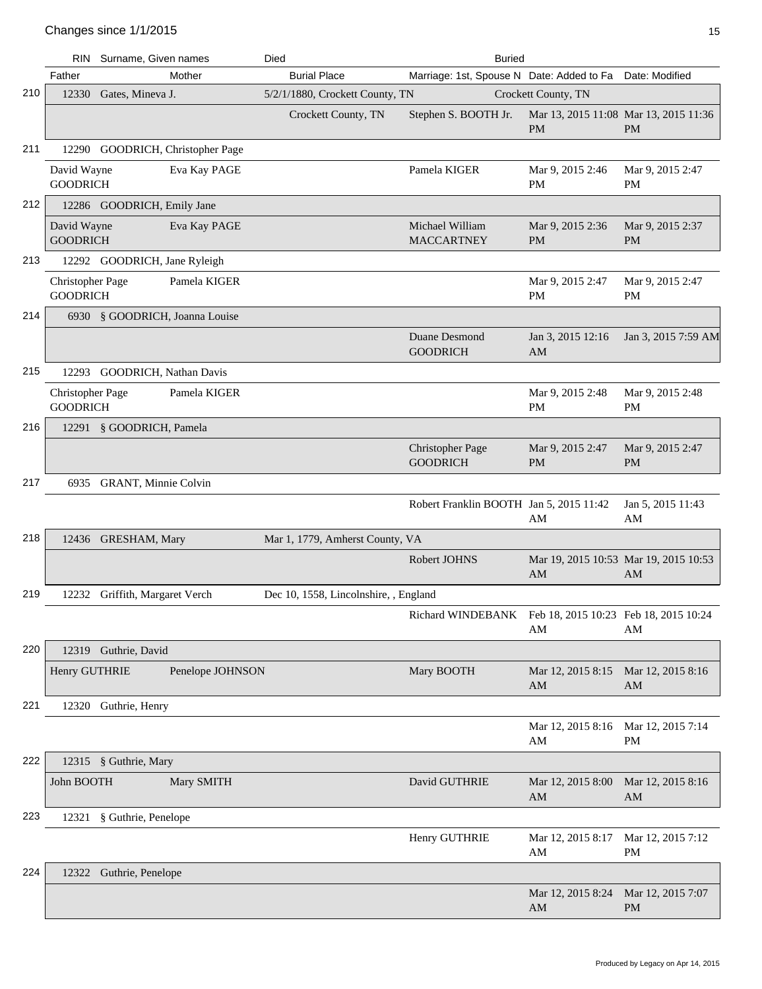|     |                                     | RIN Surname, Given names         | Died<br><b>Buried</b>                 |                                                         |                                           |                                                    |
|-----|-------------------------------------|----------------------------------|---------------------------------------|---------------------------------------------------------|-------------------------------------------|----------------------------------------------------|
|     | Father                              | Mother                           | <b>Burial Place</b>                   | Marriage: 1st, Spouse N Date: Added to Fa               |                                           | Date: Modified                                     |
| 210 |                                     | 12330 Gates, Mineva J.           | 5/2/1/1880, Crockett County, TN       |                                                         | Crockett County, TN                       |                                                    |
|     |                                     |                                  | Crockett County, TN                   | Stephen S. BOOTH Jr.                                    | <b>PM</b>                                 | Mar 13, 2015 11:08 Mar 13, 2015 11:36<br><b>PM</b> |
| 211 |                                     | 12290 GOODRICH, Christopher Page |                                       |                                                         |                                           |                                                    |
|     | David Wayne<br><b>GOODRICH</b>      | Eva Kay PAGE                     |                                       | Pamela KIGER                                            | Mar 9, 2015 2:46<br><b>PM</b>             | Mar 9, 2015 2:47<br><b>PM</b>                      |
| 212 |                                     | 12286 GOODRICH, Emily Jane       |                                       |                                                         |                                           |                                                    |
|     | David Wayne<br><b>GOODRICH</b>      | Eva Kay PAGE                     |                                       | Michael William<br><b>MACCARTNEY</b>                    | Mar 9, 2015 2:36<br><b>PM</b>             | Mar 9, 2015 2:37<br><b>PM</b>                      |
| 213 |                                     | 12292 GOODRICH, Jane Ryleigh     |                                       |                                                         |                                           |                                                    |
|     | Christopher Page<br><b>GOODRICH</b> | Pamela KIGER                     |                                       |                                                         | Mar 9, 2015 2:47<br><b>PM</b>             | Mar 9, 2015 2:47<br><b>PM</b>                      |
| 214 |                                     | 6930 § GOODRICH, Joanna Louise   |                                       |                                                         |                                           |                                                    |
|     |                                     |                                  |                                       | Duane Desmond<br><b>GOODRICH</b>                        | Jan 3, 2015 12:16<br>AM                   | Jan 3, 2015 7:59 AM                                |
| 215 |                                     | 12293 GOODRICH, Nathan Davis     |                                       |                                                         |                                           |                                                    |
|     | Christopher Page<br><b>GOODRICH</b> | Pamela KIGER                     |                                       |                                                         | Mar 9, 2015 2:48<br>PM                    | Mar 9, 2015 2:48<br><b>PM</b>                      |
| 216 |                                     | 12291 § GOODRICH, Pamela         |                                       |                                                         |                                           |                                                    |
|     |                                     |                                  |                                       | <b>Christopher Page</b><br><b>GOODRICH</b>              | Mar 9, 2015 2:47<br><b>PM</b>             | Mar 9, 2015 2:47<br><b>PM</b>                      |
| 217 |                                     | 6935 GRANT, Minnie Colvin        |                                       |                                                         |                                           |                                                    |
|     |                                     |                                  |                                       | Robert Franklin BOOTH Jan 5, 2015 11:42                 | AM                                        | Jan 5, 2015 11:43<br>AM                            |
| 218 |                                     | 12436 GRESHAM, Mary              | Mar 1, 1779, Amherst County, VA       |                                                         |                                           |                                                    |
|     |                                     |                                  |                                       | Robert JOHNS                                            | AM                                        | Mar 19, 2015 10:53 Mar 19, 2015 10:53<br>AM        |
| 219 |                                     | 12232 Griffith, Margaret Verch   | Dec 10, 1558, Lincolnshire, , England |                                                         |                                           |                                                    |
|     |                                     |                                  |                                       | Richard WINDEBANK Feb 18, 2015 10:23 Feb 18, 2015 10:24 | AM                                        | AM                                                 |
| 220 |                                     | 12319 Guthrie, David             |                                       |                                                         |                                           |                                                    |
|     | Henry GUTHRIE                       | Penelope JOHNSON                 |                                       | Mary BOOTH                                              | Mar 12, 2015 8:15<br>AM                   | Mar 12, 2015 8:16<br>AM                            |
| 221 |                                     | 12320 Guthrie, Henry             |                                       |                                                         |                                           |                                                    |
|     |                                     |                                  |                                       |                                                         | Mar 12, 2015 8:16 Mar 12, 2015 7:14<br>AM | PM                                                 |
| 222 |                                     | 12315 § Guthrie, Mary            |                                       |                                                         |                                           |                                                    |
|     | John BOOTH                          | Mary SMITH                       |                                       | David GUTHRIE                                           | Mar 12, 2015 8:00<br>AM                   | Mar 12, 2015 8:16<br>AM                            |
| 223 |                                     | 12321 § Guthrie, Penelope        |                                       |                                                         |                                           |                                                    |
|     |                                     |                                  |                                       | Henry GUTHRIE                                           | Mar 12, 2015 8:17<br>AM                   | Mar 12, 2015 7:12<br>PM                            |
| 224 |                                     | 12322 Guthrie, Penelope          |                                       |                                                         |                                           |                                                    |
|     |                                     |                                  |                                       |                                                         | Mar 12, 2015 8:24<br>AM                   | Mar 12, 2015 7:07<br><b>PM</b>                     |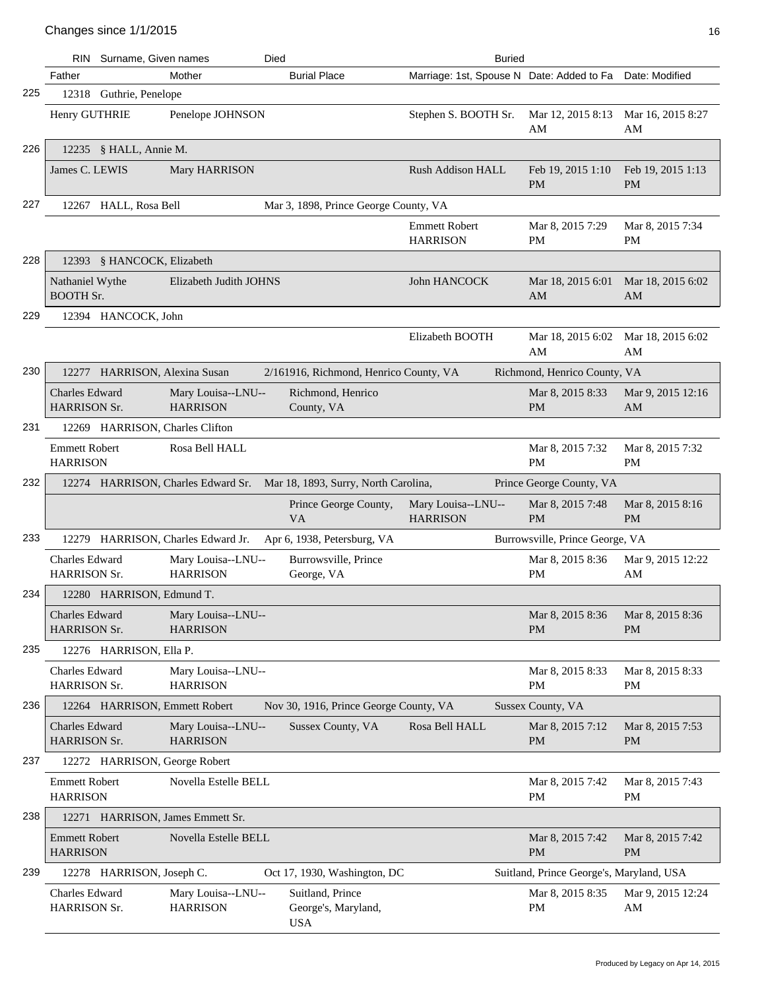|     | RIN.                                         | Surname, Given names          | Died                                  |                                                       | <b>Buried</b>                             |                                          |                                |
|-----|----------------------------------------------|-------------------------------|---------------------------------------|-------------------------------------------------------|-------------------------------------------|------------------------------------------|--------------------------------|
|     | Father                                       |                               | Mother                                | <b>Burial Place</b>                                   | Marriage: 1st, Spouse N Date: Added to Fa |                                          | Date: Modified                 |
| 225 | 12318                                        | Guthrie, Penelope             |                                       |                                                       |                                           |                                          |                                |
|     | Henry GUTHRIE                                |                               | Penelope JOHNSON                      |                                                       | Stephen S. BOOTH Sr.                      | Mar 12, 2015 8:13<br>AM                  | Mar 16, 2015 8:27<br>AM        |
| 226 |                                              | 12235 § HALL, Annie M.        |                                       |                                                       |                                           |                                          |                                |
|     | James C. LEWIS                               |                               | Mary HARRISON                         |                                                       | <b>Rush Addison HALL</b>                  | Feb 19, 2015 1:10<br><b>PM</b>           | Feb 19, 2015 1:13<br><b>PM</b> |
| 227 |                                              | 12267 HALL, Rosa Bell         |                                       | Mar 3, 1898, Prince George County, VA                 |                                           |                                          |                                |
|     |                                              |                               |                                       |                                                       | <b>Emmett Robert</b><br><b>HARRISON</b>   | Mar 8, 2015 7:29<br>PM                   | Mar 8, 2015 7:34<br><b>PM</b>  |
| 228 | 12393                                        | § HANCOCK, Elizabeth          |                                       |                                                       |                                           |                                          |                                |
|     | Nathaniel Wythe<br><b>BOOTH Sr.</b>          |                               | Elizabeth Judith JOHNS                |                                                       | John HANCOCK                              | Mar 18, 2015 6:01<br>AM                  | Mar 18, 2015 6:02<br>AM        |
| 229 |                                              | 12394 HANCOCK, John           |                                       |                                                       |                                           |                                          |                                |
|     |                                              |                               |                                       |                                                       | Elizabeth BOOTH                           | Mar 18, 2015 6:02<br>AM                  | Mar 18, 2015 6:02<br>AM        |
| 230 |                                              | 12277 HARRISON, Alexina Susan |                                       | 2/161916, Richmond, Henrico County, VA                |                                           | Richmond, Henrico County, VA             |                                |
|     | <b>Charles Edward</b><br><b>HARRISON Sr.</b> |                               | Mary Louisa--LNU--<br><b>HARRISON</b> | Richmond, Henrico<br>County, VA                       |                                           | Mar 8, 2015 8:33<br><b>PM</b>            | Mar 9, 2015 12:16<br>AM        |
| 231 |                                              |                               | 12269 HARRISON, Charles Clifton       |                                                       |                                           |                                          |                                |
|     | <b>Emmett Robert</b><br><b>HARRISON</b>      |                               | Rosa Bell HALL                        |                                                       |                                           | Mar 8, 2015 7:32<br><b>PM</b>            | Mar 8, 2015 7:32<br><b>PM</b>  |
| 232 |                                              |                               | 12274 HARRISON, Charles Edward Sr.    | Mar 18, 1893, Surry, North Carolina,                  |                                           | Prince George County, VA                 |                                |
|     |                                              |                               |                                       | Prince George County,<br><b>VA</b>                    | Mary Louisa--LNU--<br><b>HARRISON</b>     | Mar 8, 2015 7:48<br><b>PM</b>            | Mar 8, 2015 8:16<br><b>PM</b>  |
| 233 | 12279                                        |                               | HARRISON, Charles Edward Jr.          | Apr 6, 1938, Petersburg, VA                           |                                           | Burrowsville, Prince George, VA          |                                |
|     | Charles Edward<br><b>HARRISON Sr.</b>        |                               | Mary Louisa--LNU--<br><b>HARRISON</b> | Burrowsville, Prince<br>George, VA                    |                                           | Mar 8, 2015 8:36<br>PM                   | Mar 9, 2015 12:22<br>AM        |
| 234 |                                              | 12280 HARRISON, Edmund T.     |                                       |                                                       |                                           |                                          |                                |
|     | Charles Edward<br><b>HARRISON Sr.</b>        |                               | Mary Louisa--LNU--<br><b>HARRISON</b> |                                                       |                                           | Mar 8, 2015 8:36<br><b>PM</b>            | Mar 8, 2015 8:36<br><b>PM</b>  |
| 235 |                                              | 12276 HARRISON, Ella P.       |                                       |                                                       |                                           |                                          |                                |
|     | Charles Edward<br>HARRISON Sr.               |                               | Mary Louisa--LNU--<br><b>HARRISON</b> |                                                       |                                           | Mar 8, 2015 8:33<br>PM                   | Mar 8, 2015 8:33<br>PM         |
| 236 |                                              |                               | 12264 HARRISON, Emmett Robert         | Nov 30, 1916, Prince George County, VA                |                                           | Sussex County, VA                        |                                |
|     | Charles Edward<br><b>HARRISON Sr.</b>        |                               | Mary Louisa--LNU--<br><b>HARRISON</b> | Sussex County, VA                                     | Rosa Bell HALL                            | Mar 8, 2015 7:12<br><b>PM</b>            | Mar 8, 2015 7:53<br><b>PM</b>  |
| 237 |                                              |                               | 12272 HARRISON, George Robert         |                                                       |                                           |                                          |                                |
|     | <b>Emmett Robert</b><br><b>HARRISON</b>      |                               | Novella Estelle BELL                  |                                                       |                                           | Mar 8, 2015 7:42<br>PM                   | Mar 8, 2015 7:43<br>PM         |
| 238 |                                              |                               | 12271 HARRISON, James Emmett Sr.      |                                                       |                                           |                                          |                                |
|     | <b>Emmett Robert</b><br><b>HARRISON</b>      |                               | Novella Estelle BELL                  |                                                       |                                           | Mar 8, 2015 7:42<br><b>PM</b>            | Mar 8, 2015 7:42<br><b>PM</b>  |
| 239 |                                              | 12278 HARRISON, Joseph C.     |                                       | Oct 17, 1930, Washington, DC                          |                                           | Suitland, Prince George's, Maryland, USA |                                |
|     | <b>Charles Edward</b><br><b>HARRISON Sr.</b> |                               | Mary Louisa--LNU--<br><b>HARRISON</b> | Suitland, Prince<br>George's, Maryland,<br><b>USA</b> |                                           | Mar 8, 2015 8:35<br>PM                   | Mar 9, 2015 12:24<br>AM        |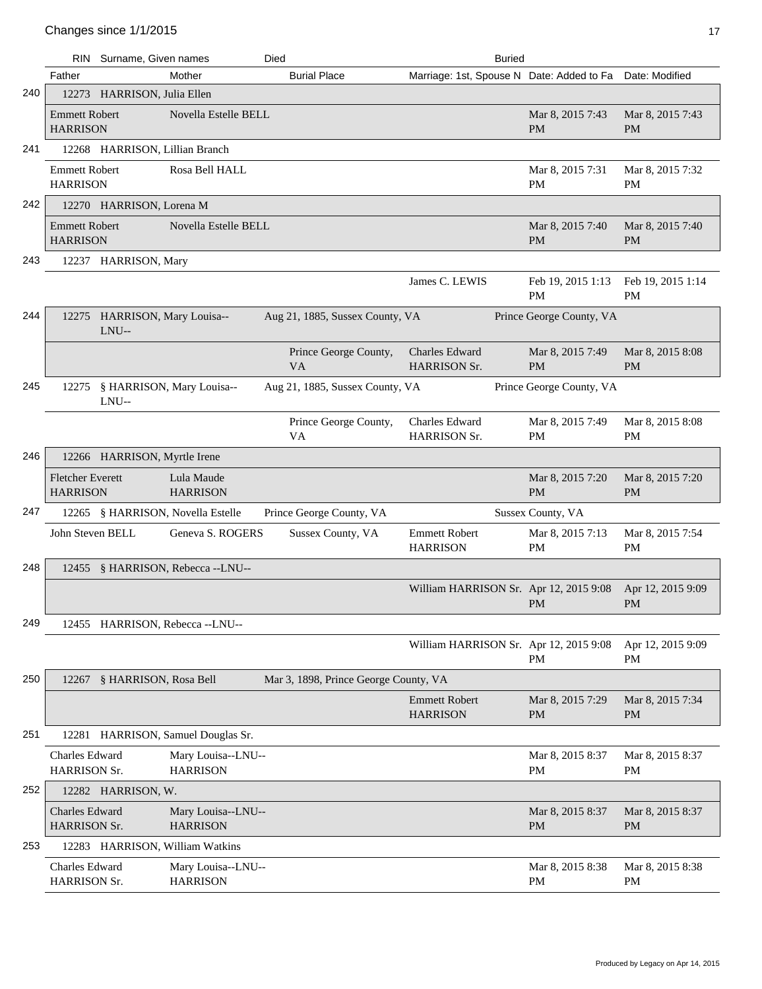|     |                                            | RIN Surname, Given names               |                                       | Died |                                       |                                         | <b>Buried</b> |                                                          |                                |
|-----|--------------------------------------------|----------------------------------------|---------------------------------------|------|---------------------------------------|-----------------------------------------|---------------|----------------------------------------------------------|--------------------------------|
|     | Father                                     |                                        | Mother                                |      | <b>Burial Place</b>                   |                                         |               | Marriage: 1st, Spouse N Date: Added to Fa Date: Modified |                                |
| 240 |                                            | 12273 HARRISON, Julia Ellen            |                                       |      |                                       |                                         |               |                                                          |                                |
|     | <b>Emmett Robert</b><br><b>HARRISON</b>    |                                        | Novella Estelle BELL                  |      |                                       |                                         |               | Mar 8, 2015 7:43<br><b>PM</b>                            | Mar 8, 2015 7:43<br><b>PM</b>  |
| 241 |                                            | 12268 HARRISON, Lillian Branch         |                                       |      |                                       |                                         |               |                                                          |                                |
|     | <b>Emmett Robert</b><br><b>HARRISON</b>    |                                        | Rosa Bell HALL                        |      |                                       |                                         |               | Mar 8, 2015 7:31<br>PM                                   | Mar 8, 2015 7:32<br><b>PM</b>  |
| 242 |                                            | 12270 HARRISON, Lorena M               |                                       |      |                                       |                                         |               |                                                          |                                |
|     | <b>Emmett Robert</b><br><b>HARRISON</b>    |                                        | Novella Estelle BELL                  |      |                                       |                                         |               | Mar 8, 2015 7:40<br><b>PM</b>                            | Mar 8, 2015 7:40<br><b>PM</b>  |
| 243 |                                            | 12237 HARRISON, Mary                   |                                       |      |                                       |                                         |               |                                                          |                                |
|     |                                            |                                        |                                       |      |                                       | James C. LEWIS                          |               | Feb 19, 2015 1:13<br>PM                                  | Feb 19, 2015 1:14<br><b>PM</b> |
| 244 |                                            | 12275 HARRISON, Mary Louisa--<br>LNU-- |                                       |      | Aug 21, 1885, Sussex County, VA       |                                         |               | Prince George County, VA                                 |                                |
|     |                                            |                                        |                                       |      | Prince George County,<br>VA           | Charles Edward<br><b>HARRISON Sr.</b>   |               | Mar 8, 2015 7:49<br><b>PM</b>                            | Mar 8, 2015 8:08<br><b>PM</b>  |
| 245 |                                            | LNU--                                  | 12275 § HARRISON, Mary Louisa--       |      | Aug 21, 1885, Sussex County, VA       |                                         |               | Prince George County, VA                                 |                                |
|     |                                            |                                        |                                       |      | Prince George County,<br>VA           | Charles Edward<br><b>HARRISON Sr.</b>   |               | Mar 8, 2015 7:49<br><b>PM</b>                            | Mar 8, 2015 8:08<br><b>PM</b>  |
| 246 |                                            | 12266 HARRISON, Myrtle Irene           |                                       |      |                                       |                                         |               |                                                          |                                |
|     | <b>Fletcher Everett</b><br><b>HARRISON</b> |                                        | Lula Maude<br><b>HARRISON</b>         |      |                                       |                                         |               | Mar 8, 2015 7:20<br><b>PM</b>                            | Mar 8, 2015 7:20<br><b>PM</b>  |
| 247 |                                            |                                        | 12265 § HARRISON, Novella Estelle     |      | Prince George County, VA              |                                         |               | Sussex County, VA                                        |                                |
|     | John Steven BELL                           |                                        | Geneva S. ROGERS                      |      | Sussex County, VA                     | <b>Emmett Robert</b><br><b>HARRISON</b> |               | Mar 8, 2015 7:13<br>PM                                   | Mar 8, 2015 7:54<br>PM         |
| 248 |                                            |                                        | 12455 § HARRISON, Rebecca --LNU--     |      |                                       |                                         |               |                                                          |                                |
|     |                                            |                                        |                                       |      |                                       |                                         |               | William HARRISON Sr. Apr 12, 2015 9:08<br>PM             | Apr 12, 2015 9:09<br>PM        |
| 249 |                                            |                                        | 12455 HARRISON, Rebecca --LNU--       |      |                                       |                                         |               |                                                          |                                |
|     |                                            |                                        |                                       |      |                                       |                                         |               | William HARRISON Sr. Apr 12, 2015 9:08<br>PM             | Apr 12, 2015 9:09<br><b>PM</b> |
| 250 |                                            | 12267 § HARRISON, Rosa Bell            |                                       |      | Mar 3, 1898, Prince George County, VA |                                         |               |                                                          |                                |
|     |                                            |                                        |                                       |      |                                       | <b>Emmett Robert</b><br><b>HARRISON</b> |               | Mar 8, 2015 7:29<br><b>PM</b>                            | Mar 8, 2015 7:34<br><b>PM</b>  |
| 251 |                                            |                                        | 12281 HARRISON, Samuel Douglas Sr.    |      |                                       |                                         |               |                                                          |                                |
|     | Charles Edward<br><b>HARRISON Sr.</b>      |                                        | Mary Louisa--LNU--<br><b>HARRISON</b> |      |                                       |                                         |               | Mar 8, 2015 8:37<br>PM                                   | Mar 8, 2015 8:37<br>PM         |
| 252 |                                            | 12282 HARRISON, W.                     |                                       |      |                                       |                                         |               |                                                          |                                |
|     | Charles Edward<br>HARRISON Sr.             |                                        | Mary Louisa--LNU--<br><b>HARRISON</b> |      |                                       |                                         |               | Mar 8, 2015 8:37<br><b>PM</b>                            | Mar 8, 2015 8:37<br><b>PM</b>  |
| 253 |                                            |                                        | 12283 HARRISON, William Watkins       |      |                                       |                                         |               |                                                          |                                |
|     | Charles Edward<br><b>HARRISON Sr.</b>      |                                        | Mary Louisa--LNU--<br><b>HARRISON</b> |      |                                       |                                         |               | Mar 8, 2015 8:38<br>PM                                   | Mar 8, 2015 8:38<br><b>PM</b>  |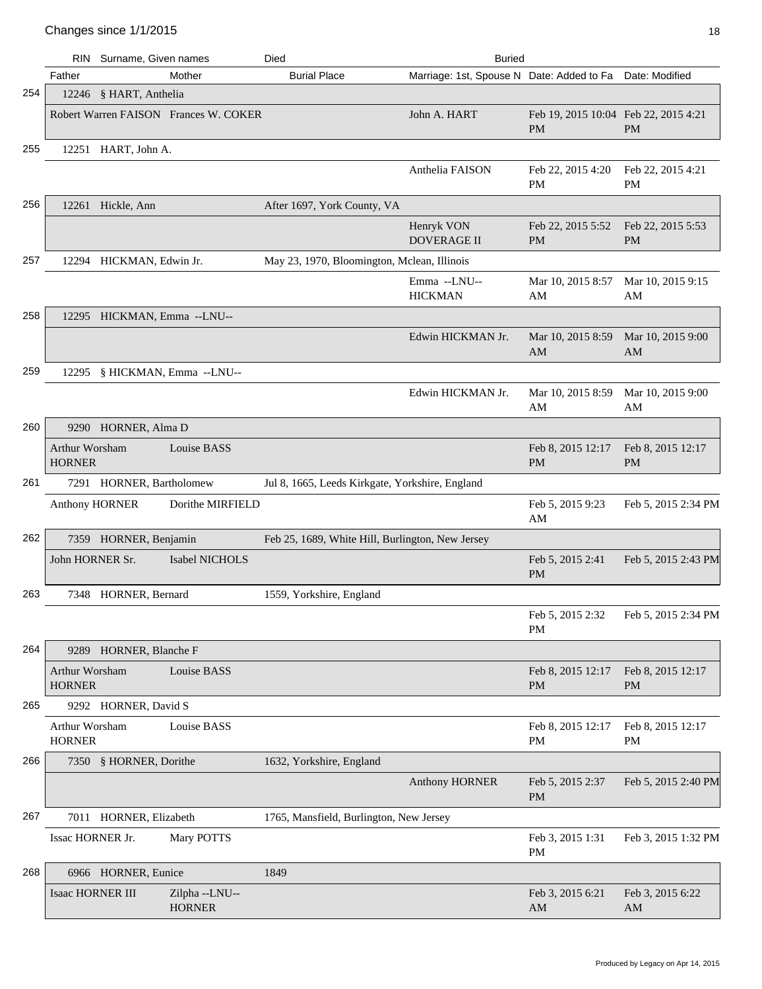|     | RIN                             | Surname, Given names     |                                       | Died<br><b>Buried</b>                            |                                           |                                                   |                                |  |
|-----|---------------------------------|--------------------------|---------------------------------------|--------------------------------------------------|-------------------------------------------|---------------------------------------------------|--------------------------------|--|
|     | Father                          |                          | Mother                                | <b>Burial Place</b>                              | Marriage: 1st, Spouse N Date: Added to Fa |                                                   | Date: Modified                 |  |
| 254 |                                 | 12246 § HART, Anthelia   |                                       |                                                  |                                           |                                                   |                                |  |
|     |                                 |                          | Robert Warren FAISON Frances W. COKER |                                                  | John A. HART                              | Feb 19, 2015 10:04 Feb 22, 2015 4:21<br><b>PM</b> | <b>PM</b>                      |  |
| 255 |                                 | 12251 HART, John A.      |                                       |                                                  |                                           |                                                   |                                |  |
|     |                                 |                          |                                       |                                                  | Anthelia FAISON                           | Feb 22, 2015 4:20<br>PM                           | Feb 22, 2015 4:21<br>PМ        |  |
| 256 |                                 | 12261 Hickle, Ann        |                                       | After 1697, York County, VA                      |                                           |                                                   |                                |  |
|     |                                 |                          |                                       |                                                  | Henryk VON<br><b>DOVERAGE II</b>          | Feb 22, 2015 5:52<br><b>PM</b>                    | Feb 22, 2015 5:53<br>PM        |  |
| 257 |                                 | 12294 HICKMAN, Edwin Jr. |                                       | May 23, 1970, Bloomington, Mclean, Illinois      |                                           |                                                   |                                |  |
|     |                                 |                          |                                       |                                                  | Emma --LNU--<br><b>HICKMAN</b>            | Mar 10, 2015 8:57<br>AM                           | Mar 10, 2015 9:15<br>AM        |  |
| 258 |                                 |                          | 12295 HICKMAN, Emma --LNU--           |                                                  |                                           |                                                   |                                |  |
|     |                                 |                          |                                       |                                                  | Edwin HICKMAN Jr.                         | Mar 10, 2015 8:59<br>AM                           | Mar 10, 2015 9:00<br>AM        |  |
| 259 |                                 |                          | 12295 § HICKMAN, Emma --LNU--         |                                                  |                                           |                                                   |                                |  |
|     |                                 |                          |                                       |                                                  | Edwin HICKMAN Jr.                         | Mar 10, 2015 8:59<br>AM                           | Mar 10, 2015 9:00<br>AM        |  |
| 260 |                                 | 9290 HORNER, Alma D      |                                       |                                                  |                                           |                                                   |                                |  |
|     | Arthur Worsham<br><b>HORNER</b> |                          | Louise BASS                           |                                                  |                                           | Feb 8, 2015 12:17<br><b>PM</b>                    | Feb 8, 2015 12:17<br><b>PM</b> |  |
| 261 |                                 | 7291 HORNER, Bartholomew |                                       | Jul 8, 1665, Leeds Kirkgate, Yorkshire, England  |                                           |                                                   |                                |  |
|     | <b>Anthony HORNER</b>           |                          | Dorithe MIRFIELD                      |                                                  |                                           | Feb 5, 2015 9:23<br>AM                            | Feb 5, 2015 2:34 PM            |  |
| 262 |                                 | 7359 HORNER, Benjamin    |                                       | Feb 25, 1689, White Hill, Burlington, New Jersey |                                           |                                                   |                                |  |
|     | John HORNER Sr.                 |                          | Isabel NICHOLS                        |                                                  |                                           | Feb 5, 2015 2:41<br><b>PM</b>                     | Feb 5, 2015 2:43 PM            |  |
| 263 |                                 | 7348 HORNER, Bernard     |                                       | 1559, Yorkshire, England                         |                                           |                                                   |                                |  |
|     |                                 |                          |                                       |                                                  |                                           | Feb 5, 2015 2:32<br>PM                            | Feb 5, 2015 2:34 PM            |  |
| 264 |                                 | 9289 HORNER, Blanche F   |                                       |                                                  |                                           |                                                   |                                |  |
|     | Arthur Worsham<br><b>HORNER</b> |                          | Louise BASS                           |                                                  |                                           | Feb 8, 2015 12:17<br><b>PM</b>                    | Feb 8, 2015 12:17<br><b>PM</b> |  |
| 265 |                                 | 9292 HORNER, David S     |                                       |                                                  |                                           |                                                   |                                |  |
|     | Arthur Worsham<br><b>HORNER</b> |                          | Louise BASS                           |                                                  |                                           | Feb 8, 2015 12:17<br>PM                           | Feb 8, 2015 12:17<br><b>PM</b> |  |
| 266 |                                 | 7350 § HORNER, Dorithe   |                                       | 1632, Yorkshire, England                         |                                           |                                                   |                                |  |
|     |                                 |                          |                                       |                                                  | <b>Anthony HORNER</b>                     | Feb 5, 2015 2:37<br>PM                            | Feb 5, 2015 2:40 PM            |  |
| 267 |                                 | 7011 HORNER, Elizabeth   |                                       | 1765, Mansfield, Burlington, New Jersey          |                                           |                                                   |                                |  |
|     | Issac HORNER Jr.                |                          | Mary POTTS                            |                                                  |                                           | Feb 3, 2015 1:31<br>PM                            | Feb 3, 2015 1:32 PM            |  |
| 268 |                                 | 6966 HORNER, Eunice      |                                       | 1849                                             |                                           |                                                   |                                |  |
|     | Isaac HORNER III                |                          | Zilpha --LNU--<br><b>HORNER</b>       |                                                  |                                           | Feb 3, 2015 6:21<br>AM                            | Feb 3, 2015 6:22<br>AM         |  |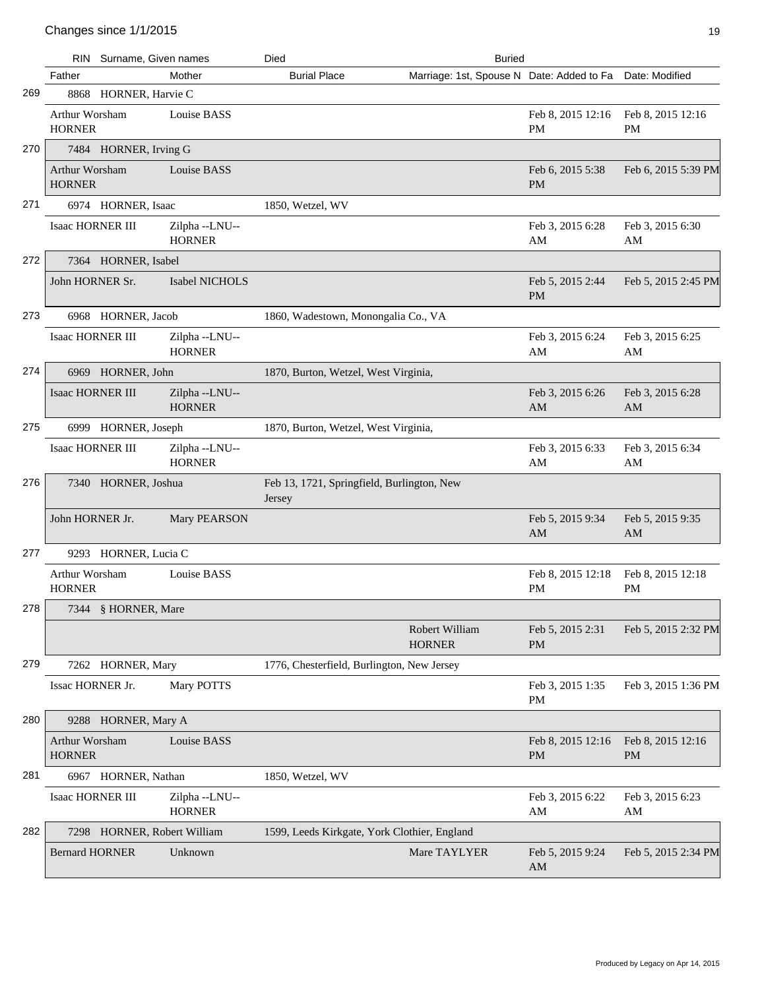|     |                                        | RIN Surname, Given names    |                                | Died                                                 | <b>Buried</b>                             |                                |                                |
|-----|----------------------------------------|-----------------------------|--------------------------------|------------------------------------------------------|-------------------------------------------|--------------------------------|--------------------------------|
|     | Father                                 |                             | Mother                         | <b>Burial Place</b>                                  | Marriage: 1st, Spouse N Date: Added to Fa |                                | Date: Modified                 |
| 269 |                                        | 8868 HORNER, Harvie C       |                                |                                                      |                                           |                                |                                |
|     | Arthur Worsham<br><b>HORNER</b>        |                             | Louise BASS                    |                                                      |                                           | Feb 8, 2015 12:16<br><b>PM</b> | Feb 8, 2015 12:16<br><b>PM</b> |
| 270 |                                        | 7484 HORNER, Irving G       |                                |                                                      |                                           |                                |                                |
|     | <b>Arthur Worsham</b><br><b>HORNER</b> |                             | Louise BASS                    |                                                      |                                           | Feb 6, 2015 5:38<br><b>PM</b>  | Feb 6, 2015 5:39 PM            |
| 271 |                                        | 6974 HORNER, Isaac          |                                | 1850, Wetzel, WV                                     |                                           |                                |                                |
|     | <b>Isaac HORNER III</b>                |                             | Zilpha--LNU--<br><b>HORNER</b> |                                                      |                                           | Feb 3, 2015 6:28<br>AM         | Feb 3, 2015 6:30<br>AM         |
| 272 |                                        | 7364 HORNER, Isabel         |                                |                                                      |                                           |                                |                                |
|     | John HORNER Sr.                        |                             | Isabel NICHOLS                 |                                                      |                                           | Feb 5, 2015 2:44<br><b>PM</b>  | Feb 5, 2015 2:45 PM            |
| 273 |                                        | 6968 HORNER, Jacob          |                                | 1860, Wadestown, Monongalia Co., VA                  |                                           |                                |                                |
|     | <b>Isaac HORNER III</b>                |                             | Zilpha--LNU--<br><b>HORNER</b> |                                                      |                                           | Feb 3, 2015 6:24<br>AM         | Feb 3, 2015 6:25<br>AM         |
| 274 |                                        | 6969 HORNER, John           |                                | 1870, Burton, Wetzel, West Virginia,                 |                                           |                                |                                |
|     | <b>Isaac HORNER III</b>                |                             | Zilpha--LNU--<br><b>HORNER</b> |                                                      |                                           | Feb 3, 2015 6:26<br>AM         | Feb 3, 2015 6:28<br>AM         |
| 275 |                                        | 6999 HORNER, Joseph         |                                | 1870, Burton, Wetzel, West Virginia,                 |                                           |                                |                                |
|     | Isaac HORNER III                       |                             | Zilpha--LNU--<br><b>HORNER</b> |                                                      |                                           | Feb 3, 2015 6:33<br>AM         | Feb 3, 2015 6:34<br>AM         |
| 276 |                                        | 7340 HORNER, Joshua         |                                | Feb 13, 1721, Springfield, Burlington, New<br>Jersey |                                           |                                |                                |
|     | John HORNER Jr.                        |                             | Mary PEARSON                   |                                                      |                                           | Feb 5, 2015 9:34<br>AM         | Feb 5, 2015 9:35<br>AM         |
| 277 |                                        | 9293 HORNER, Lucia C        |                                |                                                      |                                           |                                |                                |
|     | Arthur Worsham<br><b>HORNER</b>        |                             | Louise BASS                    |                                                      |                                           | Feb 8, 2015 12:18<br><b>PM</b> | Feb 8, 2015 12:18<br><b>PM</b> |
| 278 |                                        | 7344 § HORNER, Mare         |                                |                                                      |                                           |                                |                                |
|     |                                        |                             |                                |                                                      | Robert William<br><b>HORNER</b>           | Feb 5, 2015 2:31<br><b>PM</b>  | Feb 5, 2015 2:32 PM            |
| 279 |                                        | 7262 HORNER, Mary           |                                | 1776, Chesterfield, Burlington, New Jersey           |                                           |                                |                                |
|     | Issac HORNER Jr.                       |                             | Mary POTTS                     |                                                      |                                           | Feb 3, 2015 1:35<br>PM         | Feb 3, 2015 1:36 PM            |
| 280 |                                        | 9288 HORNER, Mary A         |                                |                                                      |                                           |                                |                                |
|     | Arthur Worsham<br><b>HORNER</b>        |                             | Louise BASS                    |                                                      |                                           | Feb 8, 2015 12:16<br><b>PM</b> | Feb 8, 2015 12:16<br>PM        |
| 281 |                                        | 6967 HORNER, Nathan         |                                | 1850, Wetzel, WV                                     |                                           |                                |                                |
|     | Isaac HORNER III                       |                             | Zilpha--LNU--<br><b>HORNER</b> |                                                      |                                           | Feb 3, 2015 6:22<br>AM         | Feb 3, 2015 6:23<br>AM         |
| 282 |                                        | 7298 HORNER, Robert William |                                | 1599, Leeds Kirkgate, York Clothier, England         |                                           |                                |                                |
|     | <b>Bernard HORNER</b>                  |                             | Unknown                        |                                                      | Mare TAYLYER                              | Feb 5, 2015 9:24<br>AM         | Feb 5, 2015 2:34 PM            |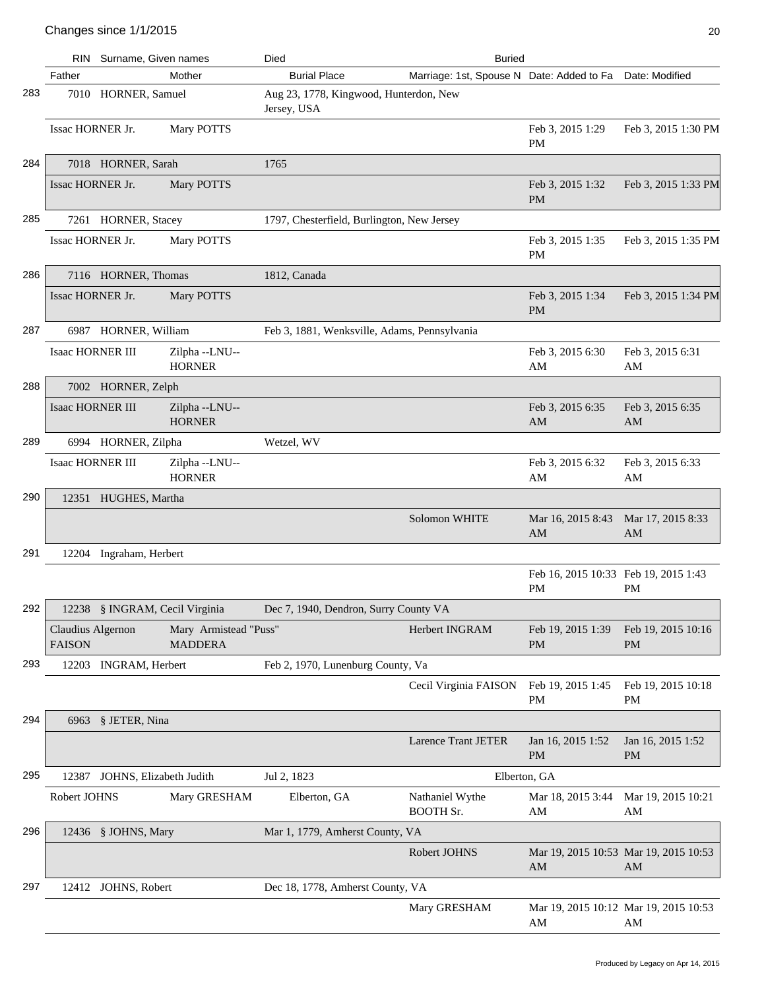|     |                                    | RIN Surname, Given names       |                                         | Died                                                  | <b>Buried</b>                                            |                                                   |                                             |
|-----|------------------------------------|--------------------------------|-----------------------------------------|-------------------------------------------------------|----------------------------------------------------------|---------------------------------------------------|---------------------------------------------|
|     | Father                             |                                | Mother                                  | <b>Burial Place</b>                                   | Marriage: 1st, Spouse N Date: Added to Fa Date: Modified |                                                   |                                             |
| 283 |                                    | 7010 HORNER, Samuel            |                                         | Aug 23, 1778, Kingwood, Hunterdon, New<br>Jersey, USA |                                                          |                                                   |                                             |
|     | Issac HORNER Jr.                   |                                | Mary POTTS                              |                                                       |                                                          | Feb 3, 2015 1:29<br><b>PM</b>                     | Feb 3, 2015 1:30 PM                         |
| 284 |                                    | 7018 HORNER, Sarah             |                                         | 1765                                                  |                                                          |                                                   |                                             |
|     | Issac HORNER Jr.                   |                                | Mary POTTS                              |                                                       |                                                          | Feb 3, 2015 1:32<br><b>PM</b>                     | Feb 3, 2015 1:33 PM                         |
| 285 |                                    | 7261 HORNER, Stacey            |                                         | 1797, Chesterfield, Burlington, New Jersey            |                                                          |                                                   |                                             |
|     | Issac HORNER Jr.                   |                                | Mary POTTS                              |                                                       |                                                          | Feb 3, 2015 1:35<br><b>PM</b>                     | Feb 3, 2015 1:35 PM                         |
| 286 |                                    | 7116 HORNER, Thomas            |                                         | 1812, Canada                                          |                                                          |                                                   |                                             |
|     | Issac HORNER Jr.                   |                                | Mary POTTS                              |                                                       |                                                          | Feb 3, 2015 1:34<br><b>PM</b>                     | Feb 3, 2015 1:34 PM                         |
| 287 |                                    | 6987 HORNER, William           |                                         | Feb 3, 1881, Wenksville, Adams, Pennsylvania          |                                                          |                                                   |                                             |
|     | <b>Isaac HORNER III</b>            |                                | Zilpha--LNU--<br><b>HORNER</b>          |                                                       |                                                          | Feb 3, 2015 6:30<br>AM                            | Feb 3, 2015 6:31<br>AM                      |
| 288 |                                    | 7002 HORNER, Zelph             |                                         |                                                       |                                                          |                                                   |                                             |
|     | <b>Isaac HORNER III</b>            |                                | Zilpha--LNU--<br><b>HORNER</b>          |                                                       |                                                          | Feb 3, 2015 6:35<br>AM                            | Feb 3, 2015 6:35<br>AM                      |
| 289 |                                    | 6994 HORNER, Zilpha            |                                         | Wetzel, WV                                            |                                                          |                                                   |                                             |
|     | <b>Isaac HORNER III</b>            |                                | Zilpha--LNU--<br><b>HORNER</b>          |                                                       |                                                          | Feb 3, 2015 6:32<br>AM                            | Feb 3, 2015 6:33<br>AM                      |
| 290 |                                    | 12351 HUGHES, Martha           |                                         |                                                       |                                                          |                                                   |                                             |
|     |                                    |                                |                                         |                                                       | Solomon WHITE                                            | Mar 16, 2015 8:43<br>AM                           | Mar 17, 2015 8:33<br>AM                     |
| 291 |                                    | 12204 Ingraham, Herbert        |                                         |                                                       |                                                          |                                                   |                                             |
|     |                                    |                                |                                         |                                                       |                                                          | Feb 16, 2015 10:33 Feb 19, 2015 1:43<br><b>PM</b> | PM                                          |
| 292 |                                    | 12238 § INGRAM, Cecil Virginia |                                         | Dec 7, 1940, Dendron, Surry County VA                 |                                                          |                                                   |                                             |
|     | Claudius Algernon<br><b>FAISON</b> |                                | Mary Armistead "Puss"<br><b>MADDERA</b> |                                                       | <b>Herbert INGRAM</b>                                    | Feb 19, 2015 1:39<br><b>PM</b>                    | Feb 19, 2015 10:16<br><b>PM</b>             |
| 293 |                                    | 12203 INGRAM, Herbert          |                                         | Feb 2, 1970, Lunenburg County, Va                     |                                                          |                                                   |                                             |
|     |                                    |                                |                                         |                                                       | Cecil Virginia FAISON                                    | Feb 19, 2015 1:45<br><b>PM</b>                    | Feb 19, 2015 10:18<br>PM                    |
| 294 |                                    | 6963 § JETER, Nina             |                                         |                                                       |                                                          |                                                   |                                             |
|     |                                    |                                |                                         |                                                       | <b>Larence Trant JETER</b>                               | Jan 16, 2015 1:52<br><b>PM</b>                    | Jan 16, 2015 1:52<br><b>PM</b>              |
| 295 |                                    | 12387 JOHNS, Elizabeth Judith  |                                         | Jul 2, 1823                                           |                                                          | Elberton, GA                                      |                                             |
|     | Robert JOHNS                       |                                | Mary GRESHAM                            | Elberton, GA                                          | Nathaniel Wythe<br><b>BOOTH Sr.</b>                      | Mar 18, 2015 3:44<br>AM                           | Mar 19, 2015 10:21<br>AM                    |
| 296 |                                    | 12436 § JOHNS, Mary            |                                         | Mar 1, 1779, Amherst County, VA                       |                                                          |                                                   |                                             |
|     |                                    |                                |                                         |                                                       | Robert JOHNS                                             | AM                                                | Mar 19, 2015 10:53 Mar 19, 2015 10:53<br>AM |
| 297 |                                    | 12412 JOHNS, Robert            |                                         | Dec 18, 1778, Amherst County, VA                      |                                                          |                                                   |                                             |
|     |                                    |                                |                                         |                                                       | Mary GRESHAM                                             | AM                                                | Mar 19, 2015 10:12 Mar 19, 2015 10:53<br>AM |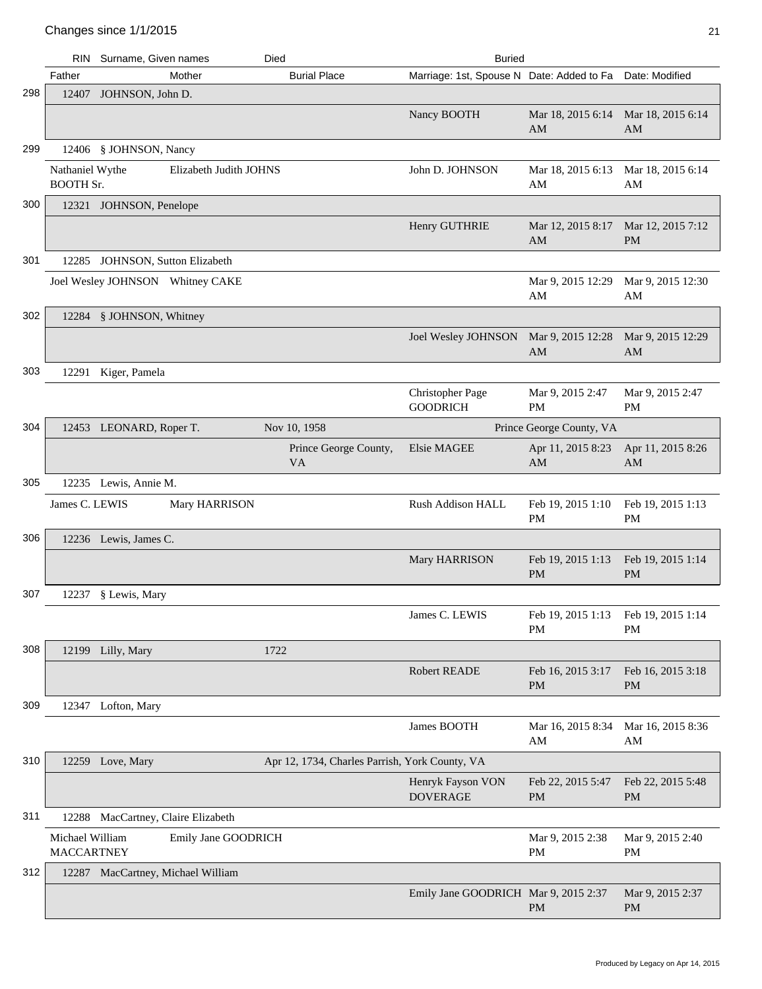|     | <b>RIN</b>                           | Surname, Given names         |                                   | Died                                           | <b>Buried</b>                              |                                |                                |
|-----|--------------------------------------|------------------------------|-----------------------------------|------------------------------------------------|--------------------------------------------|--------------------------------|--------------------------------|
|     | Father                               |                              | Mother                            | <b>Burial Place</b>                            | Marriage: 1st, Spouse N Date: Added to Fa  |                                | Date: Modified                 |
| 298 |                                      | 12407 JOHNSON, John D.       |                                   |                                                |                                            |                                |                                |
|     |                                      |                              |                                   |                                                | Nancy BOOTH                                | Mar 18, 2015 6:14<br>AM        | Mar 18, 2015 6:14<br>AM        |
| 299 |                                      | 12406 § JOHNSON, Nancy       |                                   |                                                |                                            |                                |                                |
|     | Nathaniel Wythe<br><b>BOOTH Sr.</b>  |                              | Elizabeth Judith JOHNS            |                                                | John D. JOHNSON                            | Mar 18, 2015 6:13<br>AM        | Mar 18, 2015 6:14<br>AM        |
| 300 |                                      | 12321 JOHNSON, Penelope      |                                   |                                                |                                            |                                |                                |
|     |                                      |                              |                                   |                                                | Henry GUTHRIE                              | Mar 12, 2015 8:17<br>AM        | Mar 12, 2015 7:12<br><b>PM</b> |
| 301 | 12285                                | JOHNSON, Sutton Elizabeth    |                                   |                                                |                                            |                                |                                |
|     |                                      |                              | Joel Wesley JOHNSON Whitney CAKE  |                                                |                                            | Mar 9, 2015 12:29<br>AM        | Mar 9, 2015 12:30<br>AM        |
| 302 |                                      | 12284 § JOHNSON, Whitney     |                                   |                                                |                                            |                                |                                |
|     |                                      |                              |                                   |                                                | <b>Joel Wesley JOHNSON</b>                 | Mar 9, 2015 12:28<br>AM        | Mar 9, 2015 12:29<br>AM        |
| 303 |                                      | 12291 Kiger, Pamela          |                                   |                                                |                                            |                                |                                |
|     |                                      |                              |                                   |                                                | <b>Christopher Page</b><br><b>GOODRICH</b> | Mar 9, 2015 2:47<br>PM         | Mar 9, 2015 2:47<br><b>PM</b>  |
| 304 |                                      | 12453 LEONARD, Roper T.      |                                   | Nov 10, 1958                                   |                                            | Prince George County, VA       |                                |
|     |                                      |                              |                                   | Prince George County,<br><b>VA</b>             | Elsie MAGEE                                | Apr 11, 2015 8:23<br>AM        | Apr 11, 2015 8:26<br>AM        |
| 305 |                                      | 12235 Lewis, Annie M.        |                                   |                                                |                                            |                                |                                |
|     | James C. LEWIS                       |                              | Mary HARRISON                     |                                                | Rush Addison HALL                          | Feb 19, 2015 1:10<br>PM        | Feb 19, 2015 1:13<br><b>PM</b> |
| 306 |                                      | 12236 Lewis, James C.        |                                   |                                                |                                            |                                |                                |
|     |                                      |                              |                                   |                                                | Mary HARRISON                              | Feb 19, 2015 1:13<br><b>PM</b> | Feb 19, 2015 1:14<br><b>PM</b> |
| 307 |                                      | 12237 § Lewis, Mary          |                                   |                                                |                                            |                                |                                |
|     |                                      |                              |                                   |                                                | James C. LEWIS                             | Feb 19, 2015 1:13<br><b>PM</b> | Feb 19, 2015 1:14<br><b>PM</b> |
| 308 |                                      | 12199 Lilly, Mary            |                                   | 1722                                           |                                            |                                |                                |
|     |                                      |                              |                                   |                                                | <b>Robert READE</b>                        | Feb 16, 2015 3:17<br><b>PM</b> | Feb 16, 2015 3:18<br>PM        |
| 309 |                                      | 12347 Lofton, Mary           |                                   |                                                |                                            |                                |                                |
|     |                                      |                              |                                   |                                                | James BOOTH                                | Mar 16, 2015 8:34<br>AM        | Mar 16, 2015 8:36<br>AM        |
| 310 |                                      | 12259 Love, Mary             |                                   | Apr 12, 1734, Charles Parrish, York County, VA |                                            |                                |                                |
|     |                                      |                              |                                   |                                                | Henryk Fayson VON<br><b>DOVERAGE</b>       | Feb 22, 2015 5:47<br><b>PM</b> | Feb 22, 2015 5:48<br>PM        |
| 311 | 12288                                | MacCartney, Claire Elizabeth |                                   |                                                |                                            |                                |                                |
|     | Michael William<br><b>MACCARTNEY</b> |                              | Emily Jane GOODRICH               |                                                |                                            | Mar 9, 2015 2:38<br><b>PM</b>  | Mar 9, 2015 2:40<br>PM         |
| 312 |                                      |                              | 12287 MacCartney, Michael William |                                                |                                            |                                |                                |
|     |                                      |                              |                                   |                                                | Emily Jane GOODRICH Mar 9, 2015 2:37       | PM                             | Mar 9, 2015 2:37<br>PM         |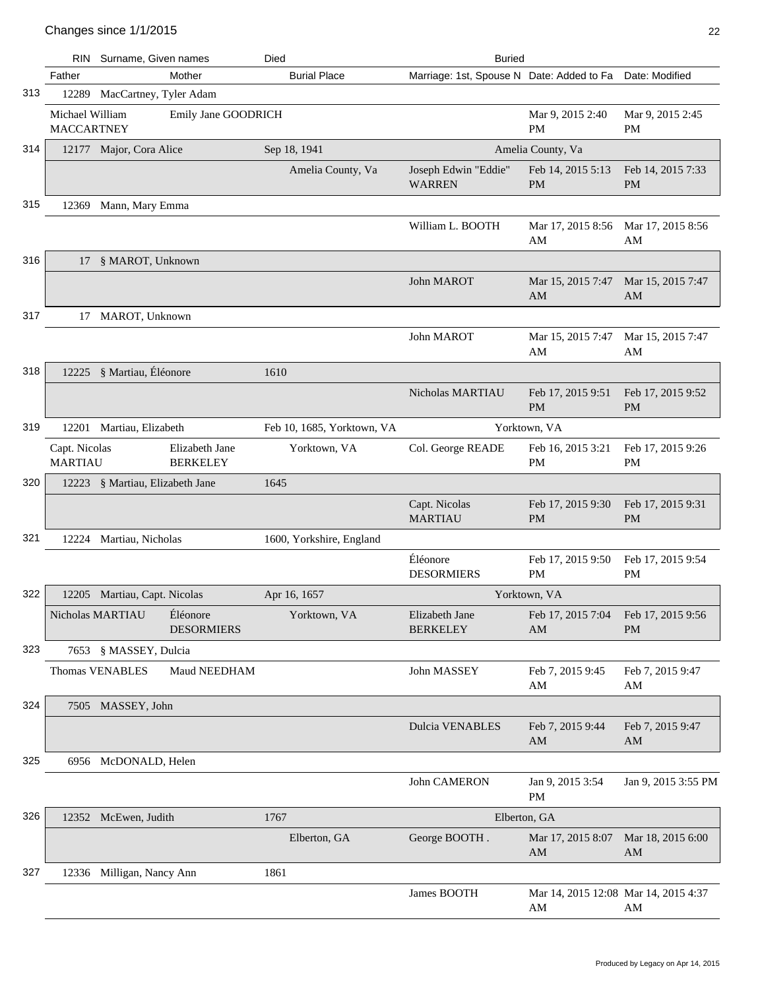|     | RIN                                  | Surname, Given names            |                                   | Died                       | <b>Buried</b>                             |                                            |                                             |
|-----|--------------------------------------|---------------------------------|-----------------------------------|----------------------------|-------------------------------------------|--------------------------------------------|---------------------------------------------|
|     | Father                               |                                 | Mother                            | <b>Burial Place</b>        | Marriage: 1st, Spouse N Date: Added to Fa |                                            | Date: Modified                              |
| 313 |                                      | 12289 MacCartney, Tyler Adam    |                                   |                            |                                           |                                            |                                             |
|     | Michael William<br><b>MACCARTNEY</b> |                                 | Emily Jane GOODRICH               |                            |                                           | Mar 9, 2015 2:40<br><b>PM</b>              | Mar 9, 2015 2:45<br><b>PM</b>               |
| 314 |                                      | 12177 Major, Cora Alice         |                                   | Sep 18, 1941               |                                           | Amelia County, Va                          |                                             |
|     |                                      |                                 |                                   | Amelia County, Va          | Joseph Edwin "Eddie"<br><b>WARREN</b>     | Feb 14, 2015 5:13<br><b>PM</b>             | Feb 14, 2015 7:33<br><b>PM</b>              |
| 315 |                                      | 12369 Mann, Mary Emma           |                                   |                            |                                           |                                            |                                             |
|     |                                      |                                 |                                   |                            | William L. BOOTH                          | Mar 17, 2015 8:56<br>AM                    | Mar 17, 2015 8:56<br>AM                     |
| 316 |                                      | 17 § MAROT, Unknown             |                                   |                            |                                           |                                            |                                             |
|     |                                      |                                 |                                   |                            | John MAROT                                | Mar 15, 2015 7:47<br>AM                    | Mar 15, 2015 7:47<br>AM                     |
| 317 |                                      | 17 MAROT, Unknown               |                                   |                            |                                           |                                            |                                             |
|     |                                      |                                 |                                   |                            | John MAROT                                | Mar 15, 2015 7:47<br>AM                    | Mar 15, 2015 7:47<br>AM                     |
| 318 |                                      | 12225 § Martiau, Éléonore       |                                   | 1610                       |                                           |                                            |                                             |
|     |                                      |                                 |                                   |                            | Nicholas MARTIAU                          | Feb 17, 2015 9:51<br><b>PM</b>             | Feb 17, 2015 9:52<br><b>PM</b>              |
| 319 |                                      | 12201 Martiau, Elizabeth        |                                   | Feb 10, 1685, Yorktown, VA |                                           | Yorktown, VA                               |                                             |
|     | Capt. Nicolas<br><b>MARTIAU</b>      |                                 | Elizabeth Jane<br><b>BERKELEY</b> | Yorktown, VA               | Col. George READE                         | Feb 16, 2015 3:21<br>PM                    | Feb 17, 2015 9:26<br><b>PM</b>              |
| 320 |                                      | 12223 § Martiau, Elizabeth Jane |                                   | 1645                       |                                           |                                            |                                             |
|     |                                      |                                 |                                   |                            | Capt. Nicolas<br><b>MARTIAU</b>           | Feb 17, 2015 9:30<br><b>PM</b>             | Feb 17, 2015 9:31<br><b>PM</b>              |
| 321 |                                      | 12224 Martiau, Nicholas         |                                   | 1600, Yorkshire, England   |                                           |                                            |                                             |
|     |                                      |                                 |                                   |                            | Éléonore<br><b>DESORMIERS</b>             | Feb 17, 2015 9:50<br><b>PM</b>             | Feb 17, 2015 9:54<br><b>PM</b>              |
| 322 |                                      | 12205 Martiau, Capt. Nicolas    |                                   | Apr 16, 1657               |                                           | Yorktown, VA                               |                                             |
|     |                                      | Nicholas MARTIAU                | Éléonore<br><b>DESORMIERS</b>     | Yorktown, VA               | Elizabeth Jane<br><b>BERKELEY</b>         | Feb 17, 2015 7:04<br>AM                    | Feb 17, 2015 9:56<br>PM                     |
| 323 |                                      | 7653 § MASSEY, Dulcia           |                                   |                            |                                           |                                            |                                             |
|     |                                      | <b>Thomas VENABLES</b>          | Maud NEEDHAM                      |                            | John MASSEY                               | Feb 7, 2015 9:45<br>AM                     | Feb 7, 2015 9:47<br>AM                      |
| 324 |                                      | 7505 MASSEY, John               |                                   |                            |                                           |                                            |                                             |
|     |                                      |                                 |                                   |                            | <b>Dulcia VENABLES</b>                    | Feb 7, 2015 9:44<br>AM                     | Feb 7, 2015 9:47<br>AM                      |
| 325 |                                      | 6956 McDONALD, Helen            |                                   |                            |                                           |                                            |                                             |
|     |                                      |                                 |                                   |                            | John CAMERON                              | Jan 9, 2015 3:54<br><b>PM</b>              | Jan 9, 2015 3:55 PM                         |
| 326 |                                      | 12352 McEwen, Judith            |                                   | 1767                       | Elberton, GA                              |                                            |                                             |
|     |                                      |                                 |                                   | Elberton, GA               | George BOOTH.                             | Mar 17, 2015 8:07<br>AM                    | Mar 18, 2015 6:00<br>$\mathbf{A}\mathbf{M}$ |
| 327 |                                      | 12336 Milligan, Nancy Ann       |                                   | 1861                       |                                           |                                            |                                             |
|     |                                      |                                 |                                   |                            | James BOOTH                               | Mar 14, 2015 12:08 Mar 14, 2015 4:37<br>AM | AM                                          |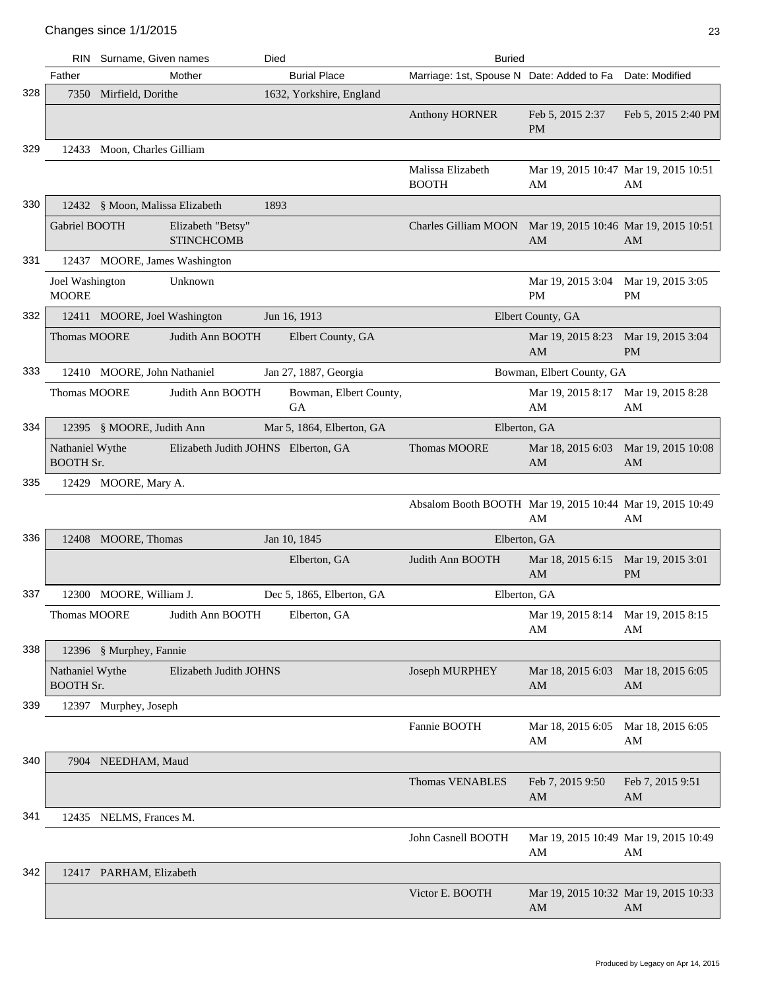|     |                                     | RIN Surname, Given names        |                                        | Died |                              | <b>Buried</b>                                              |                                             |                                |
|-----|-------------------------------------|---------------------------------|----------------------------------------|------|------------------------------|------------------------------------------------------------|---------------------------------------------|--------------------------------|
|     | Father                              |                                 | Mother                                 |      | <b>Burial Place</b>          | Marriage: 1st, Spouse N Date: Added to Fa Date: Modified   |                                             |                                |
| 328 |                                     | 7350 Mirfield, Dorithe          |                                        |      | 1632, Yorkshire, England     |                                                            |                                             |                                |
|     |                                     |                                 |                                        |      |                              | <b>Anthony HORNER</b>                                      | Feb 5, 2015 2:37<br><b>PM</b>               | Feb 5, 2015 2:40 PM            |
| 329 |                                     | 12433 Moon, Charles Gilliam     |                                        |      |                              |                                                            |                                             |                                |
|     |                                     |                                 |                                        |      |                              | Malissa Elizabeth<br><b>BOOTH</b>                          | Mar 19, 2015 10:47 Mar 19, 2015 10:51<br>AM | AM                             |
| 330 |                                     | 12432 § Moon, Malissa Elizabeth |                                        | 1893 |                              |                                                            |                                             |                                |
|     | Gabriel BOOTH                       |                                 | Elizabeth "Betsy"<br><b>STINCHCOMB</b> |      |                              | Charles Gilliam MOON Mar 19, 2015 10:46 Mar 19, 2015 10:51 | AM                                          | AM                             |
| 331 |                                     | 12437 MOORE, James Washington   |                                        |      |                              |                                                            |                                             |                                |
|     | Joel Washington<br><b>MOORE</b>     |                                 | Unknown                                |      |                              |                                                            | Mar 19, 2015 3:04<br><b>PM</b>              | Mar 19, 2015 3:05<br><b>PM</b> |
| 332 |                                     | 12411 MOORE, Joel Washington    |                                        |      | Jun 16, 1913                 |                                                            | Elbert County, GA                           |                                |
|     | Thomas MOORE                        |                                 | Judith Ann BOOTH                       |      | Elbert County, GA            |                                                            | Mar 19, 2015 8:23<br>AM                     | Mar 19, 2015 3:04<br><b>PM</b> |
| 333 |                                     | 12410 MOORE, John Nathaniel     |                                        |      | Jan 27, 1887, Georgia        |                                                            | Bowman, Elbert County, GA                   |                                |
|     | Thomas MOORE                        |                                 | Judith Ann BOOTH                       |      | Bowman, Elbert County,<br>GA |                                                            | Mar 19, 2015 8:17<br>AM                     | Mar 19, 2015 8:28<br>AM        |
| 334 |                                     | 12395 § MOORE, Judith Ann       |                                        |      | Mar 5, 1864, Elberton, GA    |                                                            | Elberton, GA                                |                                |
|     | Nathaniel Wythe<br><b>BOOTH Sr.</b> |                                 | Elizabeth Judith JOHNS Elberton, GA    |      |                              | <b>Thomas MOORE</b>                                        | Mar 18, 2015 6:03<br>AM                     | Mar 19, 2015 10:08<br>AM       |
| 335 |                                     | 12429 MOORE, Mary A.            |                                        |      |                              |                                                            |                                             |                                |
|     |                                     |                                 |                                        |      |                              | Absalom Booth BOOTH Mar 19, 2015 10:44 Mar 19, 2015 10:49  | AM                                          | AM                             |
| 336 |                                     | 12408 MOORE, Thomas             |                                        |      | Jan 10, 1845                 |                                                            | Elberton, GA                                |                                |
|     |                                     |                                 |                                        |      | Elberton, GA                 | Judith Ann BOOTH                                           | Mar 18, 2015 6:15<br>AM                     | Mar 19, 2015 3:01<br><b>PM</b> |
| 337 |                                     | 12300 MOORE, William J.         |                                        |      | Dec 5, 1865, Elberton, GA    |                                                            | Elberton, GA                                |                                |
|     | Thomas MOORE                        |                                 | Judith Ann BOOTH                       |      | Elberton, GA                 |                                                            | Mar 19, 2015 8:14 Mar 19, 2015 8:15<br>AM   | AM                             |
| 338 |                                     | 12396 § Murphey, Fannie         |                                        |      |                              |                                                            |                                             |                                |
|     | Nathaniel Wythe<br><b>BOOTH Sr.</b> |                                 | Elizabeth Judith JOHNS                 |      |                              | Joseph MURPHEY                                             | Mar 18, 2015 6:03<br>AM                     | Mar 18, 2015 6:05<br>AM        |
| 339 |                                     | 12397 Murphey, Joseph           |                                        |      |                              |                                                            |                                             |                                |
|     |                                     |                                 |                                        |      |                              | Fannie BOOTH                                               | Mar 18, 2015 6:05<br>AM                     | Mar 18, 2015 6:05<br>AM        |
| 340 |                                     | 7904 NEEDHAM, Maud              |                                        |      |                              |                                                            |                                             |                                |
|     |                                     |                                 |                                        |      |                              | <b>Thomas VENABLES</b>                                     | Feb 7, 2015 9:50<br>AM                      | Feb 7, 2015 9:51<br>AM         |
| 341 |                                     | 12435 NELMS, Frances M.         |                                        |      |                              |                                                            |                                             |                                |
|     |                                     |                                 |                                        |      |                              | John Casnell BOOTH                                         | Mar 19, 2015 10:49 Mar 19, 2015 10:49<br>AM | AM                             |
| 342 |                                     | 12417 PARHAM, Elizabeth         |                                        |      |                              |                                                            |                                             |                                |
|     |                                     |                                 |                                        |      |                              | Victor E. BOOTH                                            | Mar 19, 2015 10:32 Mar 19, 2015 10:33<br>AM | AM                             |
|     |                                     |                                 |                                        |      |                              |                                                            |                                             |                                |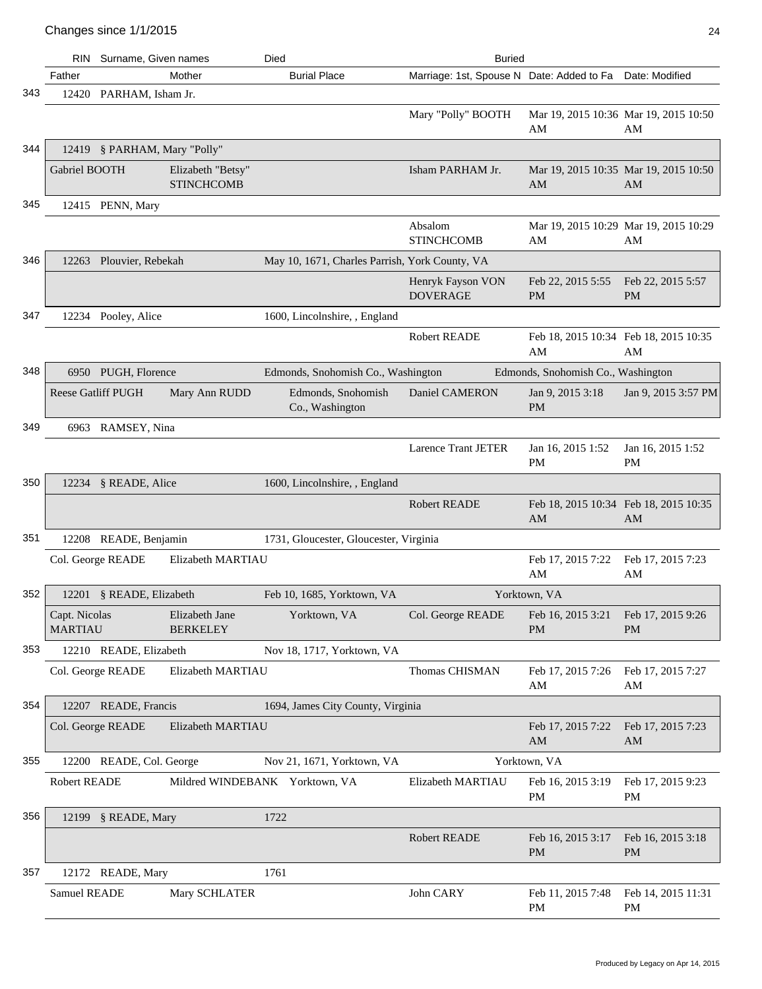|     | <b>RIN</b>                      | Surname, Given names         |                                        | Died                                           | <b>Buried</b>                             |                                                  |                                             |
|-----|---------------------------------|------------------------------|----------------------------------------|------------------------------------------------|-------------------------------------------|--------------------------------------------------|---------------------------------------------|
|     | Father                          |                              | Mother                                 | <b>Burial Place</b>                            | Marriage: 1st, Spouse N Date: Added to Fa |                                                  | Date: Modified                              |
| 343 |                                 | 12420 PARHAM, Isham Jr.      |                                        |                                                |                                           |                                                  |                                             |
|     |                                 |                              |                                        |                                                | Mary "Polly" BOOTH                        | AM                                               | Mar 19, 2015 10:36 Mar 19, 2015 10:50<br>AM |
| 344 |                                 | 12419 § PARHAM, Mary "Polly" |                                        |                                                |                                           |                                                  |                                             |
|     | Gabriel BOOTH                   |                              | Elizabeth "Betsy"<br><b>STINCHCOMB</b> |                                                | Isham PARHAM Jr.                          | AM                                               | Mar 19, 2015 10:35 Mar 19, 2015 10:50<br>AM |
| 345 |                                 | 12415 PENN, Mary             |                                        |                                                |                                           |                                                  |                                             |
|     |                                 |                              |                                        |                                                | Absalom<br><b>STINCHCOMB</b>              | AM                                               | Mar 19, 2015 10:29 Mar 19, 2015 10:29<br>AM |
| 346 |                                 | 12263 Plouvier, Rebekah      |                                        | May 10, 1671, Charles Parrish, York County, VA |                                           |                                                  |                                             |
|     |                                 |                              |                                        |                                                | Henryk Fayson VON<br><b>DOVERAGE</b>      | Feb 22, 2015 5:55<br><b>PM</b>                   | Feb 22, 2015 5:57<br><b>PM</b>              |
| 347 |                                 | 12234 Pooley, Alice          |                                        | 1600, Lincolnshire, , England                  |                                           |                                                  |                                             |
|     |                                 |                              |                                        |                                                | <b>Robert READE</b>                       | Feb 18, 2015 10:34 Feb 18, 2015 10:35<br>AM      | AM                                          |
| 348 |                                 | 6950 PUGH, Florence          |                                        | Edmonds, Snohomish Co., Washington             |                                           | Edmonds, Snohomish Co., Washington               |                                             |
|     |                                 | <b>Reese Gatliff PUGH</b>    | Mary Ann RUDD                          | Edmonds, Snohomish<br>Co., Washington          | Daniel CAMERON                            | Jan 9, 2015 3:18<br><b>PM</b>                    | Jan 9, 2015 3:57 PM                         |
| 349 |                                 | 6963 RAMSEY, Nina            |                                        |                                                |                                           |                                                  |                                             |
|     |                                 |                              |                                        |                                                | <b>Larence Trant JETER</b>                | Jan 16, 2015 1:52<br><b>PM</b>                   | Jan 16, 2015 1:52<br>PM                     |
| 350 |                                 | 12234 § READE, Alice         |                                        | 1600, Lincolnshire, , England                  |                                           |                                                  |                                             |
|     |                                 |                              |                                        |                                                | <b>Robert READE</b>                       | Feb 18, 2015 10:34 Feb 18, 2015 10:35<br>AM      | AM                                          |
| 351 |                                 | 12208 READE, Benjamin        |                                        | 1731, Gloucester, Gloucester, Virginia         |                                           |                                                  |                                             |
|     |                                 | Col. George READE            | Elizabeth MARTIAU                      |                                                |                                           | Feb 17, 2015 7:22<br>AM                          | Feb 17, 2015 7:23<br>AM                     |
| 352 |                                 | 12201 § READE, Elizabeth     |                                        | Feb 10, 1685, Yorktown, VA                     |                                           | Yorktown, VA                                     |                                             |
|     | Capt. Nicolas<br><b>MARTIAU</b> |                              | Elizabeth Jane<br><b>BERKELEY</b>      | Yorktown, VA                                   | Col. George READE                         | Feb 16, 2015 3:21 Feb 17, 2015 9:26<br><b>PM</b> | PM                                          |
| 353 |                                 | 12210 READE, Elizabeth       |                                        | Nov 18, 1717, Yorktown, VA                     |                                           |                                                  |                                             |
|     |                                 | Col. George READE            | Elizabeth MARTIAU                      |                                                | Thomas CHISMAN                            | Feb 17, 2015 7:26<br>AM                          | Feb 17, 2015 7:27<br>AM                     |
| 354 |                                 | 12207 READE, Francis         |                                        | 1694, James City County, Virginia              |                                           |                                                  |                                             |
|     |                                 | Col. George READE            | Elizabeth MARTIAU                      |                                                |                                           | Feb 17, 2015 7:22<br>AM                          | Feb 17, 2015 7:23<br>AM                     |
| 355 |                                 | 12200 READE, Col. George     |                                        | Nov 21, 1671, Yorktown, VA                     |                                           | Yorktown, VA                                     |                                             |
|     | Robert READE                    |                              |                                        | Mildred WINDEBANK Yorktown, VA                 | Elizabeth MARTIAU                         | Feb 16, 2015 3:19<br>PM                          | Feb 17, 2015 9:23<br>PM                     |
| 356 |                                 | 12199 § READE, Mary          |                                        | 1722                                           |                                           |                                                  |                                             |
|     |                                 |                              |                                        |                                                | Robert READE                              | Feb 16, 2015 3:17<br><b>PM</b>                   | Feb 16, 2015 3:18<br>PM                     |
| 357 |                                 | 12172 READE, Mary            |                                        | 1761                                           |                                           |                                                  |                                             |
|     | Samuel READE                    |                              | Mary SCHLATER                          |                                                | John CARY                                 | Feb 11, 2015 7:48<br>PM                          | Feb 14, 2015 11:31<br>PM                    |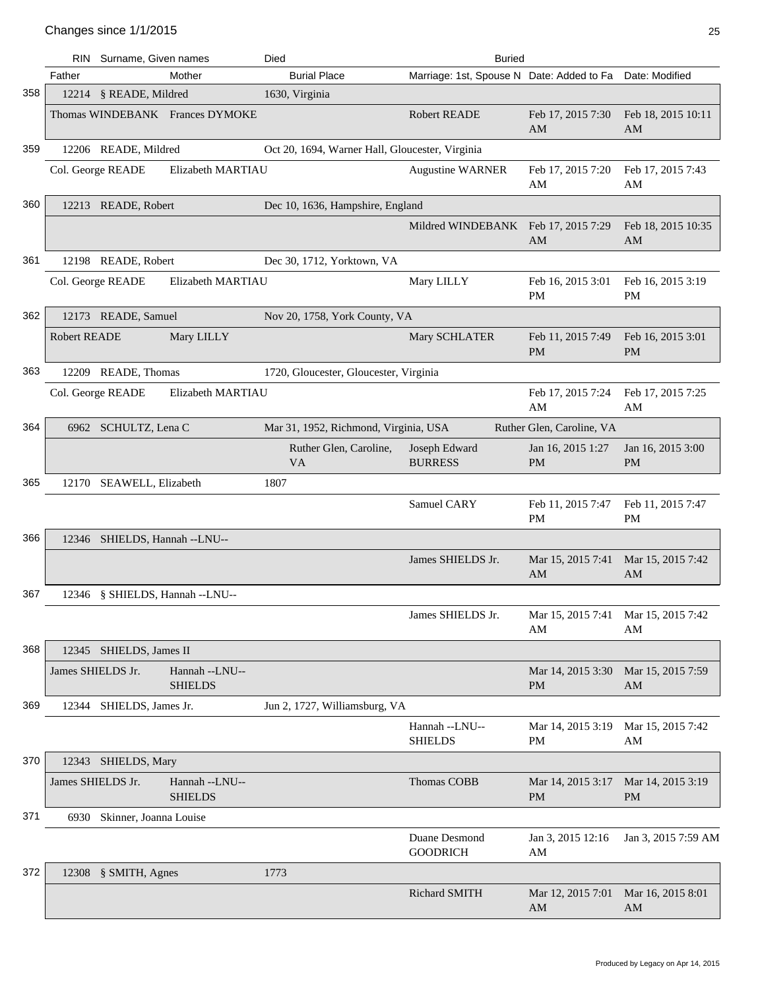|     | RIN               | Surname, Given names          |                                  | Died                                            | <b>Buried</b>                             |                                                  |                                |
|-----|-------------------|-------------------------------|----------------------------------|-------------------------------------------------|-------------------------------------------|--------------------------------------------------|--------------------------------|
|     | Father            |                               | Mother                           | <b>Burial Place</b>                             | Marriage: 1st, Spouse N Date: Added to Fa |                                                  | Date: Modified                 |
| 358 |                   | 12214 § READE, Mildred        |                                  | 1630, Virginia                                  |                                           |                                                  |                                |
|     |                   |                               | Thomas WINDEBANK Frances DYMOKE  |                                                 | <b>Robert READE</b>                       | Feb 17, 2015 7:30<br>AM                          | Feb 18, 2015 10:11<br>AM       |
| 359 |                   | 12206 READE, Mildred          |                                  | Oct 20, 1694, Warner Hall, Gloucester, Virginia |                                           |                                                  |                                |
|     |                   | Col. George READE             | Elizabeth MARTIAU                |                                                 | <b>Augustine WARNER</b>                   | Feb 17, 2015 7:20<br>AM                          | Feb 17, 2015 7:43<br>AM        |
| 360 |                   | 12213 READE, Robert           |                                  | Dec 10, 1636, Hampshire, England                |                                           |                                                  |                                |
|     |                   |                               |                                  |                                                 | Mildred WINDEBANK Feb 17, 2015 7:29       | AM                                               | Feb 18, 2015 10:35<br>AM       |
| 361 |                   | 12198 READE, Robert           |                                  | Dec 30, 1712, Yorktown, VA                      |                                           |                                                  |                                |
|     |                   | Col. George READE             | Elizabeth MARTIAU                |                                                 | Mary LILLY                                | Feb 16, 2015 3:01<br><b>PM</b>                   | Feb 16, 2015 3:19<br><b>PM</b> |
| 362 |                   | 12173 READE, Samuel           |                                  | Nov 20, 1758, York County, VA                   |                                           |                                                  |                                |
|     | Robert READE      |                               | Mary LILLY                       |                                                 | Mary SCHLATER                             | Feb 11, 2015 7:49<br><b>PM</b>                   | Feb 16, 2015 3:01<br>PM        |
| 363 |                   | 12209 READE, Thomas           |                                  | 1720, Gloucester, Gloucester, Virginia          |                                           |                                                  |                                |
|     |                   | Col. George READE             | Elizabeth MARTIAU                |                                                 |                                           | Feb 17, 2015 7:24<br>AM                          | Feb 17, 2015 7:25<br>AM        |
| 364 |                   | 6962 SCHULTZ, Lena C          |                                  | Mar 31, 1952, Richmond, Virginia, USA           |                                           | Ruther Glen, Caroline, VA                        |                                |
|     |                   |                               |                                  | Ruther Glen, Caroline,<br><b>VA</b>             | Joseph Edward<br><b>BURRESS</b>           | Jan 16, 2015 1:27<br><b>PM</b>                   | Jan 16, 2015 3:00<br><b>PM</b> |
| 365 |                   | 12170 SEAWELL, Elizabeth      |                                  | 1807                                            |                                           |                                                  |                                |
|     |                   |                               |                                  |                                                 | Samuel CARY                               | Feb 11, 2015 7:47<br>PM                          | Feb 11, 2015 7:47<br>PM        |
| 366 |                   | 12346 SHIELDS, Hannah --LNU-- |                                  |                                                 |                                           |                                                  |                                |
|     |                   |                               |                                  |                                                 | James SHIELDS Jr.                         | Mar 15, 2015 7:41<br>AM                          | Mar 15, 2015 7:42<br>AM        |
| 367 |                   |                               | 12346 § SHIELDS, Hannah --LNU--  |                                                 |                                           |                                                  |                                |
|     |                   |                               |                                  |                                                 | James SHIELDS Jr.                         | Mar 15, 2015 7:41 Mar 15, 2015 7:42<br>AM        | AM                             |
| 368 |                   | 12345 SHIELDS, James II       |                                  |                                                 |                                           |                                                  |                                |
|     | James SHIELDS Jr. |                               | Hannah --LNU--<br><b>SHIELDS</b> |                                                 |                                           | Mar 14, 2015 3:30 Mar 15, 2015 7:59<br><b>PM</b> | AM                             |
| 369 |                   | 12344 SHIELDS, James Jr.      |                                  | Jun 2, 1727, Williamsburg, VA                   |                                           |                                                  |                                |
|     |                   |                               |                                  |                                                 | Hannah --LNU--<br><b>SHIELDS</b>          | Mar 14, 2015 3:19<br>PM                          | Mar 15, 2015 7:42<br>AM        |
| 370 |                   | 12343 SHIELDS, Mary           |                                  |                                                 |                                           |                                                  |                                |
|     | James SHIELDS Jr. |                               | Hannah --LNU--<br><b>SHIELDS</b> |                                                 | Thomas COBB                               | Mar 14, 2015 3:17<br><b>PM</b>                   | Mar 14, 2015 3:19<br>PM        |
| 371 |                   | 6930 Skinner, Joanna Louise   |                                  |                                                 |                                           |                                                  |                                |
|     |                   |                               |                                  |                                                 | Duane Desmond<br><b>GOODRICH</b>          | Jan 3, 2015 12:16<br>AM                          | Jan 3, 2015 7:59 AM            |
| 372 |                   | 12308 § SMITH, Agnes          |                                  | 1773                                            |                                           |                                                  |                                |
|     |                   |                               |                                  |                                                 | Richard SMITH                             | Mar 12, 2015 7:01<br>AM                          | Mar 16, 2015 8:01<br>AM        |
|     |                   |                               |                                  |                                                 |                                           |                                                  |                                |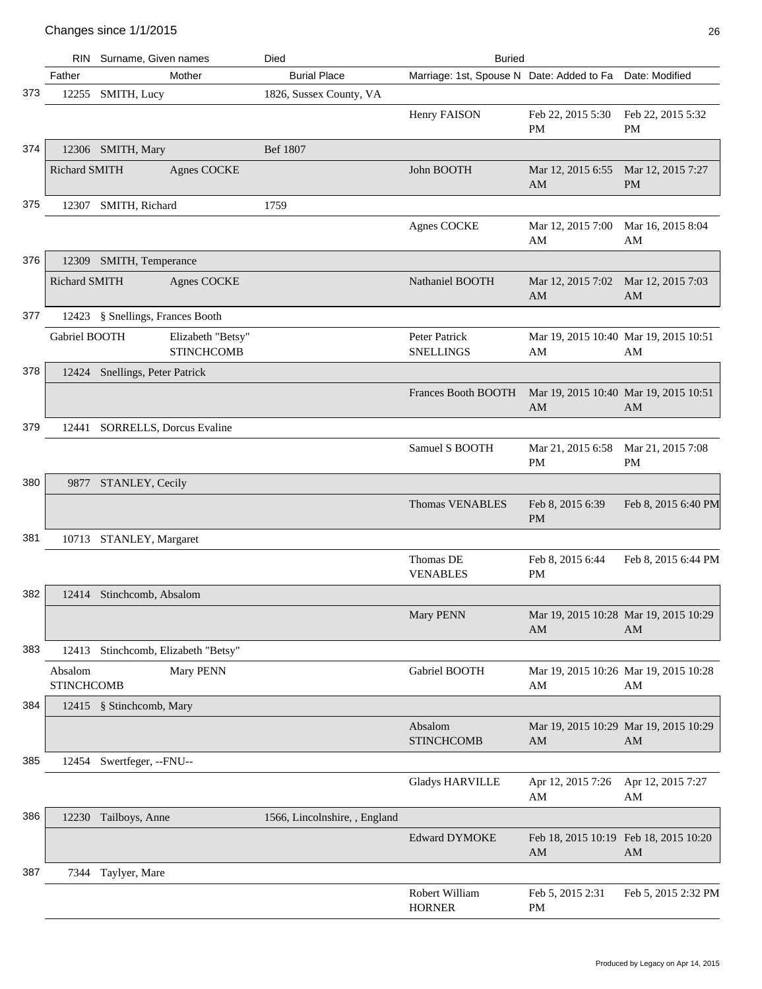|     | RIN                          | Surname, Given names                   | Died                          | <b>Buried</b>                             |                               |                                             |
|-----|------------------------------|----------------------------------------|-------------------------------|-------------------------------------------|-------------------------------|---------------------------------------------|
|     | Father                       | Mother                                 | <b>Burial Place</b>           | Marriage: 1st, Spouse N Date: Added to Fa |                               | Date: Modified                              |
| 373 | 12255                        | SMITH, Lucy                            | 1826, Sussex County, VA       |                                           |                               |                                             |
|     |                              |                                        |                               | Henry FAISON                              | Feb 22, 2015 5:30<br>PM       | Feb 22, 2015 5:32<br>PM                     |
| 374 |                              | 12306 SMITH, Mary                      | Bef 1807                      |                                           |                               |                                             |
|     | Richard SMITH                | <b>Agnes COCKE</b>                     |                               | John BOOTH                                | Mar 12, 2015 6:55<br>AM       | Mar 12, 2015 7:27<br><b>PM</b>              |
| 375 |                              | 12307 SMITH, Richard                   | 1759                          |                                           |                               |                                             |
|     |                              |                                        |                               | <b>Agnes COCKE</b>                        | Mar 12, 2015 7:00<br>AM       | Mar 16, 2015 8:04<br>AM                     |
| 376 |                              | 12309 SMITH, Temperance                |                               |                                           |                               |                                             |
|     | Richard SMITH                | <b>Agnes COCKE</b>                     |                               | Nathaniel BOOTH                           | Mar 12, 2015 7:02<br>AM       | Mar 12, 2015 7:03<br>AM                     |
| 377 |                              | 12423 § Snellings, Frances Booth       |                               |                                           |                               |                                             |
|     | Gabriel BOOTH                | Elizabeth "Betsy"<br><b>STINCHCOMB</b> |                               | Peter Patrick<br><b>SNELLINGS</b>         | AM                            | Mar 19, 2015 10:40 Mar 19, 2015 10:51<br>AM |
| 378 |                              | 12424 Snellings, Peter Patrick         |                               |                                           |                               |                                             |
|     |                              |                                        |                               | Frances Booth BOOTH                       | AM                            | Mar 19, 2015 10:40 Mar 19, 2015 10:51<br>AM |
| 379 |                              | 12441 SORRELLS, Dorcus Evaline         |                               |                                           |                               |                                             |
|     |                              |                                        |                               | Samuel S BOOTH                            | Mar 21, 2015 6:58<br>PM       | Mar 21, 2015 7:08<br>PM                     |
| 380 |                              | 9877 STANLEY, Cecily                   |                               |                                           |                               |                                             |
|     |                              |                                        |                               | <b>Thomas VENABLES</b>                    | Feb 8, 2015 6:39<br><b>PM</b> | Feb 8, 2015 6:40 PM                         |
| 381 |                              | 10713 STANLEY, Margaret                |                               |                                           |                               |                                             |
|     |                              |                                        |                               | Thomas DE<br><b>VENABLES</b>              | Feb 8, 2015 6:44<br><b>PM</b> | Feb 8, 2015 6:44 PM                         |
| 382 |                              | 12414 Stinchcomb, Absalom              |                               |                                           |                               |                                             |
|     |                              |                                        |                               | Mary PENN                                 | AM                            | Mar 19, 2015 10:28 Mar 19, 2015 10:29<br>AM |
| 383 | 12413                        | Stinchcomb, Elizabeth "Betsy"          |                               |                                           |                               |                                             |
|     | Absalom<br><b>STINCHCOMB</b> | Mary PENN                              |                               | Gabriel BOOTH                             | AM                            | Mar 19, 2015 10:26 Mar 19, 2015 10:28<br>AM |
| 384 |                              | 12415 § Stinchcomb, Mary               |                               |                                           |                               |                                             |
|     |                              |                                        |                               | Absalom<br><b>STINCHCOMB</b>              | AM                            | Mar 19, 2015 10:29 Mar 19, 2015 10:29<br>AM |
| 385 | 12454                        | Swertfeger, --FNU--                    |                               |                                           |                               |                                             |
|     |                              |                                        |                               | <b>Gladys HARVILLE</b>                    | Apr 12, 2015 7:26<br>AM       | Apr 12, 2015 7:27<br>AM                     |
| 386 |                              | 12230 Tailboys, Anne                   | 1566, Lincolnshire, , England |                                           |                               |                                             |
|     |                              |                                        |                               | <b>Edward DYMOKE</b>                      | AM                            | Feb 18, 2015 10:19 Feb 18, 2015 10:20<br>AM |
| 387 | 7344                         | Taylyer, Mare                          |                               |                                           |                               |                                             |
|     |                              |                                        |                               | Robert William<br><b>HORNER</b>           | Feb 5, 2015 2:31<br>PM        | Feb 5, 2015 2:32 PM                         |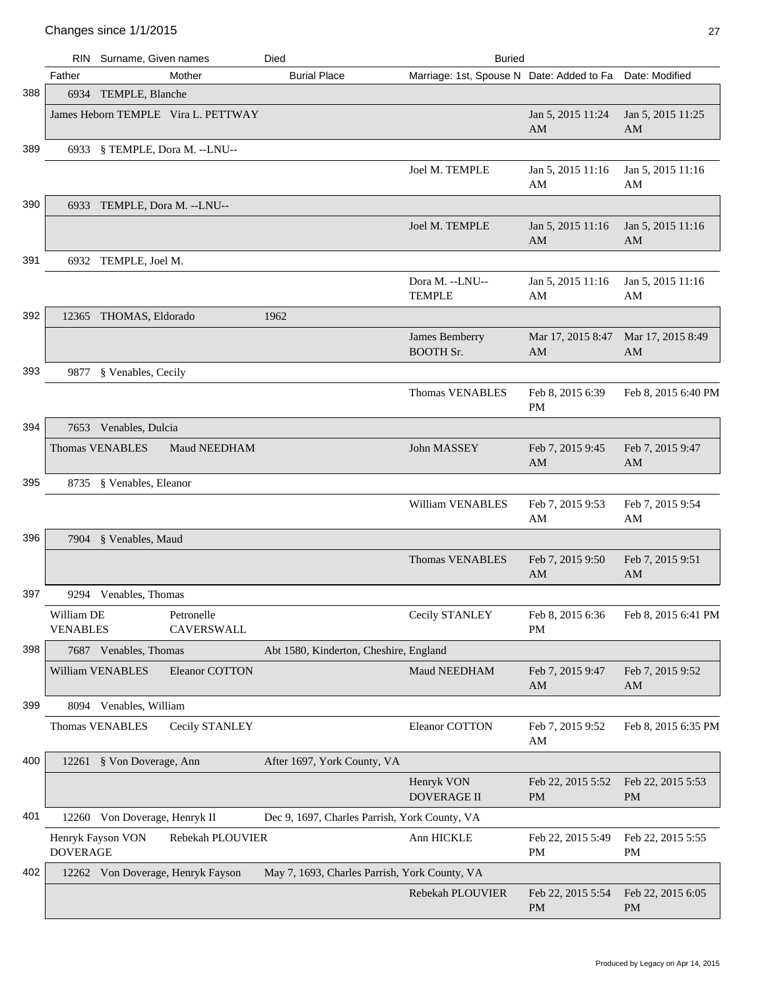|     |                               | RIN Surname, Given names                 | Died                                          | <b>Buried</b>                             |                                |                         |
|-----|-------------------------------|------------------------------------------|-----------------------------------------------|-------------------------------------------|--------------------------------|-------------------------|
|     | Father                        | Mother                                   | <b>Burial Place</b>                           | Marriage: 1st, Spouse N Date: Added to Fa |                                | Date: Modified          |
| 388 |                               | 6934 TEMPLE, Blanche                     |                                               |                                           |                                |                         |
|     |                               | James Heborn TEMPLE Vira L. PETTWAY      |                                               |                                           | Jan 5, 2015 11:24<br>AM        | Jan 5, 2015 11:25<br>AM |
| 389 |                               | 6933 § TEMPLE, Dora M. --LNU--           |                                               |                                           |                                |                         |
|     |                               |                                          |                                               | Joel M. TEMPLE                            | Jan 5, 2015 11:16<br>AM        | Jan 5, 2015 11:16<br>AM |
| 390 |                               | 6933 TEMPLE, Dora M. --LNU--             |                                               |                                           |                                |                         |
|     |                               |                                          |                                               | Joel M. TEMPLE                            | Jan 5, 2015 11:16<br>AM        | Jan 5, 2015 11:16<br>AM |
| 391 |                               | 6932 TEMPLE, Joel M.                     |                                               |                                           |                                |                         |
|     |                               |                                          |                                               | Dora M. --LNU--<br><b>TEMPLE</b>          | Jan 5, 2015 11:16<br>AM        | Jan 5, 2015 11:16<br>AM |
| 392 |                               | 12365 THOMAS, Eldorado                   | 1962                                          |                                           |                                |                         |
|     |                               |                                          |                                               | James Bemberry<br><b>BOOTH Sr.</b>        | Mar 17, 2015 8:47<br>AM        | Mar 17, 2015 8:49<br>AM |
| 393 | 9877                          | § Venables, Cecily                       |                                               |                                           |                                |                         |
|     |                               |                                          |                                               | <b>Thomas VENABLES</b>                    | Feb 8, 2015 6:39<br><b>PM</b>  | Feb 8, 2015 6:40 PM     |
| 394 |                               | 7653 Venables, Dulcia                    |                                               |                                           |                                |                         |
|     |                               | <b>Thomas VENABLES</b><br>Maud NEEDHAM   |                                               | John MASSEY                               | Feb 7, 2015 9:45<br>AM         | Feb 7, 2015 9:47<br>AM  |
| 395 |                               | 8735 § Venables, Eleanor                 |                                               |                                           |                                |                         |
|     |                               |                                          |                                               | William VENABLES                          | Feb 7, 2015 9:53<br>AM         | Feb 7, 2015 9:54<br>AM  |
| 396 |                               | 7904 § Venables, Maud                    |                                               |                                           |                                |                         |
|     |                               |                                          |                                               | <b>Thomas VENABLES</b>                    | Feb 7, 2015 9:50<br>AM         | Feb 7, 2015 9:51<br>AM  |
| 397 |                               | 9294 Venables, Thomas                    |                                               |                                           |                                |                         |
|     | William DE<br><b>VENABLES</b> | Petronelle<br>CAVERSWALL                 |                                               | Cecily STANLEY                            | Feb 8, 2015 6:36<br><b>PM</b>  | Feb 8, 2015 6:41 PM     |
| 398 |                               | 7687 Venables, Thomas                    | Abt 1580, Kinderton, Cheshire, England        |                                           |                                |                         |
|     |                               | William VENABLES<br>Eleanor COTTON       |                                               | Maud NEEDHAM                              | Feb 7, 2015 9:47<br>AM         | Feb 7, 2015 9:52<br>AM  |
| 399 |                               | 8094 Venables, William                   |                                               |                                           |                                |                         |
|     |                               | Cecily STANLEY<br><b>Thomas VENABLES</b> |                                               | Eleanor COTTON                            | Feb 7, 2015 9:52<br>AM         | Feb 8, 2015 6:35 PM     |
| 400 |                               | 12261 § Von Doverage, Ann                | After 1697, York County, VA                   |                                           |                                |                         |
|     |                               |                                          |                                               | Henryk VON<br>DOVERAGE II                 | Feb 22, 2015 5:52<br><b>PM</b> | Feb 22, 2015 5:53<br>PM |
| 401 |                               | 12260 Von Doverage, Henryk II            | Dec 9, 1697, Charles Parrish, York County, VA |                                           |                                |                         |
|     | <b>DOVERAGE</b>               | Henryk Fayson VON<br>Rebekah PLOUVIER    |                                               | Ann HICKLE                                | Feb 22, 2015 5:49<br><b>PM</b> | Feb 22, 2015 5:55<br>PM |
| 402 |                               | 12262 Von Doverage, Henryk Fayson        | May 7, 1693, Charles Parrish, York County, VA |                                           |                                |                         |
|     |                               |                                          |                                               | Rebekah PLOUVIER                          | Feb 22, 2015 5:54<br><b>PM</b> | Feb 22, 2015 6:05<br>PM |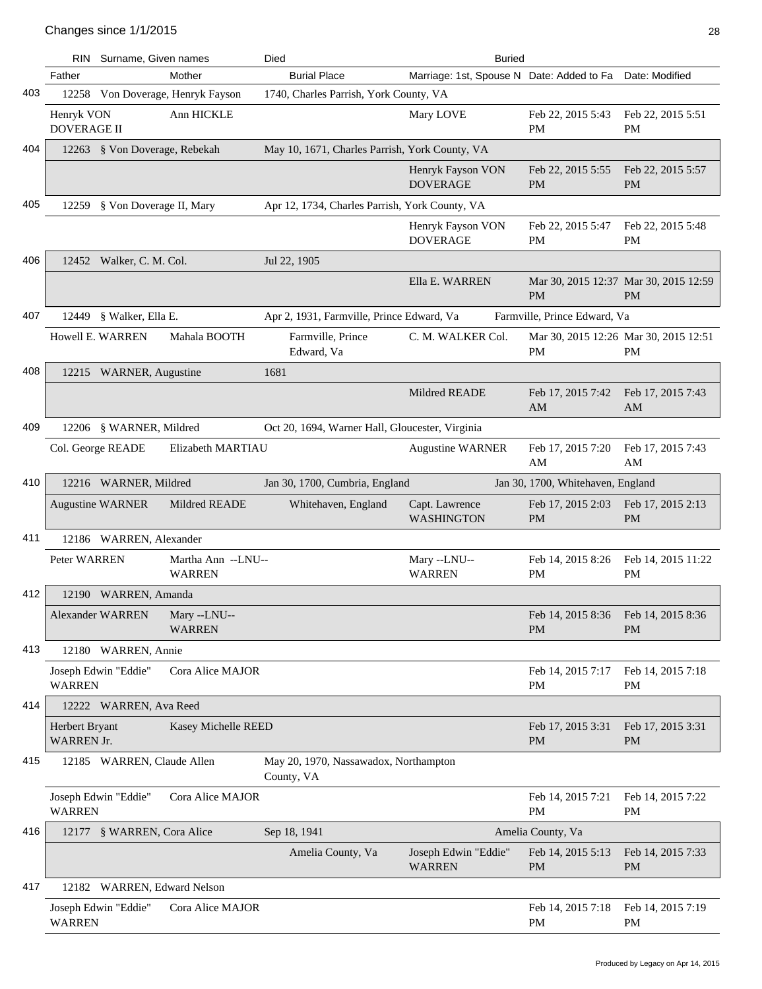|     | <b>RIN</b>                       | Surname, Given names          |                                     | Died                                                | <b>Buried</b>                             |                                                    |                                                    |
|-----|----------------------------------|-------------------------------|-------------------------------------|-----------------------------------------------------|-------------------------------------------|----------------------------------------------------|----------------------------------------------------|
|     | Father                           |                               | Mother                              | <b>Burial Place</b>                                 | Marriage: 1st, Spouse N Date: Added to Fa |                                                    | Date: Modified                                     |
| 403 |                                  |                               | 12258 Von Doverage, Henryk Fayson   | 1740, Charles Parrish, York County, VA              |                                           |                                                    |                                                    |
|     | Henryk VON<br><b>DOVERAGE II</b> |                               | Ann HICKLE                          |                                                     | Mary LOVE                                 | Feb 22, 2015 5:43<br><b>PM</b>                     | Feb 22, 2015 5:51<br>PM                            |
| 404 |                                  | 12263 § Von Doverage, Rebekah |                                     | May 10, 1671, Charles Parrish, York County, VA      |                                           |                                                    |                                                    |
|     |                                  |                               |                                     |                                                     | Henryk Fayson VON<br><b>DOVERAGE</b>      | Feb 22, 2015 5:55<br><b>PM</b>                     | Feb 22, 2015 5:57<br><b>PM</b>                     |
| 405 | 12259                            | § Von Doverage II, Mary       |                                     | Apr 12, 1734, Charles Parrish, York County, VA      |                                           |                                                    |                                                    |
|     |                                  |                               |                                     |                                                     | Henryk Fayson VON<br><b>DOVERAGE</b>      | Feb 22, 2015 5:47<br><b>PM</b>                     | Feb 22, 2015 5:48<br>PM                            |
| 406 |                                  | 12452 Walker, C. M. Col.      |                                     | Jul 22, 1905                                        |                                           |                                                    |                                                    |
|     |                                  |                               |                                     |                                                     | Ella E. WARREN                            | <b>PM</b>                                          | Mar 30, 2015 12:37 Mar 30, 2015 12:59<br><b>PM</b> |
| 407 |                                  | 12449 § Walker, Ella E.       |                                     | Apr 2, 1931, Farmville, Prince Edward, Va           |                                           | Farmville, Prince Edward, Va                       |                                                    |
|     |                                  | Howell E. WARREN              | Mahala BOOTH                        | Farmville, Prince<br>Edward, Va                     | C. M. WALKER Col.                         | Mar 30, 2015 12:26 Mar 30, 2015 12:51<br><b>PM</b> | PM                                                 |
| 408 |                                  | 12215 WARNER, Augustine       |                                     | 1681                                                |                                           |                                                    |                                                    |
|     |                                  |                               |                                     |                                                     | Mildred READE                             | Feb 17, 2015 7:42<br>AM                            | Feb 17, 2015 7:43<br>AM                            |
| 409 |                                  | 12206 § WARNER, Mildred       |                                     | Oct 20, 1694, Warner Hall, Gloucester, Virginia     |                                           |                                                    |                                                    |
|     |                                  | Col. George READE             | Elizabeth MARTIAU                   |                                                     | <b>Augustine WARNER</b>                   | Feb 17, 2015 7:20<br>AM                            | Feb 17, 2015 7:43<br>AM                            |
| 410 |                                  | 12216 WARNER, Mildred         |                                     | Jan 30, 1700, Cumbria, England                      |                                           | Jan 30, 1700, Whitehaven, England                  |                                                    |
|     |                                  | <b>Augustine WARNER</b>       | Mildred READE                       | Whitehaven, England                                 | Capt. Lawrence<br><b>WASHINGTON</b>       | Feb 17, 2015 2:03<br><b>PM</b>                     | Feb 17, 2015 2:13<br><b>PM</b>                     |
| 411 |                                  | 12186 WARREN, Alexander       |                                     |                                                     |                                           |                                                    |                                                    |
|     | Peter WARREN                     |                               | Martha Ann --LNU--<br><b>WARREN</b> |                                                     | Mary --LNU--<br><b>WARREN</b>             | Feb 14, 2015 8:26<br>PM                            | Feb 14, 2015 11:22<br>PM                           |
| 412 |                                  | 12190 WARREN, Amanda          |                                     |                                                     |                                           |                                                    |                                                    |
|     |                                  | Alexander WARREN              | Mary --LNU--<br><b>WARREN</b>       |                                                     |                                           | Feb 14, 2015 8:36<br><b>PM</b>                     | Feb 14, 2015 8:36<br>PM                            |
| 413 |                                  | 12180 WARREN, Annie           |                                     |                                                     |                                           |                                                    |                                                    |
|     | <b>WARREN</b>                    | Joseph Edwin "Eddie"          | Cora Alice MAJOR                    |                                                     |                                           | Feb 14, 2015 7:17<br>PM                            | Feb 14, 2015 7:18<br>PM                            |
| 414 |                                  | 12222 WARREN, Ava Reed        |                                     |                                                     |                                           |                                                    |                                                    |
|     | Herbert Bryant<br>WARREN Jr.     |                               | Kasey Michelle REED                 |                                                     |                                           | Feb 17, 2015 3:31<br><b>PM</b>                     | Feb 17, 2015 3:31<br><b>PM</b>                     |
| 415 |                                  | 12185 WARREN, Claude Allen    |                                     | May 20, 1970, Nassawadox, Northampton<br>County, VA |                                           |                                                    |                                                    |
|     | <b>WARREN</b>                    | Joseph Edwin "Eddie"          | Cora Alice MAJOR                    |                                                     |                                           | Feb 14, 2015 7:21<br>PM                            | Feb 14, 2015 7:22<br>PM                            |
| 416 |                                  | 12177 § WARREN, Cora Alice    |                                     | Sep 18, 1941                                        |                                           | Amelia County, Va                                  |                                                    |
|     |                                  |                               |                                     | Amelia County, Va                                   | Joseph Edwin "Eddie"<br><b>WARREN</b>     | Feb 14, 2015 5:13<br><b>PM</b>                     | Feb 14, 2015 7:33<br>PM                            |
| 417 |                                  | 12182 WARREN, Edward Nelson   |                                     |                                                     |                                           |                                                    |                                                    |
|     | <b>WARREN</b>                    | Joseph Edwin "Eddie"          | Cora Alice MAJOR                    |                                                     |                                           | Feb 14, 2015 7:18<br>PM                            | Feb 14, 2015 7:19<br>PM                            |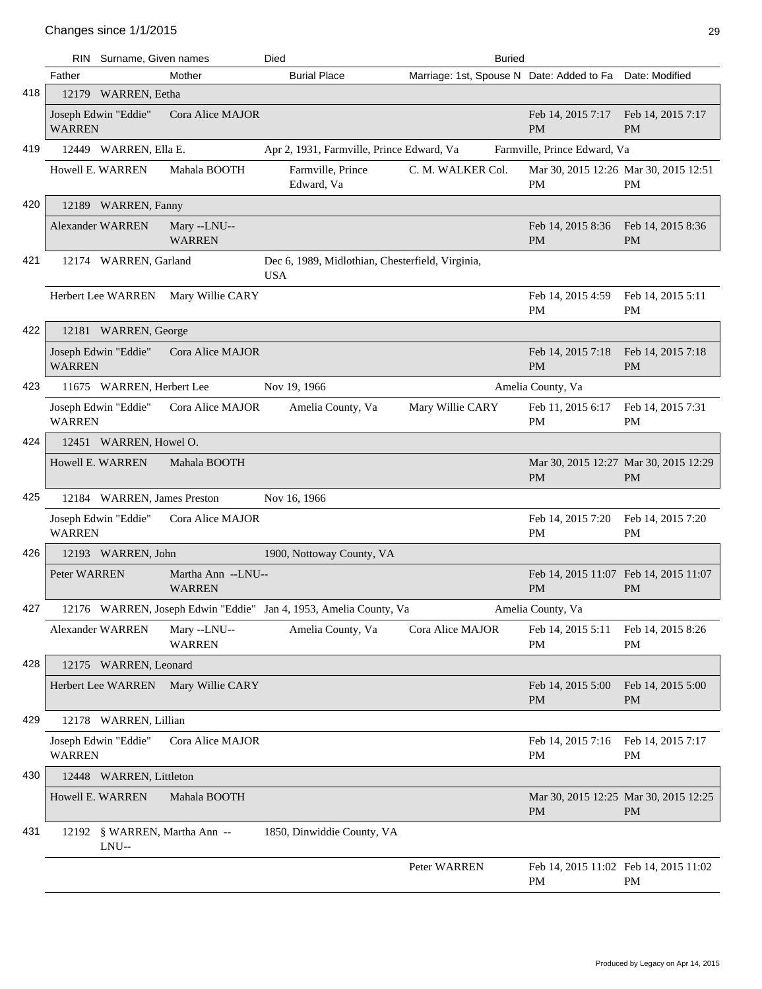|     |               | RIN Surname, Given names               |                                     | Died                                                              | <b>Buried</b>                                            |                                                    |                                                    |
|-----|---------------|----------------------------------------|-------------------------------------|-------------------------------------------------------------------|----------------------------------------------------------|----------------------------------------------------|----------------------------------------------------|
|     | Father        |                                        | Mother                              | <b>Burial Place</b>                                               | Marriage: 1st, Spouse N Date: Added to Fa Date: Modified |                                                    |                                                    |
| 418 |               | 12179 WARREN, Eetha                    |                                     |                                                                   |                                                          |                                                    |                                                    |
|     | <b>WARREN</b> | Joseph Edwin "Eddie"                   | Cora Alice MAJOR                    |                                                                   |                                                          | Feb 14, 2015 7:17 Feb 14, 2015 7:17<br><b>PM</b>   | <b>PM</b>                                          |
| 419 |               | 12449 WARREN, Ella E.                  |                                     | Apr 2, 1931, Farmville, Prince Edward, Va                         |                                                          | Farmville, Prince Edward, Va                       |                                                    |
|     |               | Howell E. WARREN                       | Mahala BOOTH                        | Farmville, Prince<br>Edward, Va                                   | C. M. WALKER Col.                                        | PM                                                 | Mar 30, 2015 12:26 Mar 30, 2015 12:51<br><b>PM</b> |
| 420 |               | 12189 WARREN, Fanny                    |                                     |                                                                   |                                                          |                                                    |                                                    |
|     |               | <b>Alexander WARREN</b>                | Mary --LNU--<br><b>WARREN</b>       |                                                                   |                                                          | Feb 14, 2015 8:36<br><b>PM</b>                     | Feb 14, 2015 8:36<br><b>PM</b>                     |
| 421 |               | 12174 WARREN, Garland                  |                                     | Dec 6, 1989, Midlothian, Chesterfield, Virginia,<br><b>USA</b>    |                                                          |                                                    |                                                    |
|     |               | Herbert Lee WARREN                     | Mary Willie CARY                    |                                                                   |                                                          | Feb 14, 2015 4:59<br><b>PM</b>                     | Feb 14, 2015 5:11<br><b>PM</b>                     |
| 422 |               | 12181 WARREN, George                   |                                     |                                                                   |                                                          |                                                    |                                                    |
|     | <b>WARREN</b> | Joseph Edwin "Eddie"                   | Cora Alice MAJOR                    |                                                                   |                                                          | Feb 14, 2015 7:18<br><b>PM</b>                     | Feb 14, 2015 7:18<br><b>PM</b>                     |
| 423 |               | 11675 WARREN, Herbert Lee              |                                     | Nov 19, 1966                                                      |                                                          | Amelia County, Va                                  |                                                    |
|     | <b>WARREN</b> | Joseph Edwin "Eddie"                   | Cora Alice MAJOR                    | Amelia County, Va                                                 | Mary Willie CARY                                         | Feb 11, 2015 6:17<br><b>PM</b>                     | Feb 14, 2015 7:31<br>PM                            |
| 424 |               | 12451 WARREN, Howel O.                 |                                     |                                                                   |                                                          |                                                    |                                                    |
|     |               | Howell E. WARREN                       | Mahala BOOTH                        |                                                                   |                                                          | <b>PM</b>                                          | Mar 30, 2015 12:27 Mar 30, 2015 12:29<br><b>PM</b> |
| 425 |               | 12184 WARREN, James Preston            |                                     | Nov 16, 1966                                                      |                                                          |                                                    |                                                    |
|     | <b>WARREN</b> | Joseph Edwin "Eddie"                   | Cora Alice MAJOR                    |                                                                   |                                                          | Feb 14, 2015 7:20<br><b>PM</b>                     | Feb 14, 2015 7:20<br><b>PM</b>                     |
| 426 |               | 12193 WARREN, John                     |                                     | 1900, Nottoway County, VA                                         |                                                          |                                                    |                                                    |
|     | Peter WARREN  |                                        | Martha Ann --LNU--<br><b>WARREN</b> |                                                                   |                                                          | Feb 14, 2015 11:07 Feb 14, 2015 11:07<br><b>PM</b> | <b>PM</b>                                          |
| 427 |               |                                        |                                     | 12176 WARREN, Joseph Edwin "Eddie" Jan 4, 1953, Amelia County, Va |                                                          | Amelia County, Va                                  |                                                    |
|     |               | <b>Alexander WARREN</b>                | Mary --LNU--<br><b>WARREN</b>       | Amelia County, Va                                                 | Cora Alice MAJOR                                         | Feb 14, 2015 5:11<br><b>PM</b>                     | Feb 14, 2015 8:26<br><b>PM</b>                     |
| 428 |               | 12175 WARREN, Leonard                  |                                     |                                                                   |                                                          |                                                    |                                                    |
|     |               | <b>Herbert Lee WARREN</b>              | Mary Willie CARY                    |                                                                   |                                                          | Feb 14, 2015 5:00<br><b>PM</b>                     | Feb 14, 2015 5:00<br><b>PM</b>                     |
| 429 |               | 12178 WARREN, Lillian                  |                                     |                                                                   |                                                          |                                                    |                                                    |
|     | <b>WARREN</b> | Joseph Edwin "Eddie"                   | Cora Alice MAJOR                    |                                                                   |                                                          | Feb 14, 2015 7:16<br><b>PM</b>                     | Feb 14, 2015 7:17<br><b>PM</b>                     |
| 430 |               | 12448 WARREN, Littleton                |                                     |                                                                   |                                                          |                                                    |                                                    |
|     |               | Howell E. WARREN                       | Mahala BOOTH                        |                                                                   |                                                          | <b>PM</b>                                          | Mar 30, 2015 12:25 Mar 30, 2015 12:25<br><b>PM</b> |
| 431 |               | 12192 § WARREN, Martha Ann --<br>LNU-- |                                     | 1850, Dinwiddie County, VA                                        |                                                          |                                                    |                                                    |
|     |               |                                        |                                     |                                                                   | Peter WARREN                                             | Feb 14, 2015 11:02 Feb 14, 2015 11:02<br>PM        | PM                                                 |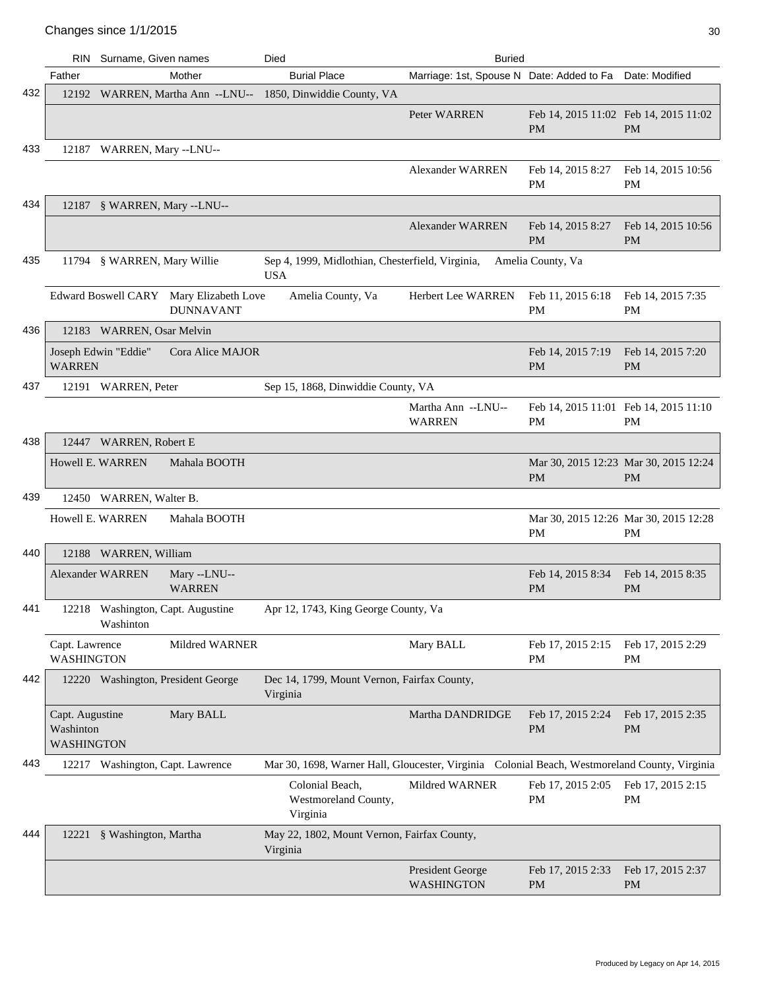|     |                                            | RIN Surname, Given names                       |                                                             | Died                                                                                          | <b>Buried</b>                                            |                                                    |                                                    |
|-----|--------------------------------------------|------------------------------------------------|-------------------------------------------------------------|-----------------------------------------------------------------------------------------------|----------------------------------------------------------|----------------------------------------------------|----------------------------------------------------|
|     | Father                                     |                                                | Mother                                                      | <b>Burial Place</b>                                                                           | Marriage: 1st, Spouse N Date: Added to Fa Date: Modified |                                                    |                                                    |
| 432 |                                            |                                                |                                                             | 12192 WARREN, Martha Ann --LNU-- 1850, Dinwiddie County, VA                                   |                                                          |                                                    |                                                    |
|     |                                            |                                                |                                                             |                                                                                               | Peter WARREN                                             | Feb 14, 2015 11:02 Feb 14, 2015 11:02<br><b>PM</b> | <b>PM</b>                                          |
| 433 |                                            | 12187 WARREN, Mary --LNU--                     |                                                             |                                                                                               |                                                          |                                                    |                                                    |
|     |                                            |                                                |                                                             |                                                                                               | <b>Alexander WARREN</b>                                  | Feb 14, 2015 8:27<br>PM                            | Feb 14, 2015 10:56<br>PM                           |
| 434 |                                            | 12187 § WARREN, Mary --LNU--                   |                                                             |                                                                                               |                                                          |                                                    |                                                    |
|     |                                            |                                                |                                                             |                                                                                               | <b>Alexander WARREN</b>                                  | Feb 14, 2015 8:27<br><b>PM</b>                     | Feb 14, 2015 10:56<br><b>PM</b>                    |
| 435 |                                            | 11794 § WARREN, Mary Willie                    |                                                             | Sep 4, 1999, Midlothian, Chesterfield, Virginia,<br><b>USA</b>                                |                                                          | Amelia County, Va                                  |                                                    |
|     |                                            |                                                | Edward Boswell CARY Mary Elizabeth Love<br><b>DUNNAVANT</b> | Amelia County, Va                                                                             | <b>Herbert Lee WARREN</b>                                | Feb 11, 2015 6:18<br>PM                            | Feb 14, 2015 7:35<br>PM                            |
| 436 |                                            | 12183 WARREN, Osar Melvin                      |                                                             |                                                                                               |                                                          |                                                    |                                                    |
|     | <b>WARREN</b>                              | Joseph Edwin "Eddie"                           | Cora Alice MAJOR                                            |                                                                                               |                                                          | Feb 14, 2015 7:19<br><b>PM</b>                     | Feb 14, 2015 7:20<br><b>PM</b>                     |
| 437 |                                            | 12191 WARREN, Peter                            |                                                             | Sep 15, 1868, Dinwiddie County, VA                                                            |                                                          |                                                    |                                                    |
|     |                                            |                                                |                                                             |                                                                                               | Martha Ann --LNU--<br><b>WARREN</b>                      | Feb 14, 2015 11:01 Feb 14, 2015 11:10<br>PM        | PM                                                 |
| 438 |                                            | 12447 WARREN, Robert E                         |                                                             |                                                                                               |                                                          |                                                    |                                                    |
|     |                                            | Howell E. WARREN                               | Mahala BOOTH                                                |                                                                                               |                                                          | PM                                                 | Mar 30, 2015 12:23 Mar 30, 2015 12:24<br><b>PM</b> |
| 439 |                                            | 12450 WARREN, Walter B.                        |                                                             |                                                                                               |                                                          |                                                    |                                                    |
|     |                                            | Howell E. WARREN                               | Mahala BOOTH                                                |                                                                                               |                                                          | PM                                                 | Mar 30, 2015 12:26 Mar 30, 2015 12:28<br>PM        |
| 440 |                                            | 12188 WARREN, William                          |                                                             |                                                                                               |                                                          |                                                    |                                                    |
|     |                                            | <b>Alexander WARREN</b>                        | Mary --LNU--<br><b>WARREN</b>                               |                                                                                               |                                                          | Feb 14, 2015 8:34<br><b>PM</b>                     | Feb 14, 2015 8:35<br><b>PM</b>                     |
| 441 |                                            | 12218 Washington, Capt. Augustine<br>Washinton |                                                             | Apr 12, 1743, King George County, Va                                                          |                                                          |                                                    |                                                    |
|     | Capt. Lawrence<br><b>WASHINGTON</b>        |                                                | Mildred WARNER                                              |                                                                                               | Mary BALL                                                | Feb 17, 2015 2:15<br>PM                            | Feb 17, 2015 2:29<br>PM                            |
| 442 |                                            | 12220 Washington, President George             |                                                             | Dec 14, 1799, Mount Vernon, Fairfax County,<br>Virginia                                       |                                                          |                                                    |                                                    |
|     | Capt. Augustine<br>Washinton<br>WASHINGTON |                                                | Mary BALL                                                   |                                                                                               | Martha DANDRIDGE                                         | Feb 17, 2015 2:24<br>PM                            | Feb 17, 2015 2:35<br><b>PM</b>                     |
| 443 |                                            | 12217 Washington, Capt. Lawrence               |                                                             | Mar 30, 1698, Warner Hall, Gloucester, Virginia Colonial Beach, Westmoreland County, Virginia |                                                          |                                                    |                                                    |
|     |                                            |                                                |                                                             | Colonial Beach,<br>Westmoreland County,<br>Virginia                                           | Mildred WARNER                                           | Feb 17, 2015 2:05<br>PM                            | Feb 17, 2015 2:15<br>PM                            |
| 444 |                                            | 12221 § Washington, Martha                     |                                                             | May 22, 1802, Mount Vernon, Fairfax County,<br>Virginia                                       |                                                          |                                                    |                                                    |
|     |                                            |                                                |                                                             |                                                                                               | President George<br><b>WASHINGTON</b>                    | Feb 17, 2015 2:33<br><b>PM</b>                     | Feb 17, 2015 2:37<br><b>PM</b>                     |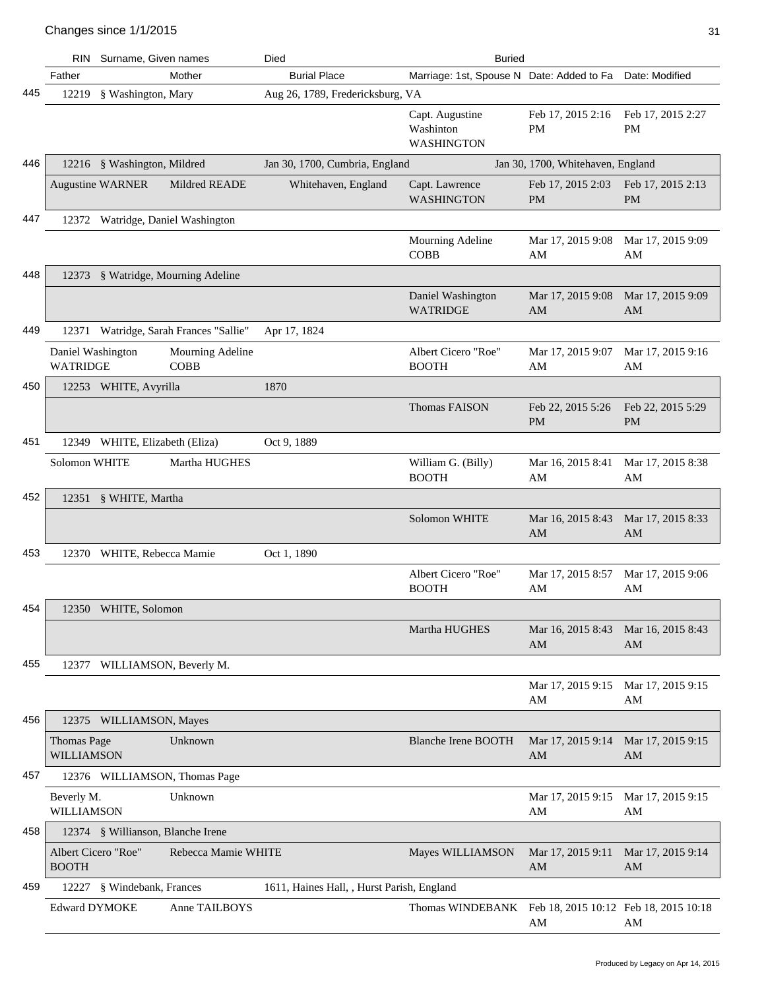|     |                                      | RIN Surname, Given names          |                                        | Died                                       | <b>Buried</b>                                          |                                   |                                |
|-----|--------------------------------------|-----------------------------------|----------------------------------------|--------------------------------------------|--------------------------------------------------------|-----------------------------------|--------------------------------|
|     | Father                               |                                   | Mother                                 | <b>Burial Place</b>                        | Marriage: 1st, Spouse N Date: Added to Fa              |                                   | Date: Modified                 |
| 445 | 12219                                | § Washington, Mary                |                                        | Aug 26, 1789, Fredericksburg, VA           |                                                        |                                   |                                |
|     |                                      |                                   |                                        |                                            | Capt. Augustine<br>Washinton<br>WASHINGTON             | Feb 17, 2015 2:16<br><b>PM</b>    | Feb 17, 2015 2:27<br>PM        |
| 446 |                                      | 12216 § Washington, Mildred       |                                        | Jan 30, 1700, Cumbria, England             |                                                        | Jan 30, 1700, Whitehaven, England |                                |
|     |                                      | <b>Augustine WARNER</b>           | Mildred READE                          | Whitehaven, England                        | Capt. Lawrence<br>WASHINGTON                           | Feb 17, 2015 2:03<br><b>PM</b>    | Feb 17, 2015 2:13<br><b>PM</b> |
| 447 |                                      | 12372 Watridge, Daniel Washington |                                        |                                            |                                                        |                                   |                                |
|     |                                      |                                   |                                        |                                            | Mourning Adeline<br><b>COBB</b>                        | Mar 17, 2015 9:08<br>AM           | Mar 17, 2015 9:09<br>AM        |
| 448 |                                      |                                   | 12373 § Watridge, Mourning Adeline     |                                            |                                                        |                                   |                                |
|     |                                      |                                   |                                        |                                            | Daniel Washington<br><b>WATRIDGE</b>                   | Mar 17, 2015 9:08<br>AM           | Mar 17, 2015 9:09<br>AM        |
| 449 |                                      |                                   | 12371 Watridge, Sarah Frances "Sallie" | Apr 17, 1824                               |                                                        |                                   |                                |
|     | Daniel Washington<br><b>WATRIDGE</b> |                                   | Mourning Adeline<br><b>COBB</b>        |                                            | Albert Cicero "Roe"<br><b>BOOTH</b>                    | Mar 17, 2015 9:07<br>AM           | Mar 17, 2015 9:16<br>AM        |
| 450 |                                      | 12253 WHITE, Avyrilla             |                                        | 1870                                       |                                                        |                                   |                                |
|     |                                      |                                   |                                        |                                            | <b>Thomas FAISON</b>                                   | Feb 22, 2015 5:26<br><b>PM</b>    | Feb 22, 2015 5:29<br><b>PM</b> |
| 451 |                                      | 12349 WHITE, Elizabeth (Eliza)    |                                        | Oct 9, 1889                                |                                                        |                                   |                                |
|     | Solomon WHITE                        |                                   | Martha HUGHES                          |                                            | William G. (Billy)<br><b>BOOTH</b>                     | Mar 16, 2015 8:41<br>AM           | Mar 17, 2015 8:38<br>AM        |
| 452 |                                      | 12351 § WHITE, Martha             |                                        |                                            |                                                        |                                   |                                |
|     |                                      |                                   |                                        |                                            | Solomon WHITE                                          | Mar 16, 2015 8:43<br>AM           | Mar 17, 2015 8:33<br>AM        |
| 453 |                                      | 12370 WHITE, Rebecca Mamie        |                                        | Oct 1, 1890                                |                                                        |                                   |                                |
|     |                                      |                                   |                                        |                                            | Albert Cicero "Roe"<br><b>BOOTH</b>                    | Mar 17, 2015 8:57<br>AM           | Mar 17, 2015 9:06<br>AM        |
| 454 |                                      | 12350 WHITE, Solomon              |                                        |                                            |                                                        |                                   |                                |
|     |                                      |                                   |                                        |                                            | Martha HUGHES                                          | Mar 16, 2015 8:43<br>AM           | Mar 16, 2015 8:43<br>AM        |
| 455 |                                      | 12377 WILLIAMSON, Beverly M.      |                                        |                                            |                                                        |                                   |                                |
|     |                                      |                                   |                                        |                                            |                                                        | Mar 17, 2015 9:15<br>AM           | Mar 17, 2015 9:15<br>AM        |
| 456 |                                      | 12375 WILLIAMSON, Mayes           |                                        |                                            |                                                        |                                   |                                |
|     | <b>Thomas Page</b><br>WILLIAMSON     |                                   | Unknown                                |                                            | <b>Blanche Irene BOOTH</b>                             | Mar 17, 2015 9:14<br>AM           | Mar 17, 2015 9:15<br>AM        |
| 457 |                                      |                                   | 12376 WILLIAMSON, Thomas Page          |                                            |                                                        |                                   |                                |
|     | Beverly M.<br>WILLIAMSON             |                                   | Unknown                                |                                            |                                                        | Mar 17, 2015 9:15<br>AM           | Mar 17, 2015 9:15<br>AM        |
| 458 |                                      | 12374 § Willianson, Blanche Irene |                                        |                                            |                                                        |                                   |                                |
|     | Albert Cicero "Roe"<br><b>BOOTH</b>  |                                   | Rebecca Mamie WHITE                    |                                            | Mayes WILLIAMSON                                       | Mar 17, 2015 9:11<br>AM           | Mar 17, 2015 9:14<br>AM        |
| 459 |                                      | 12227 § Windebank, Frances        |                                        | 1611, Haines Hall, , Hurst Parish, England |                                                        |                                   |                                |
|     | <b>Edward DYMOKE</b>                 |                                   | Anne TAILBOYS                          |                                            | Thomas WINDEBANK Feb 18, 2015 10:12 Feb 18, 2015 10:18 | AM                                | AM                             |